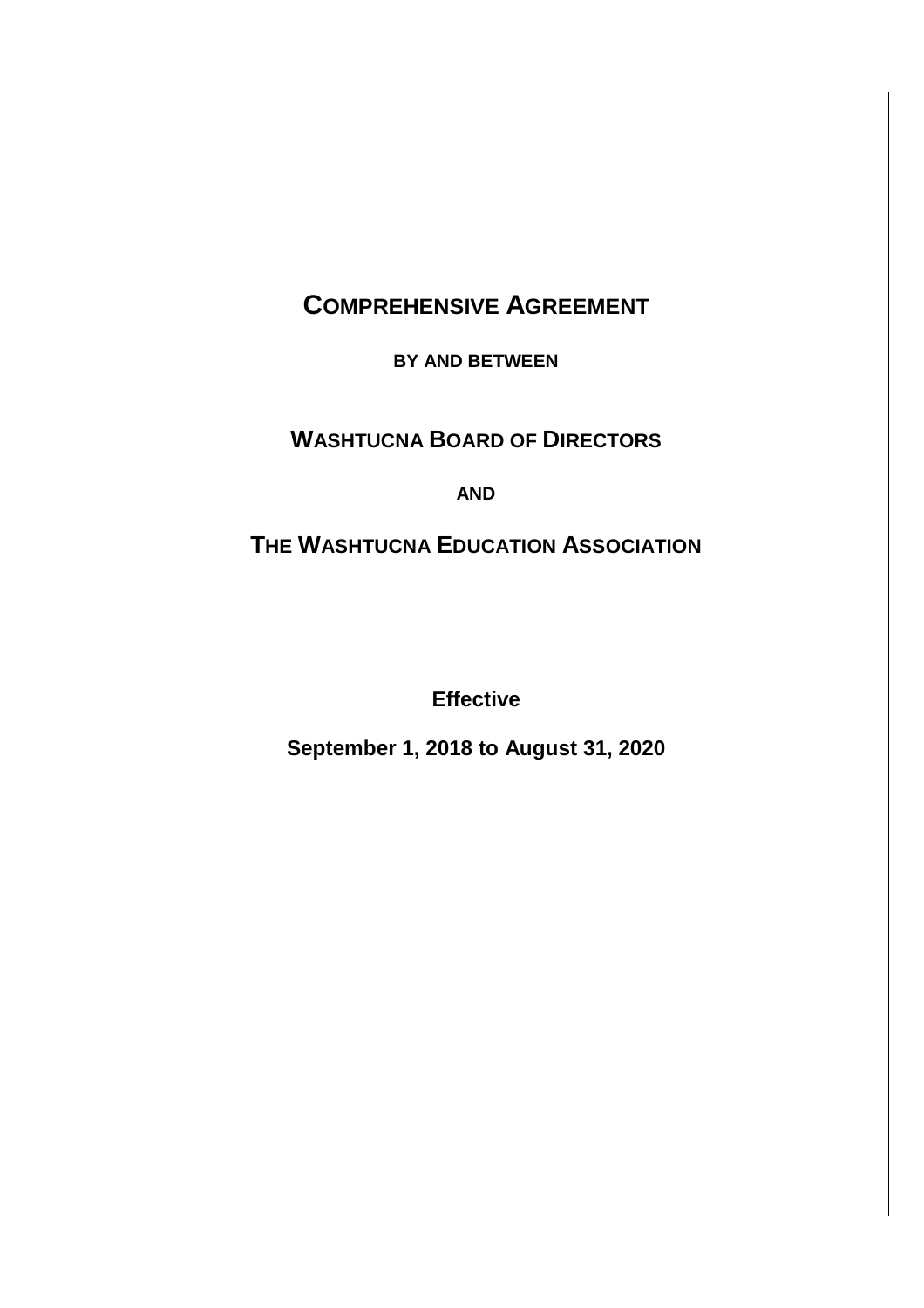# **COMPREHENSIVE AGREEMENT**

**BY AND BETWEEN**

## **WASHTUCNA BOARD OF DIRECTORS**

**AND**

**THE WASHTUCNA EDUCATION ASSOCIATION**

**Effective** 

**September 1, 2018 to August 31, 2020**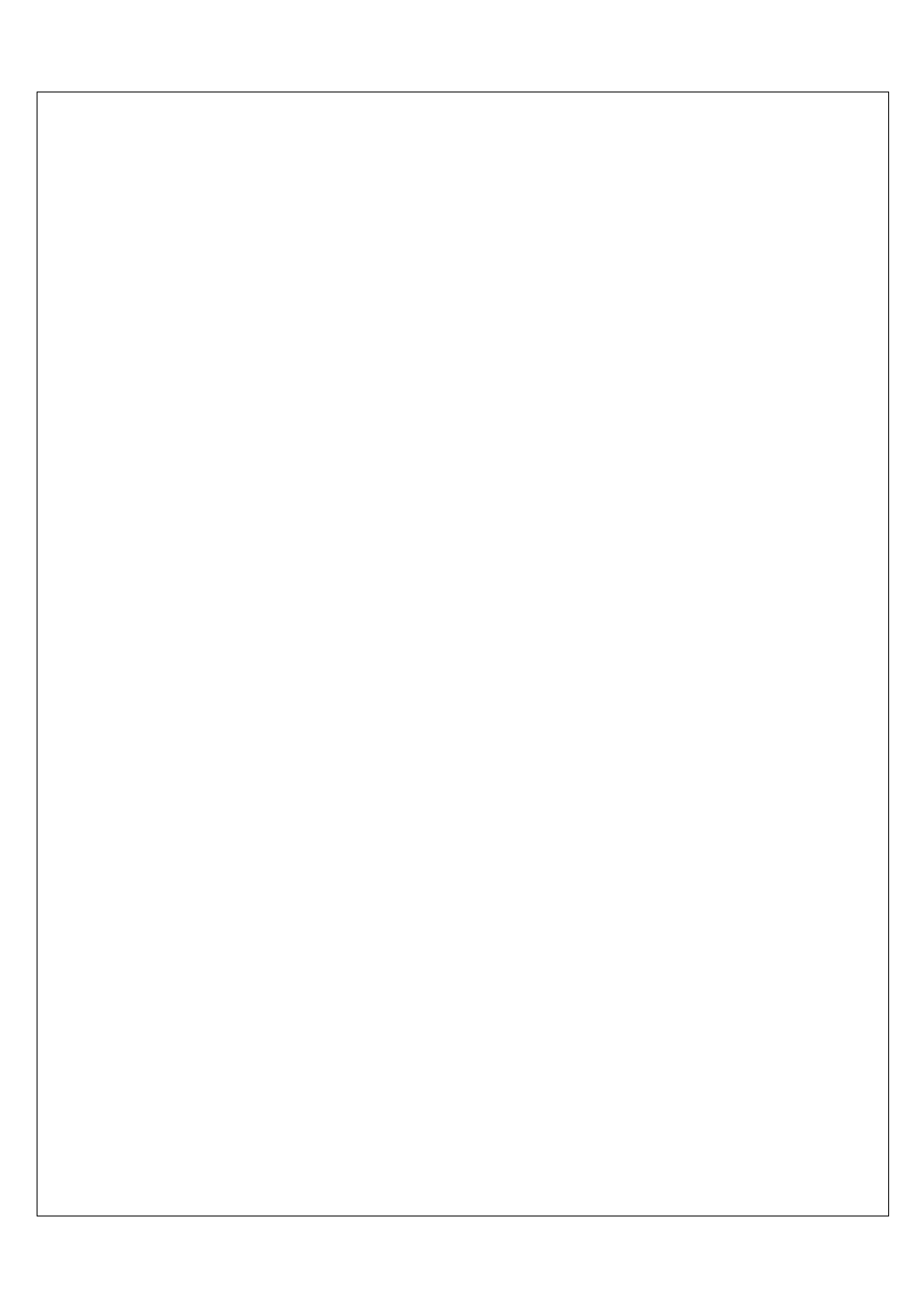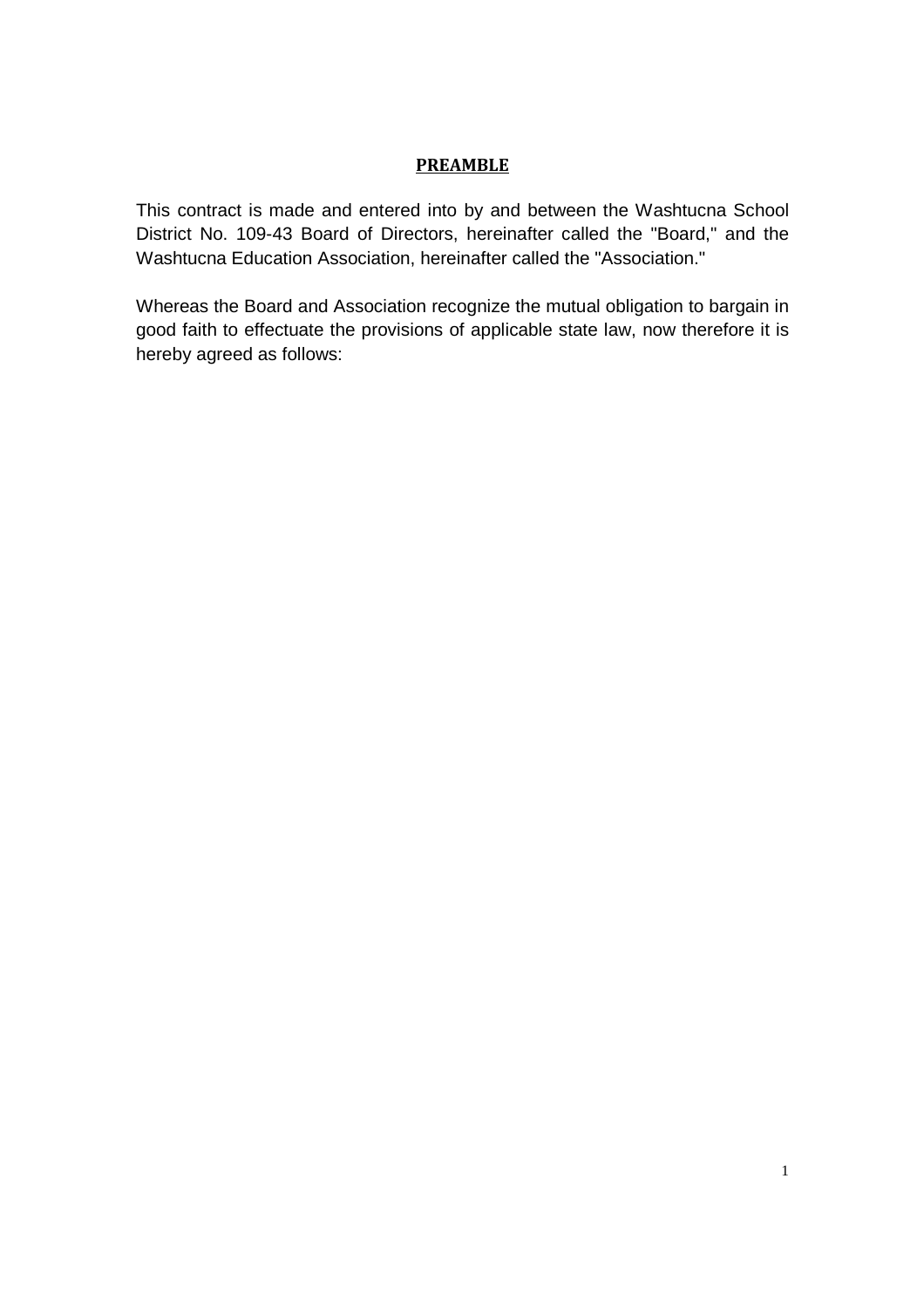#### **PREAMBLE**

This contract is made and entered into by and between the Washtucna School District No. 109-43 Board of Directors, hereinafter called the "Board," and the Washtucna Education Association, hereinafter called the "Association."

Whereas the Board and Association recognize the mutual obligation to bargain in good faith to effectuate the provisions of applicable state law, now therefore it is hereby agreed as follows: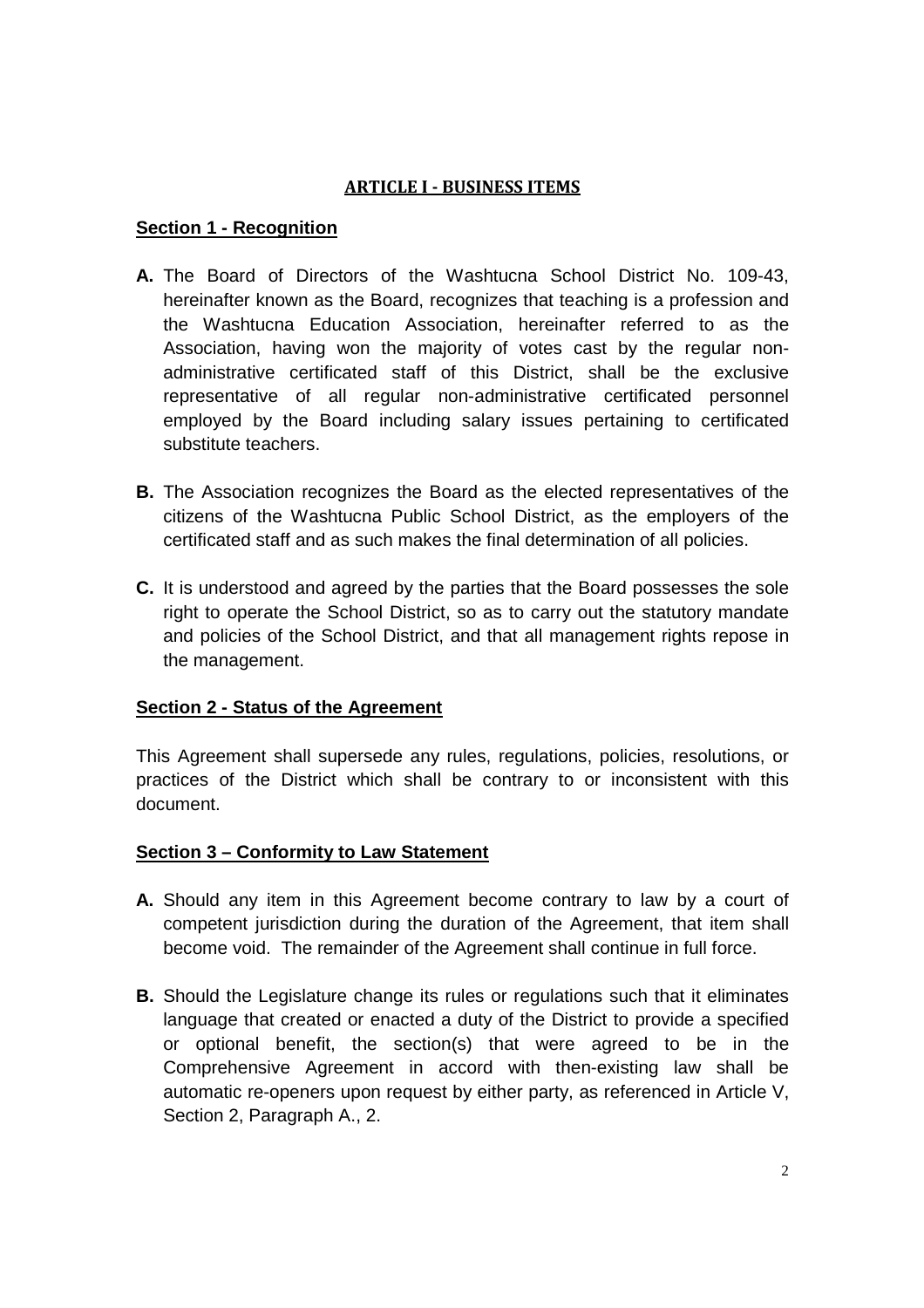## **ARTICLE I - BUSINESS ITEMS**

## **Section 1 - Recognition**

- **A.** The Board of Directors of the Washtucna School District No. 109-43, hereinafter known as the Board, recognizes that teaching is a profession and the Washtucna Education Association, hereinafter referred to as the Association, having won the majority of votes cast by the regular nonadministrative certificated staff of this District, shall be the exclusive representative of all regular non-administrative certificated personnel employed by the Board including salary issues pertaining to certificated substitute teachers.
- **B.** The Association recognizes the Board as the elected representatives of the citizens of the Washtucna Public School District, as the employers of the certificated staff and as such makes the final determination of all policies.
- **C.** It is understood and agreed by the parties that the Board possesses the sole right to operate the School District, so as to carry out the statutory mandate and policies of the School District, and that all management rights repose in the management.

## **Section 2 - Status of the Agreement**

This Agreement shall supersede any rules, regulations, policies, resolutions, or practices of the District which shall be contrary to or inconsistent with this document.

## **Section 3 – Conformity to Law Statement**

- **A.** Should any item in this Agreement become contrary to law by a court of competent jurisdiction during the duration of the Agreement, that item shall become void. The remainder of the Agreement shall continue in full force.
- **B.** Should the Legislature change its rules or regulations such that it eliminates language that created or enacted a duty of the District to provide a specified or optional benefit, the section(s) that were agreed to be in the Comprehensive Agreement in accord with then-existing law shall be automatic re-openers upon request by either party, as referenced in Article V, Section 2, Paragraph A., 2.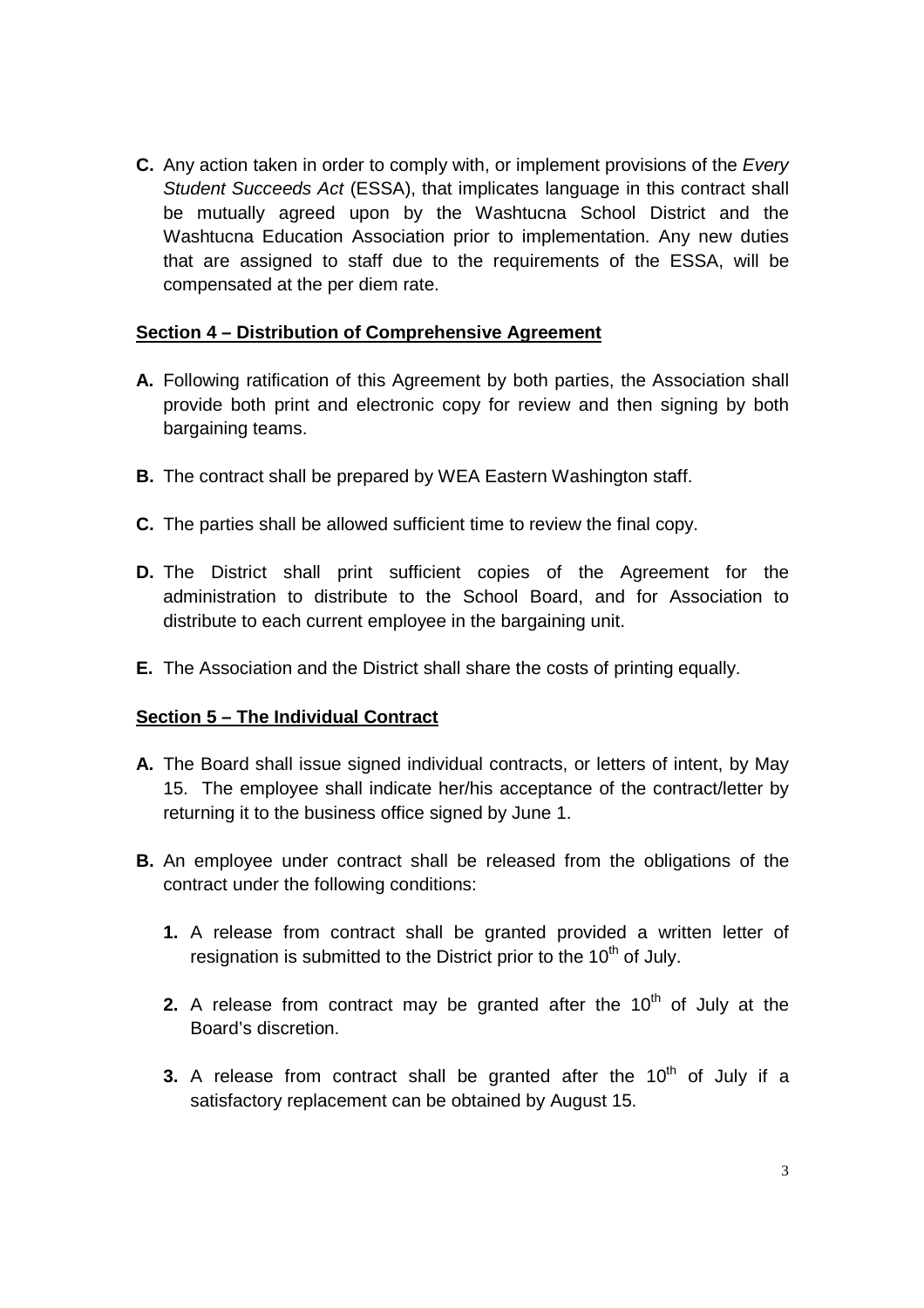**C.** Any action taken in order to comply with, or implement provisions of the Every Student Succeeds Act (ESSA), that implicates language in this contract shall be mutually agreed upon by the Washtucna School District and the Washtucna Education Association prior to implementation. Any new duties that are assigned to staff due to the requirements of the ESSA, will be compensated at the per diem rate.

## **Section 4 – Distribution of Comprehensive Agreement**

- **A.** Following ratification of this Agreement by both parties, the Association shall provide both print and electronic copy for review and then signing by both bargaining teams.
- **B.** The contract shall be prepared by WEA Eastern Washington staff.
- **C.** The parties shall be allowed sufficient time to review the final copy.
- **D.** The District shall print sufficient copies of the Agreement for the administration to distribute to the School Board, and for Association to distribute to each current employee in the bargaining unit.
- **E.** The Association and the District shall share the costs of printing equally.

## **Section 5 – The Individual Contract**

- **A.** The Board shall issue signed individual contracts, or letters of intent, by May 15. The employee shall indicate her/his acceptance of the contract/letter by returning it to the business office signed by June 1.
- **B.** An employee under contract shall be released from the obligations of the contract under the following conditions:
	- **1.** A release from contract shall be granted provided a written letter of resignation is submitted to the District prior to the  $10<sup>th</sup>$  of July.
	- **2.** A release from contract may be granted after the  $10<sup>th</sup>$  of July at the Board's discretion.
	- **3.** A release from contract shall be granted after the 10<sup>th</sup> of July if a satisfactory replacement can be obtained by August 15.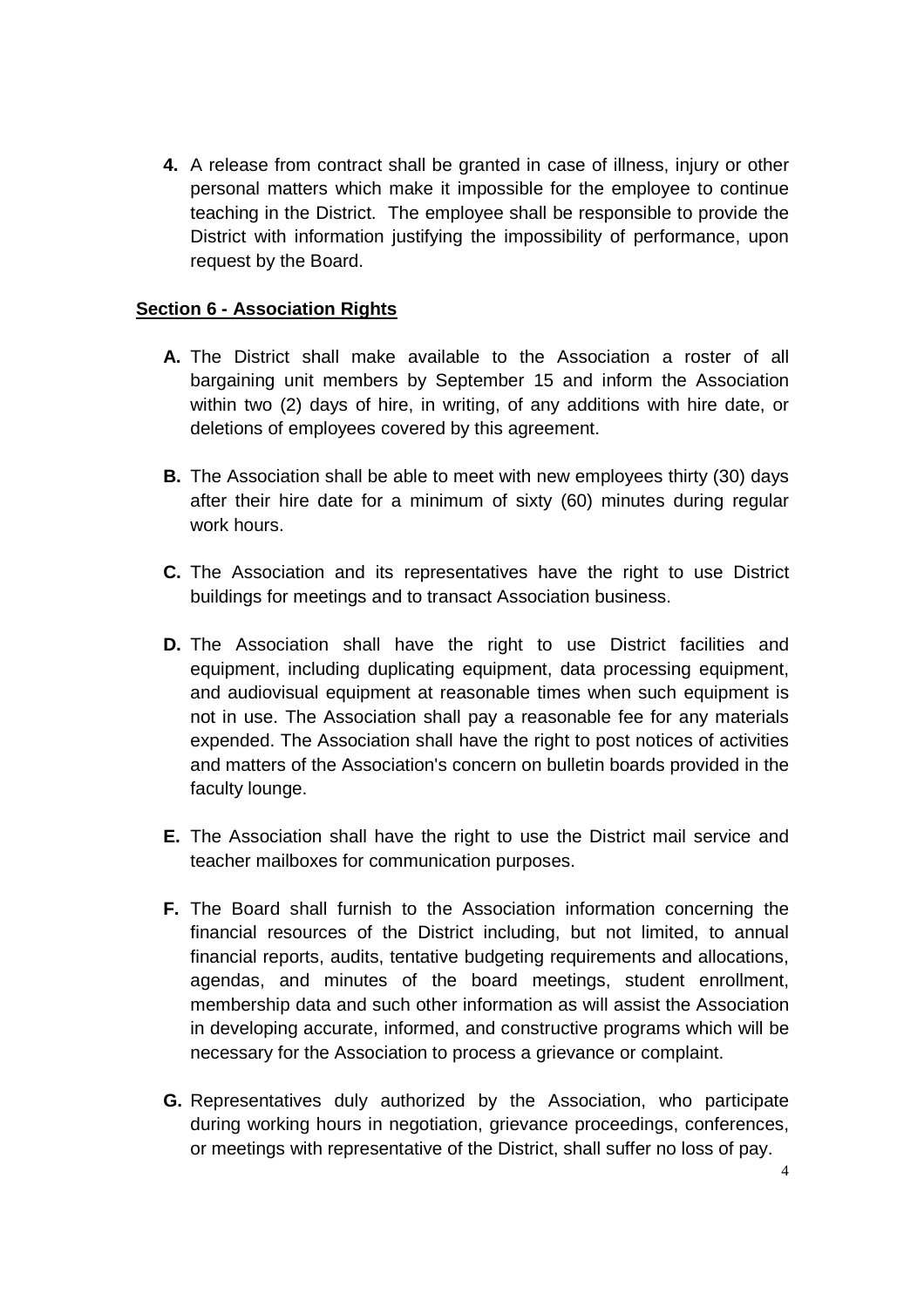**4.** A release from contract shall be granted in case of illness, injury or other personal matters which make it impossible for the employee to continue teaching in the District. The employee shall be responsible to provide the District with information justifying the impossibility of performance, upon request by the Board.

## **Section 6 - Association Rights**

- **A.** The District shall make available to the Association a roster of all bargaining unit members by September 15 and inform the Association within two (2) days of hire, in writing, of any additions with hire date, or deletions of employees covered by this agreement.
- **B.** The Association shall be able to meet with new employees thirty (30) days after their hire date for a minimum of sixty (60) minutes during regular work hours.
- **C.** The Association and its representatives have the right to use District buildings for meetings and to transact Association business.
- **D.** The Association shall have the right to use District facilities and equipment, including duplicating equipment, data processing equipment, and audiovisual equipment at reasonable times when such equipment is not in use. The Association shall pay a reasonable fee for any materials expended. The Association shall have the right to post notices of activities and matters of the Association's concern on bulletin boards provided in the faculty lounge.
- **E.** The Association shall have the right to use the District mail service and teacher mailboxes for communication purposes.
- **F.** The Board shall furnish to the Association information concerning the financial resources of the District including, but not limited, to annual financial reports, audits, tentative budgeting requirements and allocations, agendas, and minutes of the board meetings, student enrollment, membership data and such other information as will assist the Association in developing accurate, informed, and constructive programs which will be necessary for the Association to process a grievance or complaint.
- **G.** Representatives duly authorized by the Association, who participate during working hours in negotiation, grievance proceedings, conferences, or meetings with representative of the District, shall suffer no loss of pay.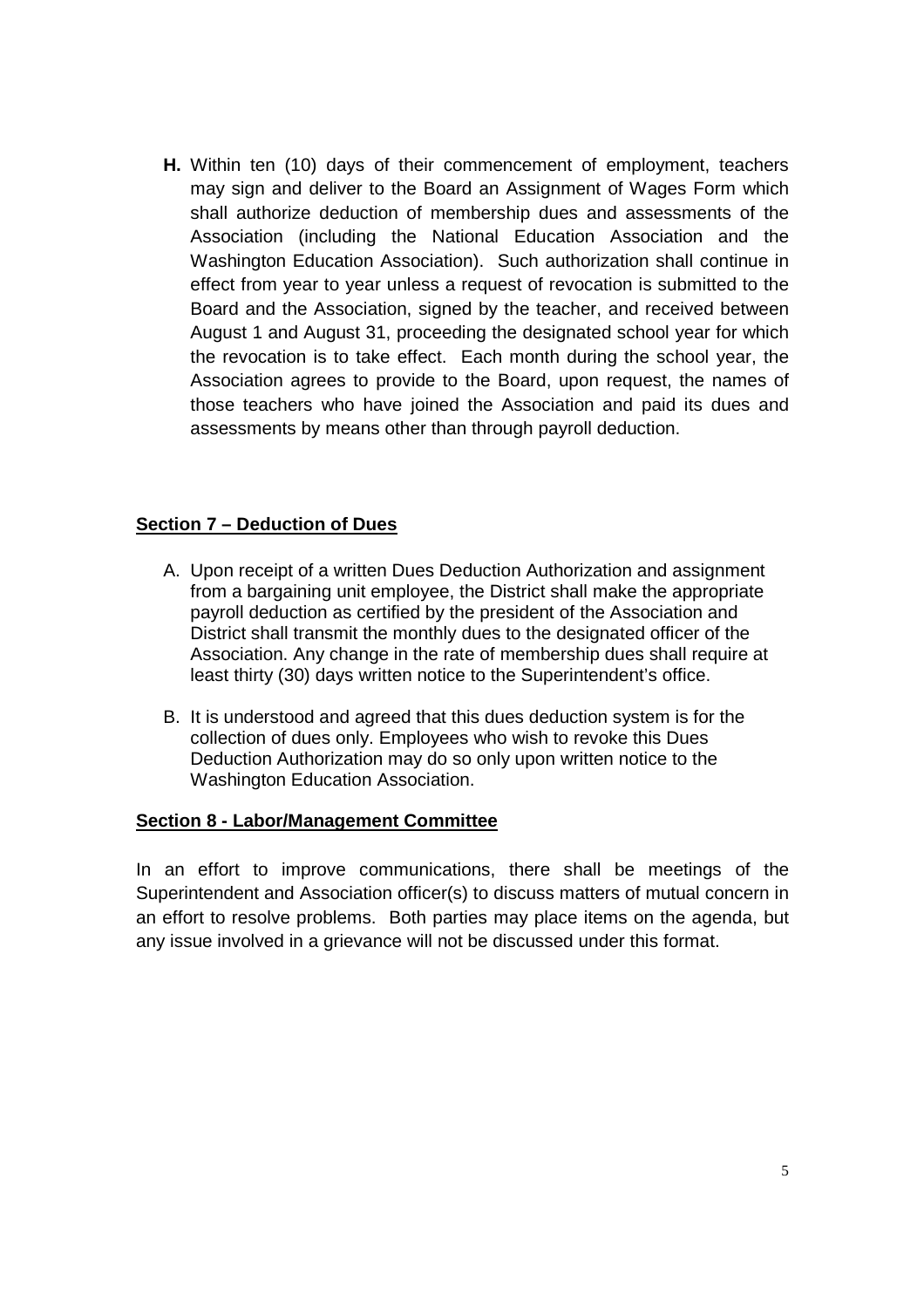**H.** Within ten (10) days of their commencement of employment, teachers may sign and deliver to the Board an Assignment of Wages Form which shall authorize deduction of membership dues and assessments of the Association (including the National Education Association and the Washington Education Association). Such authorization shall continue in effect from year to year unless a request of revocation is submitted to the Board and the Association, signed by the teacher, and received between August 1 and August 31, proceeding the designated school year for which the revocation is to take effect. Each month during the school year, the Association agrees to provide to the Board, upon request, the names of those teachers who have joined the Association and paid its dues and assessments by means other than through payroll deduction.

## **Section 7 – Deduction of Dues**

- A. Upon receipt of a written Dues Deduction Authorization and assignment from a bargaining unit employee, the District shall make the appropriate payroll deduction as certified by the president of the Association and District shall transmit the monthly dues to the designated officer of the Association. Any change in the rate of membership dues shall require at least thirty (30) days written notice to the Superintendent's office.
- B. It is understood and agreed that this dues deduction system is for the collection of dues only. Employees who wish to revoke this Dues Deduction Authorization may do so only upon written notice to the Washington Education Association.

## **Section 8 - Labor/Management Committee**

In an effort to improve communications, there shall be meetings of the Superintendent and Association officer(s) to discuss matters of mutual concern in an effort to resolve problems. Both parties may place items on the agenda, but any issue involved in a grievance will not be discussed under this format.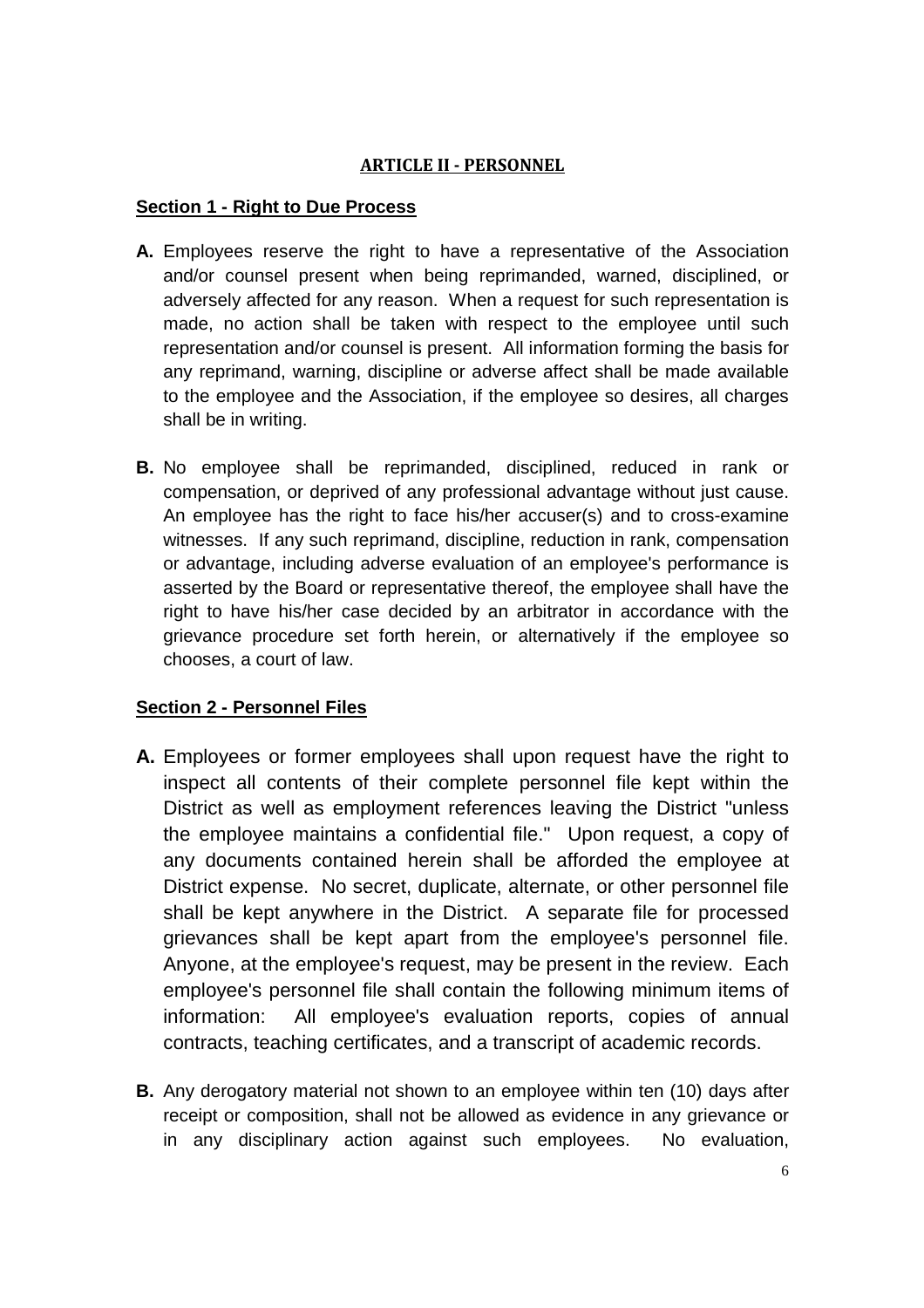### **ARTICLE II - PERSONNEL**

#### **Section 1 - Right to Due Process**

- **A.** Employees reserve the right to have a representative of the Association and/or counsel present when being reprimanded, warned, disciplined, or adversely affected for any reason. When a request for such representation is made, no action shall be taken with respect to the employee until such representation and/or counsel is present. All information forming the basis for any reprimand, warning, discipline or adverse affect shall be made available to the employee and the Association, if the employee so desires, all charges shall be in writing.
- **B.** No employee shall be reprimanded, disciplined, reduced in rank or compensation, or deprived of any professional advantage without just cause. An employee has the right to face his/her accuser(s) and to cross-examine witnesses. If any such reprimand, discipline, reduction in rank, compensation or advantage, including adverse evaluation of an employee's performance is asserted by the Board or representative thereof, the employee shall have the right to have his/her case decided by an arbitrator in accordance with the grievance procedure set forth herein, or alternatively if the employee so chooses, a court of law.

## **Section 2 - Personnel Files**

- **A.** Employees or former employees shall upon request have the right to inspect all contents of their complete personnel file kept within the District as well as employment references leaving the District "unless the employee maintains a confidential file." Upon request, a copy of any documents contained herein shall be afforded the employee at District expense. No secret, duplicate, alternate, or other personnel file shall be kept anywhere in the District. A separate file for processed grievances shall be kept apart from the employee's personnel file. Anyone, at the employee's request, may be present in the review. Each employee's personnel file shall contain the following minimum items of information: All employee's evaluation reports, copies of annual contracts, teaching certificates, and a transcript of academic records.
- **B.** Any derogatory material not shown to an employee within ten (10) days after receipt or composition, shall not be allowed as evidence in any grievance or in any disciplinary action against such employees. No evaluation,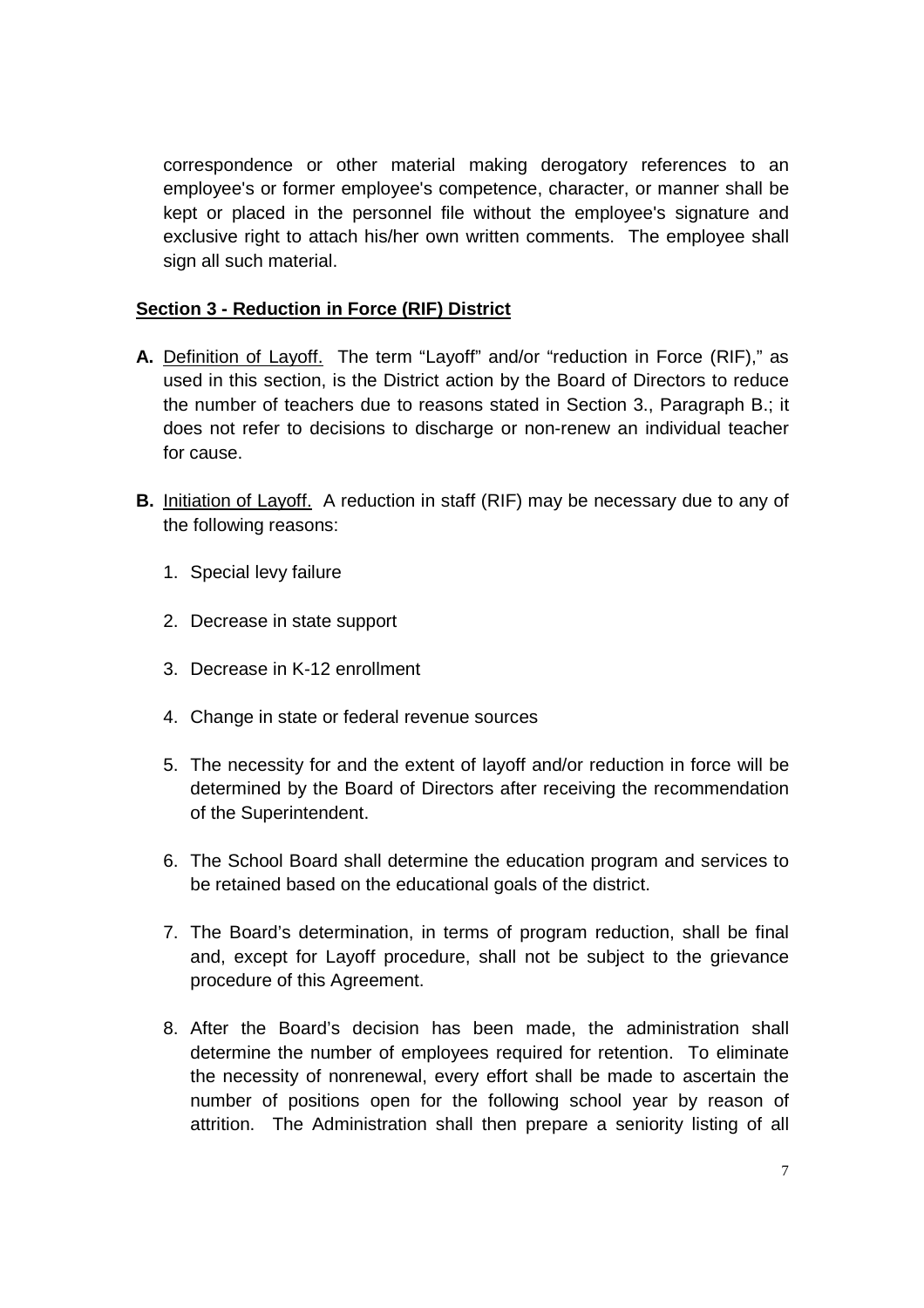correspondence or other material making derogatory references to an employee's or former employee's competence, character, or manner shall be kept or placed in the personnel file without the employee's signature and exclusive right to attach his/her own written comments. The employee shall sign all such material.

## **Section 3 - Reduction in Force (RIF) District**

- **A.** Definition of Layoff. The term "Layoff" and/or "reduction in Force (RIF)," as used in this section, is the District action by the Board of Directors to reduce the number of teachers due to reasons stated in Section 3., Paragraph B.; it does not refer to decisions to discharge or non-renew an individual teacher for cause.
- **B.** Initiation of Layoff. A reduction in staff (RIF) may be necessary due to any of the following reasons:
	- 1. Special levy failure
	- 2. Decrease in state support
	- 3. Decrease in K-12 enrollment
	- 4. Change in state or federal revenue sources
	- 5. The necessity for and the extent of layoff and/or reduction in force will be determined by the Board of Directors after receiving the recommendation of the Superintendent.
	- 6. The School Board shall determine the education program and services to be retained based on the educational goals of the district.
	- 7. The Board's determination, in terms of program reduction, shall be final and, except for Layoff procedure, shall not be subject to the grievance procedure of this Agreement.
	- 8. After the Board's decision has been made, the administration shall determine the number of employees required for retention. To eliminate the necessity of nonrenewal, every effort shall be made to ascertain the number of positions open for the following school year by reason of attrition. The Administration shall then prepare a seniority listing of all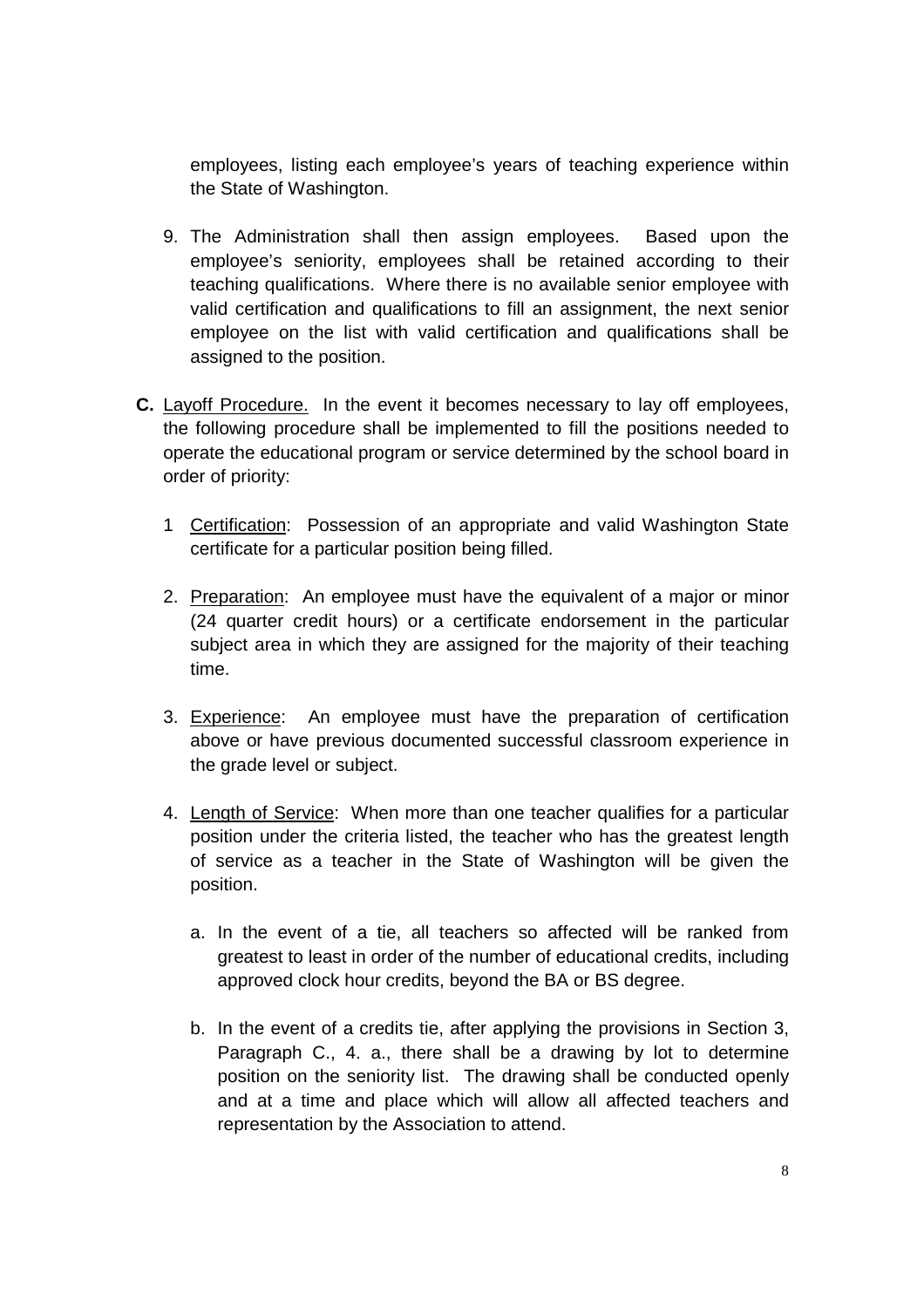employees, listing each employee's years of teaching experience within the State of Washington.

- 9. The Administration shall then assign employees. Based upon the employee's seniority, employees shall be retained according to their teaching qualifications. Where there is no available senior employee with valid certification and qualifications to fill an assignment, the next senior employee on the list with valid certification and qualifications shall be assigned to the position.
- **C.** Layoff Procedure. In the event it becomes necessary to lay off employees, the following procedure shall be implemented to fill the positions needed to operate the educational program or service determined by the school board in order of priority:
	- 1 Certification: Possession of an appropriate and valid Washington State certificate for a particular position being filled.
	- 2. Preparation: An employee must have the equivalent of a major or minor (24 quarter credit hours) or a certificate endorsement in the particular subject area in which they are assigned for the majority of their teaching time.
	- 3. Experience: An employee must have the preparation of certification above or have previous documented successful classroom experience in the grade level or subject.
	- 4. Length of Service: When more than one teacher qualifies for a particular position under the criteria listed, the teacher who has the greatest length of service as a teacher in the State of Washington will be given the position.
		- a. In the event of a tie, all teachers so affected will be ranked from greatest to least in order of the number of educational credits, including approved clock hour credits, beyond the BA or BS degree.
		- b. In the event of a credits tie, after applying the provisions in Section 3, Paragraph C., 4. a., there shall be a drawing by lot to determine position on the seniority list. The drawing shall be conducted openly and at a time and place which will allow all affected teachers and representation by the Association to attend.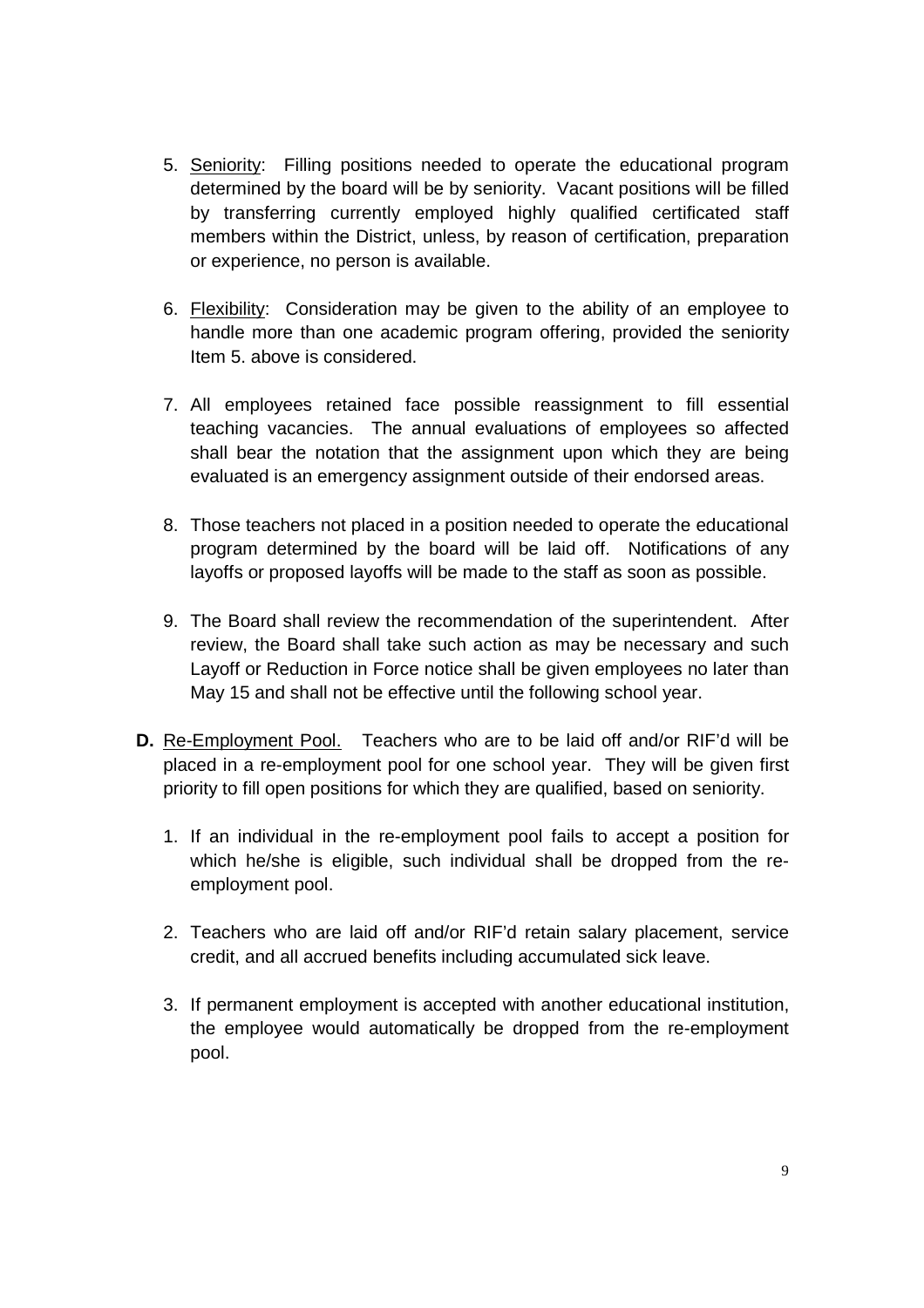- 5. Seniority: Filling positions needed to operate the educational program determined by the board will be by seniority. Vacant positions will be filled by transferring currently employed highly qualified certificated staff members within the District, unless, by reason of certification, preparation or experience, no person is available.
- 6. Flexibility: Consideration may be given to the ability of an employee to handle more than one academic program offering, provided the seniority Item 5. above is considered.
- 7. All employees retained face possible reassignment to fill essential teaching vacancies. The annual evaluations of employees so affected shall bear the notation that the assignment upon which they are being evaluated is an emergency assignment outside of their endorsed areas.
- 8. Those teachers not placed in a position needed to operate the educational program determined by the board will be laid off. Notifications of any layoffs or proposed layoffs will be made to the staff as soon as possible.
- 9. The Board shall review the recommendation of the superintendent. After review, the Board shall take such action as may be necessary and such Layoff or Reduction in Force notice shall be given employees no later than May 15 and shall not be effective until the following school year.
- **D.** Re-Employment Pool. Teachers who are to be laid off and/or RIF'd will be placed in a re-employment pool for one school year. They will be given first priority to fill open positions for which they are qualified, based on seniority.
	- 1. If an individual in the re-employment pool fails to accept a position for which he/she is eligible, such individual shall be dropped from the reemployment pool.
	- 2. Teachers who are laid off and/or RIF'd retain salary placement, service credit, and all accrued benefits including accumulated sick leave.
	- 3. If permanent employment is accepted with another educational institution, the employee would automatically be dropped from the re-employment pool.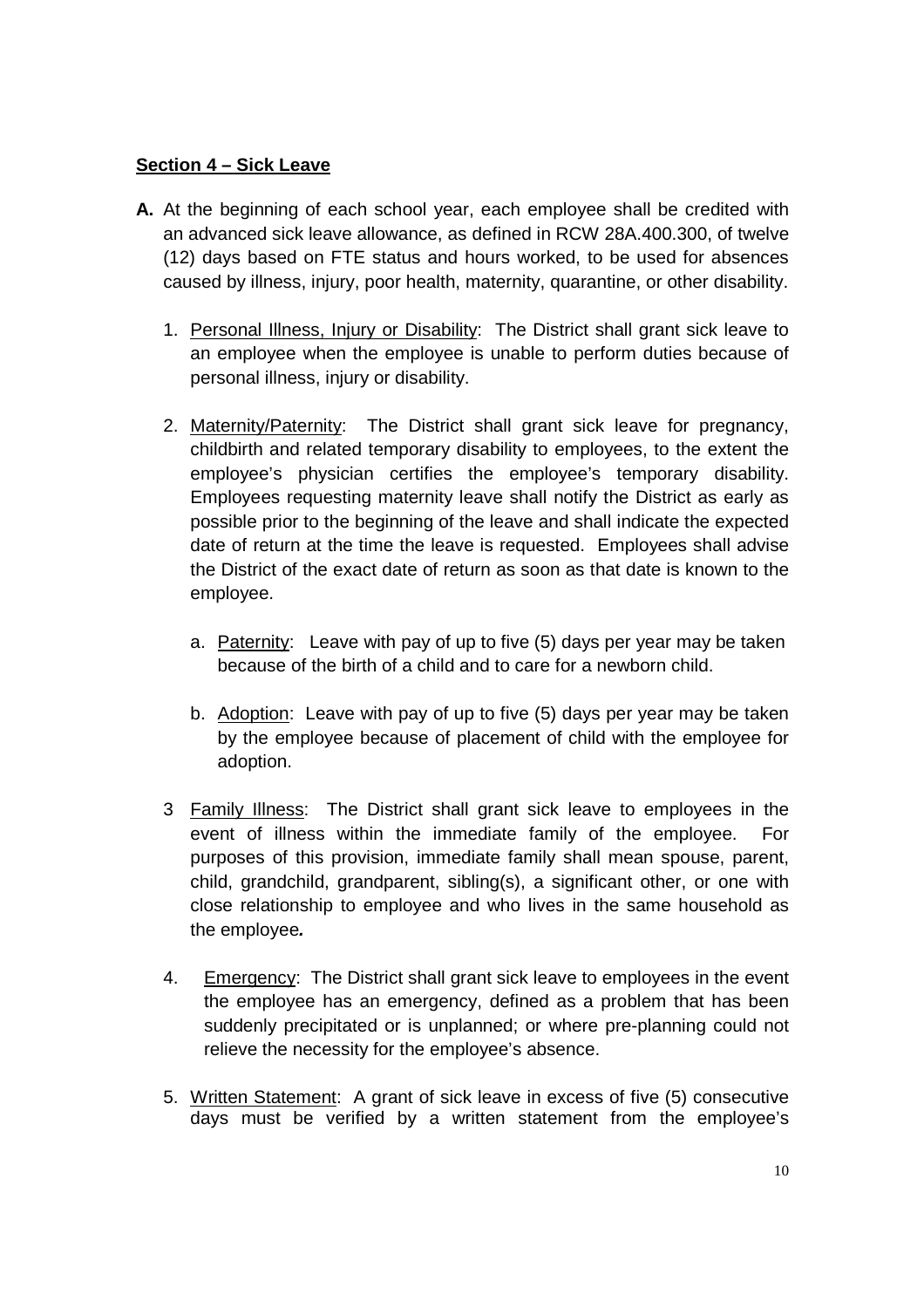## **Section 4 – Sick Leave**

- **A.** At the beginning of each school year, each employee shall be credited with an advanced sick leave allowance, as defined in RCW 28A.400.300, of twelve (12) days based on FTE status and hours worked, to be used for absences caused by illness, injury, poor health, maternity, quarantine, or other disability.
	- 1. Personal Illness, Injury or Disability: The District shall grant sick leave to an employee when the employee is unable to perform duties because of personal illness, injury or disability.
	- 2. Maternity/Paternity: The District shall grant sick leave for pregnancy, childbirth and related temporary disability to employees, to the extent the employee's physician certifies the employee's temporary disability. Employees requesting maternity leave shall notify the District as early as possible prior to the beginning of the leave and shall indicate the expected date of return at the time the leave is requested. Employees shall advise the District of the exact date of return as soon as that date is known to the employee.
		- a. Paternity: Leave with pay of up to five (5) days per year may be taken because of the birth of a child and to care for a newborn child.
		- b. Adoption: Leave with pay of up to five (5) days per year may be taken by the employee because of placement of child with the employee for adoption.
	- 3 Family Illness: The District shall grant sick leave to employees in the event of illness within the immediate family of the employee. For purposes of this provision, immediate family shall mean spouse, parent, child, grandchild, grandparent, sibling(s), a significant other, or one with close relationship to employee and who lives in the same household as the employee**.**
	- 4. Emergency: The District shall grant sick leave to employees in the event the employee has an emergency, defined as a problem that has been suddenly precipitated or is unplanned; or where pre-planning could not relieve the necessity for the employee's absence.
	- 5. Written Statement: A grant of sick leave in excess of five (5) consecutive days must be verified by a written statement from the employee's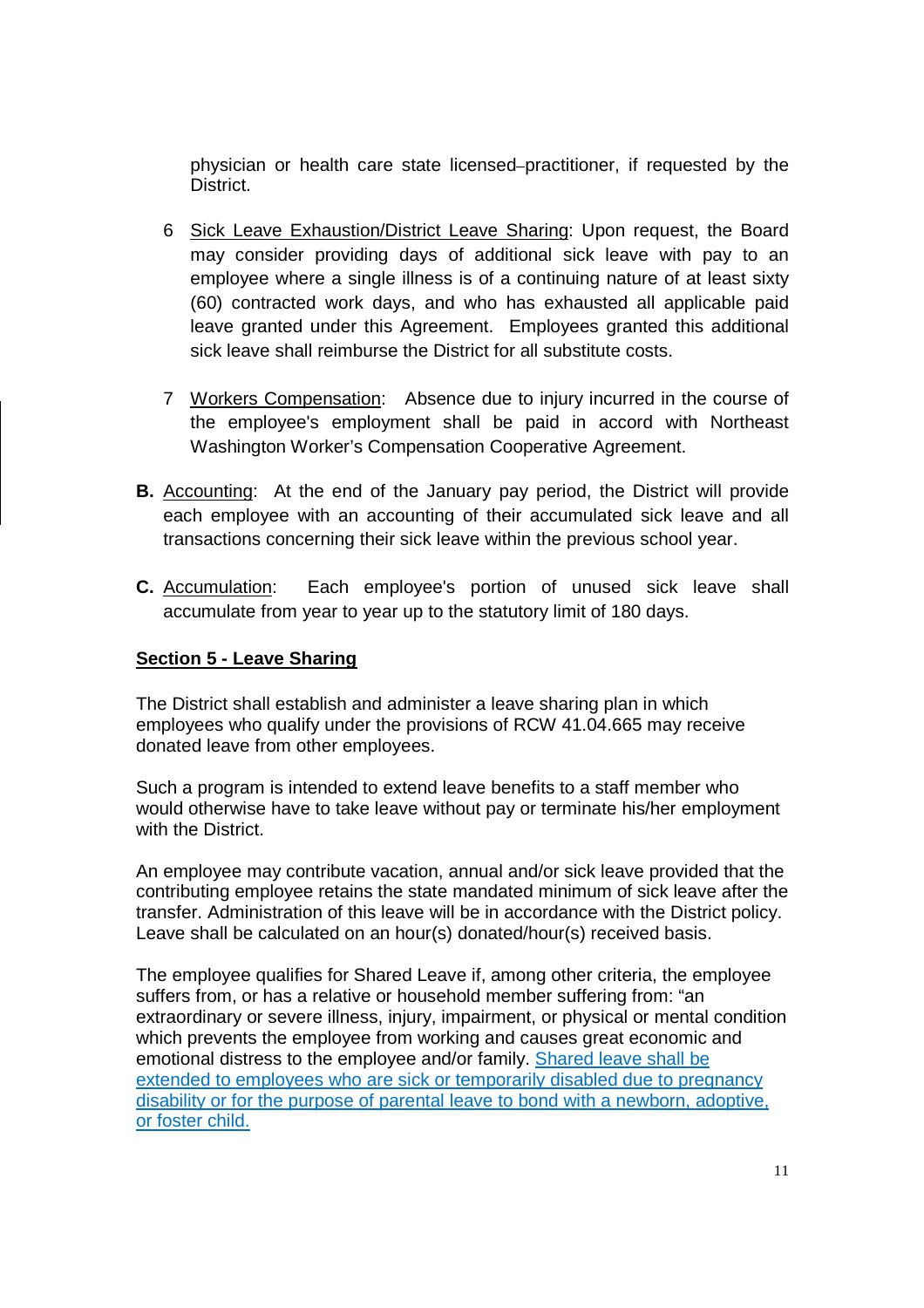physician or health care state licensed practitioner, if requested by the District.

- 6 Sick Leave Exhaustion/District Leave Sharing: Upon request, the Board may consider providing days of additional sick leave with pay to an employee where a single illness is of a continuing nature of at least sixty (60) contracted work days, and who has exhausted all applicable paid leave granted under this Agreement. Employees granted this additional sick leave shall reimburse the District for all substitute costs.
- 7 Workers Compensation: Absence due to injury incurred in the course of the employee's employment shall be paid in accord with Northeast Washington Worker's Compensation Cooperative Agreement.
- **B.** Accounting: At the end of the January pay period, the District will provide each employee with an accounting of their accumulated sick leave and all transactions concerning their sick leave within the previous school year.
- **C.** Accumulation: Each employee's portion of unused sick leave shall accumulate from year to year up to the statutory limit of 180 days.

## **Section 5 - Leave Sharing**

The District shall establish and administer a leave sharing plan in which employees who qualify under the provisions of RCW 41.04.665 may receive donated leave from other employees.

Such a program is intended to extend leave benefits to a staff member who would otherwise have to take leave without pay or terminate his/her employment with the District.

An employee may contribute vacation, annual and/or sick leave provided that the contributing employee retains the state mandated minimum of sick leave after the transfer. Administration of this leave will be in accordance with the District policy. Leave shall be calculated on an hour(s) donated/hour(s) received basis.

The employee qualifies for Shared Leave if, among other criteria, the employee suffers from, or has a relative or household member suffering from: "an extraordinary or severe illness, injury, impairment, or physical or mental condition which prevents the employee from working and causes great economic and emotional distress to the employee and/or family. Shared leave shall be extended to employees who are sick or temporarily disabled due to pregnancy disability or for the purpose of parental leave to bond with a newborn, adoptive, or foster child.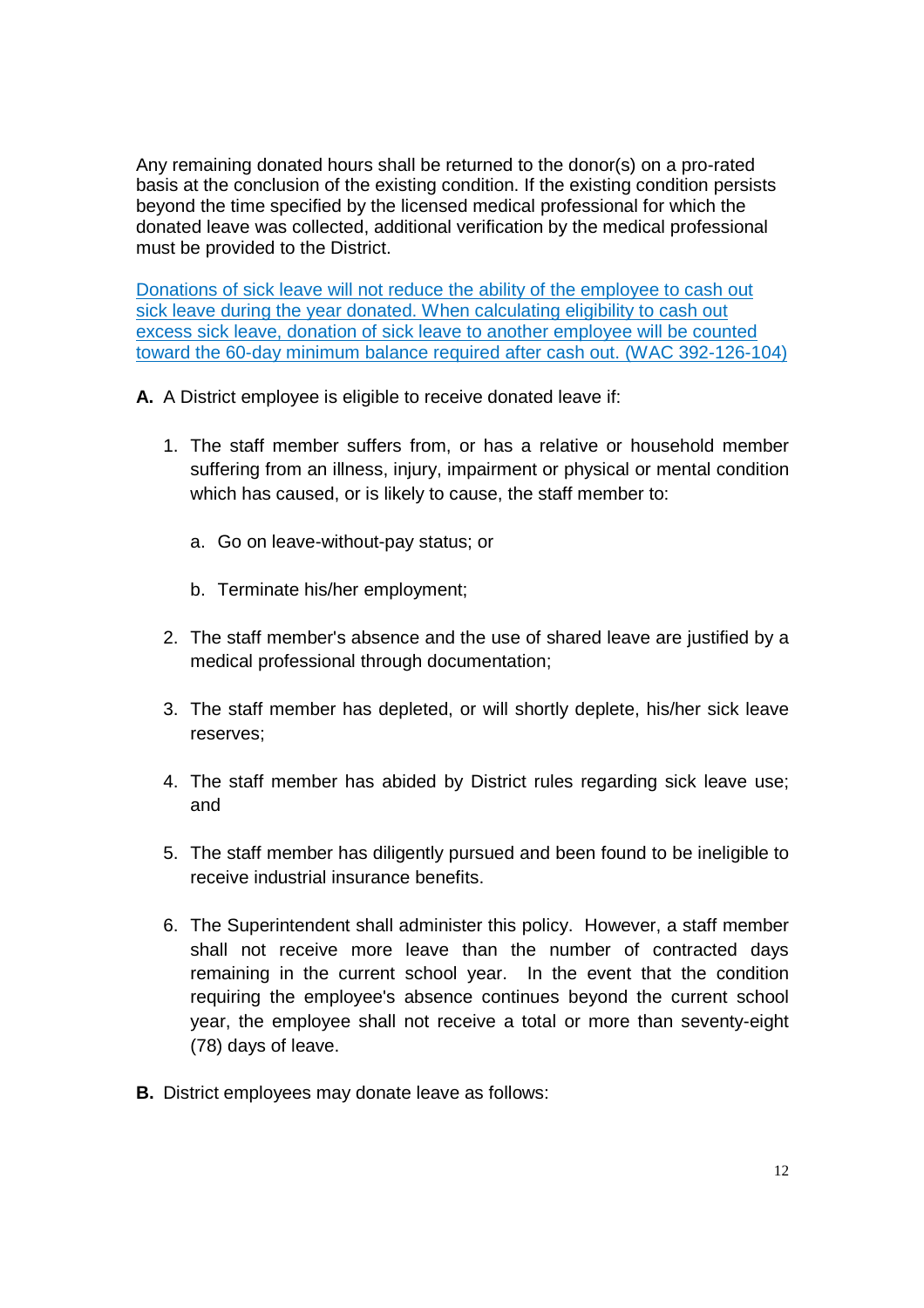Any remaining donated hours shall be returned to the donor(s) on a pro-rated basis at the conclusion of the existing condition. If the existing condition persists beyond the time specified by the licensed medical professional for which the donated leave was collected, additional verification by the medical professional must be provided to the District.

Donations of sick leave will not reduce the ability of the employee to cash out sick leave during the year donated. When calculating eligibility to cash out excess sick leave, donation of sick leave to another employee will be counted toward the 60-day minimum balance required after cash out. (WAC 392-126-104)

- **A.** A District employee is eligible to receive donated leave if:
	- 1. The staff member suffers from, or has a relative or household member suffering from an illness, injury, impairment or physical or mental condition which has caused, or is likely to cause, the staff member to:
		- a. Go on leave-without-pay status; or
		- b. Terminate his/her employment;
	- 2. The staff member's absence and the use of shared leave are justified by a medical professional through documentation;
	- 3. The staff member has depleted, or will shortly deplete, his/her sick leave reserves;
	- 4. The staff member has abided by District rules regarding sick leave use; and
	- 5. The staff member has diligently pursued and been found to be ineligible to receive industrial insurance benefits.
	- 6. The Superintendent shall administer this policy. However, a staff member shall not receive more leave than the number of contracted days remaining in the current school year. In the event that the condition requiring the employee's absence continues beyond the current school year, the employee shall not receive a total or more than seventy-eight (78) days of leave.
- **B.** District employees may donate leave as follows: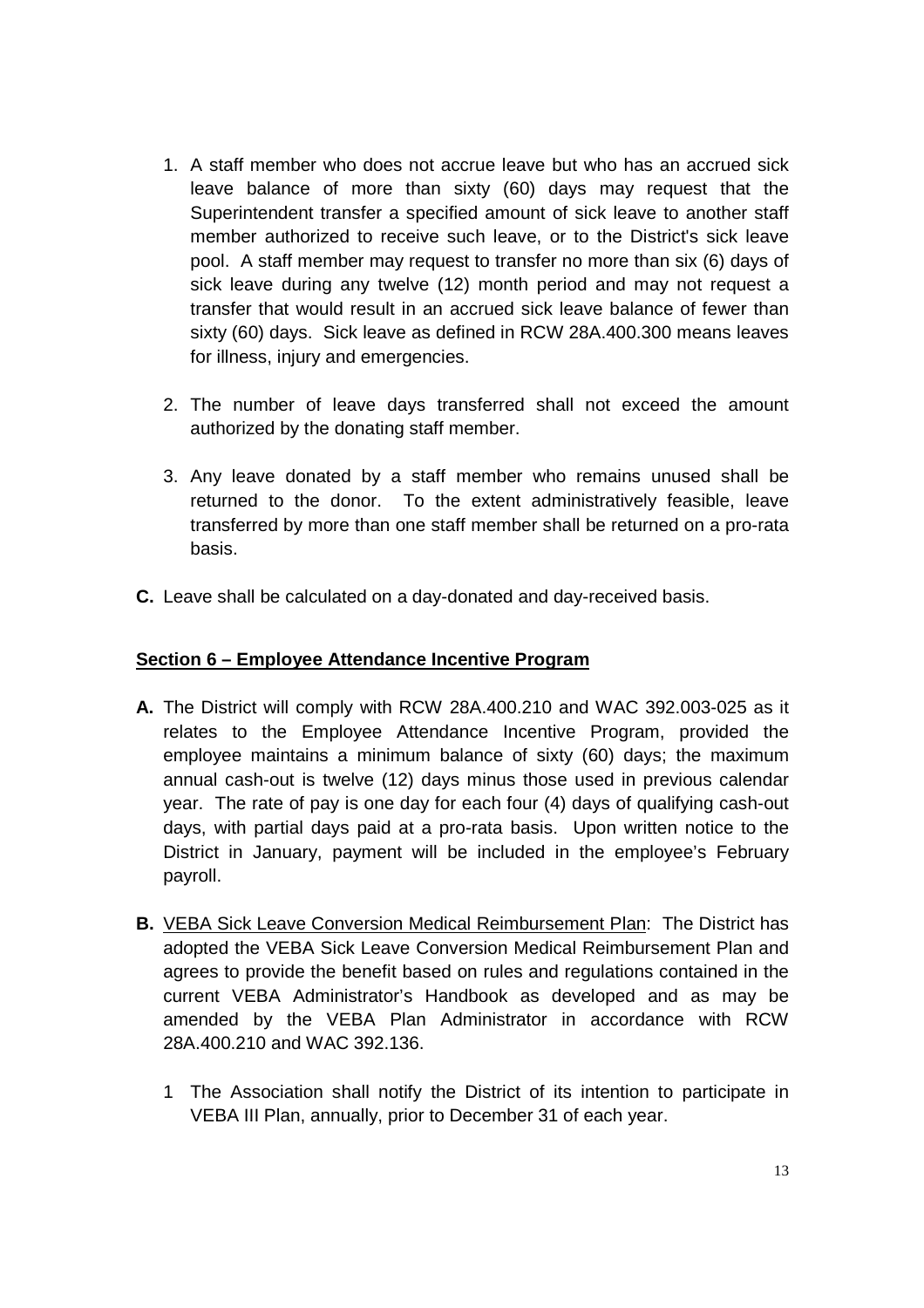- 1. A staff member who does not accrue leave but who has an accrued sick leave balance of more than sixty (60) days may request that the Superintendent transfer a specified amount of sick leave to another staff member authorized to receive such leave, or to the District's sick leave pool. A staff member may request to transfer no more than six (6) days of sick leave during any twelve (12) month period and may not request a transfer that would result in an accrued sick leave balance of fewer than sixty (60) days. Sick leave as defined in RCW 28A.400.300 means leaves for illness, injury and emergencies.
- 2. The number of leave days transferred shall not exceed the amount authorized by the donating staff member.
- 3. Any leave donated by a staff member who remains unused shall be returned to the donor. To the extent administratively feasible, leave transferred by more than one staff member shall be returned on a pro-rata basis.
- **C.** Leave shall be calculated on a day-donated and day-received basis.

## **Section 6 – Employee Attendance Incentive Program**

- **A.** The District will comply with RCW 28A.400.210 and WAC 392.003-025 as it relates to the Employee Attendance Incentive Program, provided the employee maintains a minimum balance of sixty (60) days; the maximum annual cash-out is twelve (12) days minus those used in previous calendar year. The rate of pay is one day for each four (4) days of qualifying cash-out days, with partial days paid at a pro-rata basis. Upon written notice to the District in January, payment will be included in the employee's February payroll.
- **B.** VEBA Sick Leave Conversion Medical Reimbursement Plan: The District has adopted the VEBA Sick Leave Conversion Medical Reimbursement Plan and agrees to provide the benefit based on rules and regulations contained in the current VEBA Administrator's Handbook as developed and as may be amended by the VEBA Plan Administrator in accordance with RCW 28A.400.210 and WAC 392.136.
	- 1 The Association shall notify the District of its intention to participate in VEBA III Plan, annually, prior to December 31 of each year.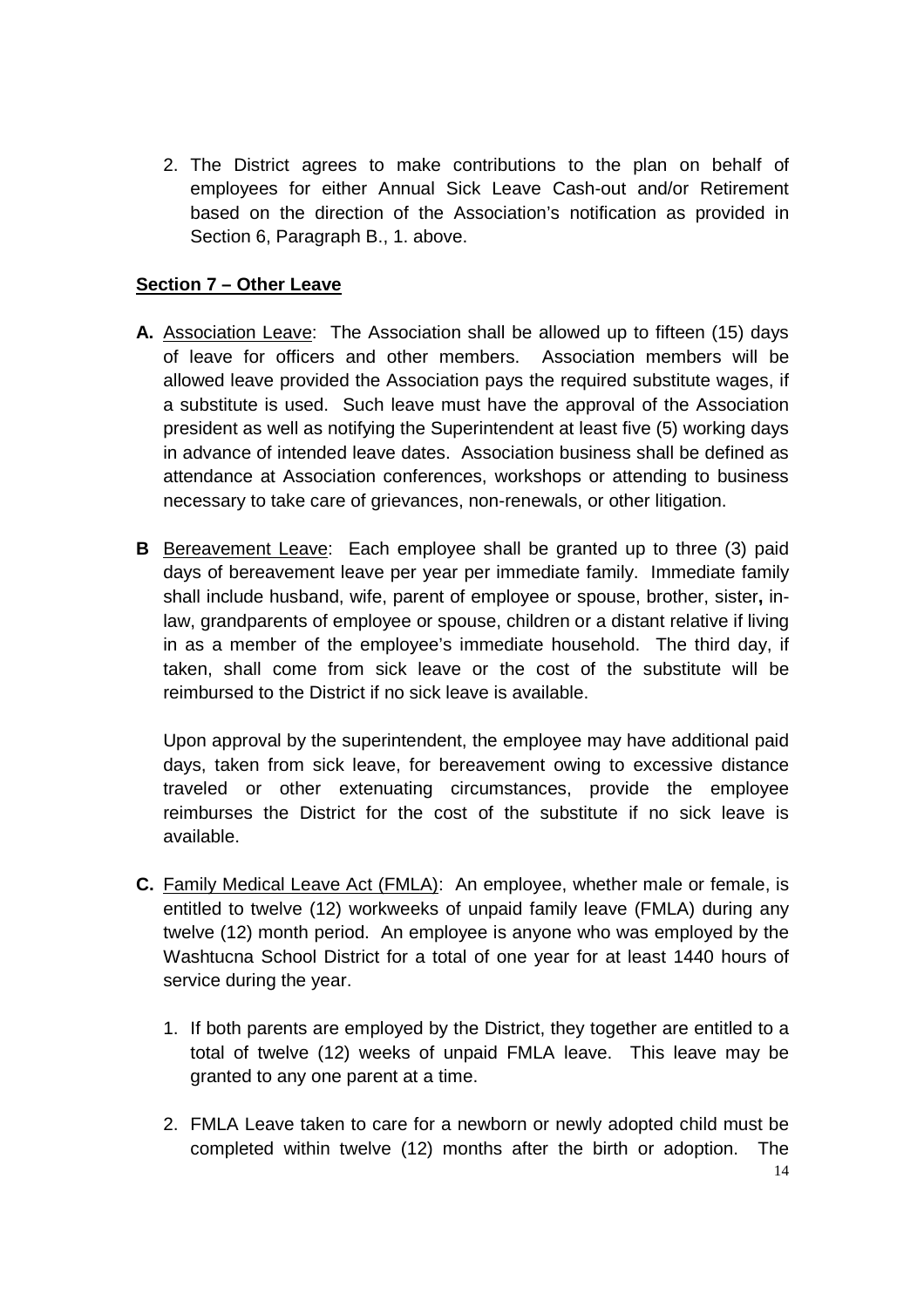2. The District agrees to make contributions to the plan on behalf of employees for either Annual Sick Leave Cash-out and/or Retirement based on the direction of the Association's notification as provided in Section 6, Paragraph B., 1. above.

## **Section 7 – Other Leave**

- **A.** Association Leave: The Association shall be allowed up to fifteen (15) days of leave for officers and other members. Association members will be allowed leave provided the Association pays the required substitute wages, if a substitute is used. Such leave must have the approval of the Association president as well as notifying the Superintendent at least five (5) working days in advance of intended leave dates. Association business shall be defined as attendance at Association conferences, workshops or attending to business necessary to take care of grievances, non-renewals, or other litigation.
- **B** Bereavement Leave: Each employee shall be granted up to three (3) paid days of bereavement leave per year per immediate family. Immediate family shall include husband, wife, parent of employee or spouse, brother, sister**,** inlaw, grandparents of employee or spouse, children or a distant relative if living in as a member of the employee's immediate household. The third day, if taken, shall come from sick leave or the cost of the substitute will be reimbursed to the District if no sick leave is available.

Upon approval by the superintendent, the employee may have additional paid days, taken from sick leave, for bereavement owing to excessive distance traveled or other extenuating circumstances, provide the employee reimburses the District for the cost of the substitute if no sick leave is available.

- **C.** Family Medical Leave Act (FMLA): An employee, whether male or female, is entitled to twelve (12) workweeks of unpaid family leave (FMLA) during any twelve (12) month period. An employee is anyone who was employed by the Washtucna School District for a total of one year for at least 1440 hours of service during the year.
	- 1. If both parents are employed by the District, they together are entitled to a total of twelve (12) weeks of unpaid FMLA leave. This leave may be granted to any one parent at a time.
	- 2. FMLA Leave taken to care for a newborn or newly adopted child must be completed within twelve (12) months after the birth or adoption. The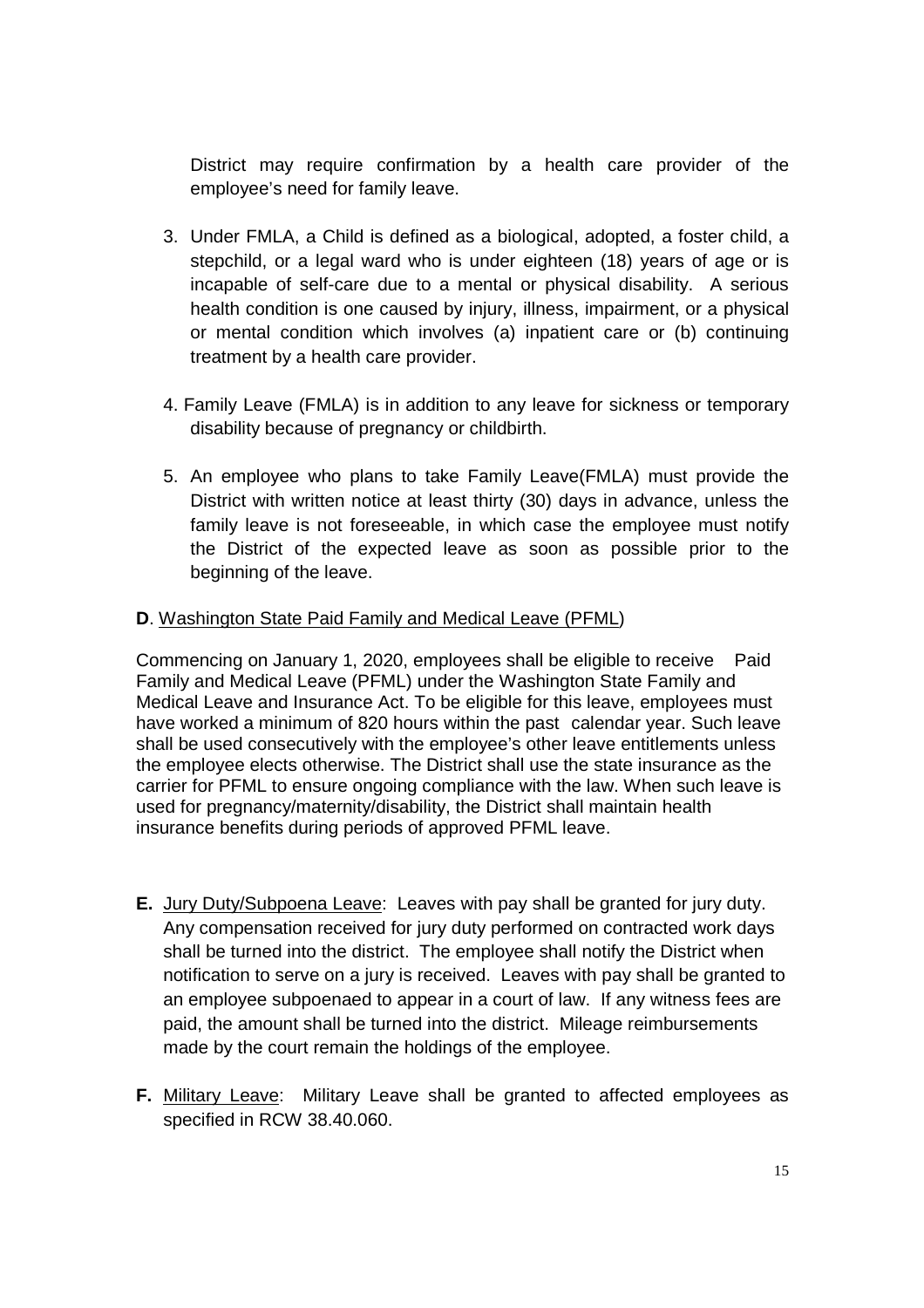District may require confirmation by a health care provider of the employee's need for family leave.

- 3. Under FMLA, a Child is defined as a biological, adopted, a foster child, a stepchild, or a legal ward who is under eighteen (18) years of age or is incapable of self-care due to a mental or physical disability. A serious health condition is one caused by injury, illness, impairment, or a physical or mental condition which involves (a) inpatient care or (b) continuing treatment by a health care provider.
- 4. Family Leave (FMLA) is in addition to any leave for sickness or temporary disability because of pregnancy or childbirth.
- 5. An employee who plans to take Family Leave(FMLA) must provide the District with written notice at least thirty (30) days in advance, unless the family leave is not foreseeable, in which case the employee must notify the District of the expected leave as soon as possible prior to the beginning of the leave.

## **D**. Washington State Paid Family and Medical Leave (PFML)

Commencing on January 1, 2020, employees shall be eligible to receive Paid Family and Medical Leave (PFML) under the Washington State Family and Medical Leave and Insurance Act. To be eligible for this leave, employees must have worked a minimum of 820 hours within the past calendar year. Such leave shall be used consecutively with the employee's other leave entitlements unless the employee elects otherwise. The District shall use the state insurance as the carrier for PFML to ensure ongoing compliance with the law. When such leave is used for pregnancy/maternity/disability, the District shall maintain health insurance benefits during periods of approved PFML leave.

- **E.** Jury Duty/Subpoena Leave: Leaves with pay shall be granted for jury duty. Any compensation received for jury duty performed on contracted work days shall be turned into the district. The employee shall notify the District when notification to serve on a jury is received. Leaves with pay shall be granted to an employee subpoenaed to appear in a court of law. If any witness fees are paid, the amount shall be turned into the district. Mileage reimbursements made by the court remain the holdings of the employee.
- **F.** Military Leave: Military Leave shall be granted to affected employees as specified in RCW 38.40.060.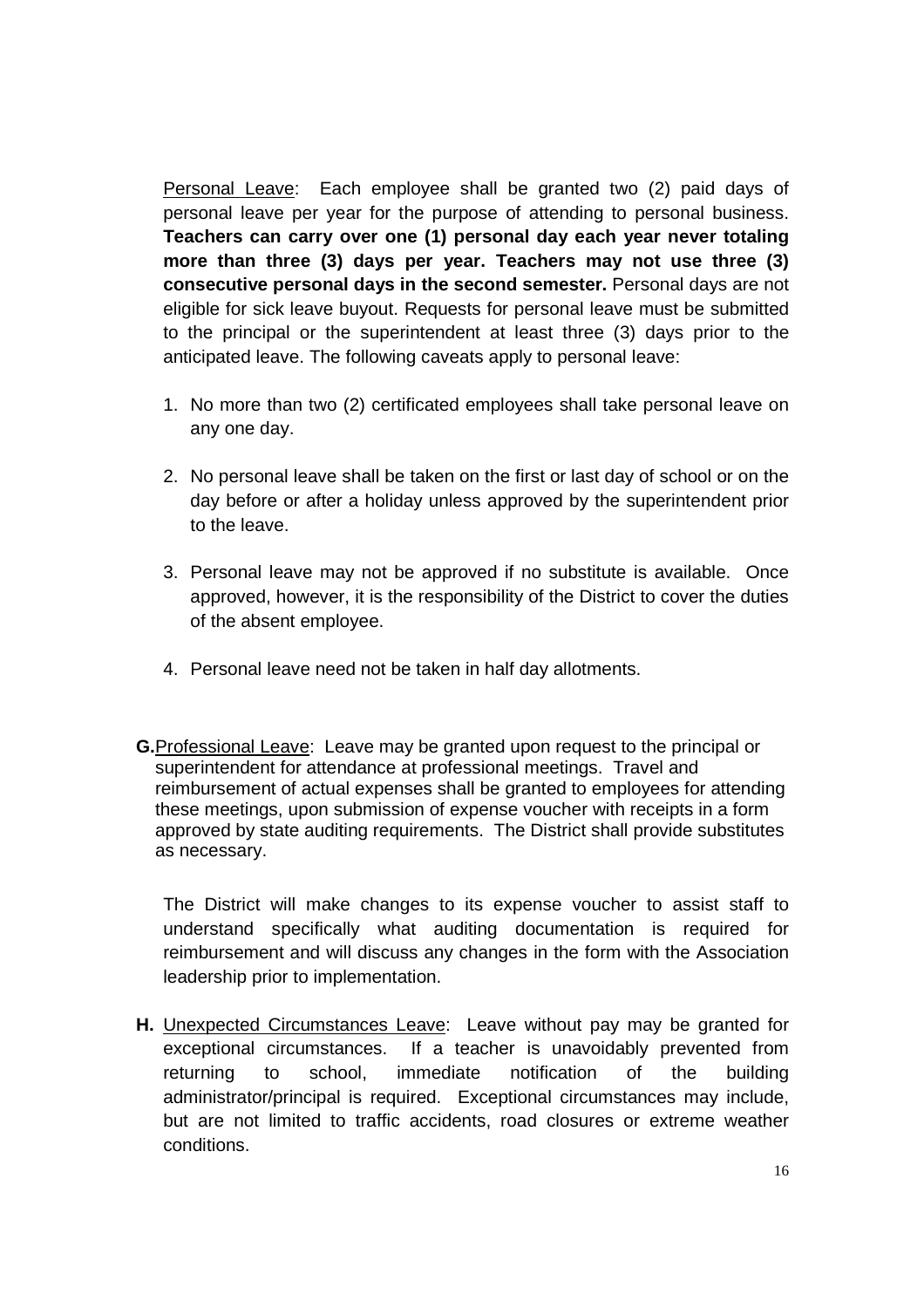Personal Leave: Each employee shall be granted two (2) paid days of personal leave per year for the purpose of attending to personal business. **Teachers can carry over one (1) personal day each year never totaling more than three (3) days per year. Teachers may not use three (3) consecutive personal days in the second semester.** Personal days are not eligible for sick leave buyout. Requests for personal leave must be submitted to the principal or the superintendent at least three (3) days prior to the anticipated leave. The following caveats apply to personal leave:

- 1. No more than two (2) certificated employees shall take personal leave on any one day.
- 2. No personal leave shall be taken on the first or last day of school or on the day before or after a holiday unless approved by the superintendent prior to the leave.
- 3. Personal leave may not be approved if no substitute is available. Once approved, however, it is the responsibility of the District to cover the duties of the absent employee.
- 4. Personal leave need not be taken in half day allotments.
- **G.**Professional Leave: Leave may be granted upon request to the principal or superintendent for attendance at professional meetings. Travel and reimbursement of actual expenses shall be granted to employees for attending these meetings, upon submission of expense voucher with receipts in a form approved by state auditing requirements. The District shall provide substitutes as necessary.

The District will make changes to its expense voucher to assist staff to understand specifically what auditing documentation is required for reimbursement and will discuss any changes in the form with the Association leadership prior to implementation.

**H.** Unexpected Circumstances Leave: Leave without pay may be granted for exceptional circumstances. If a teacher is unavoidably prevented from returning to school, immediate notification of the building administrator/principal is required. Exceptional circumstances may include, but are not limited to traffic accidents, road closures or extreme weather conditions.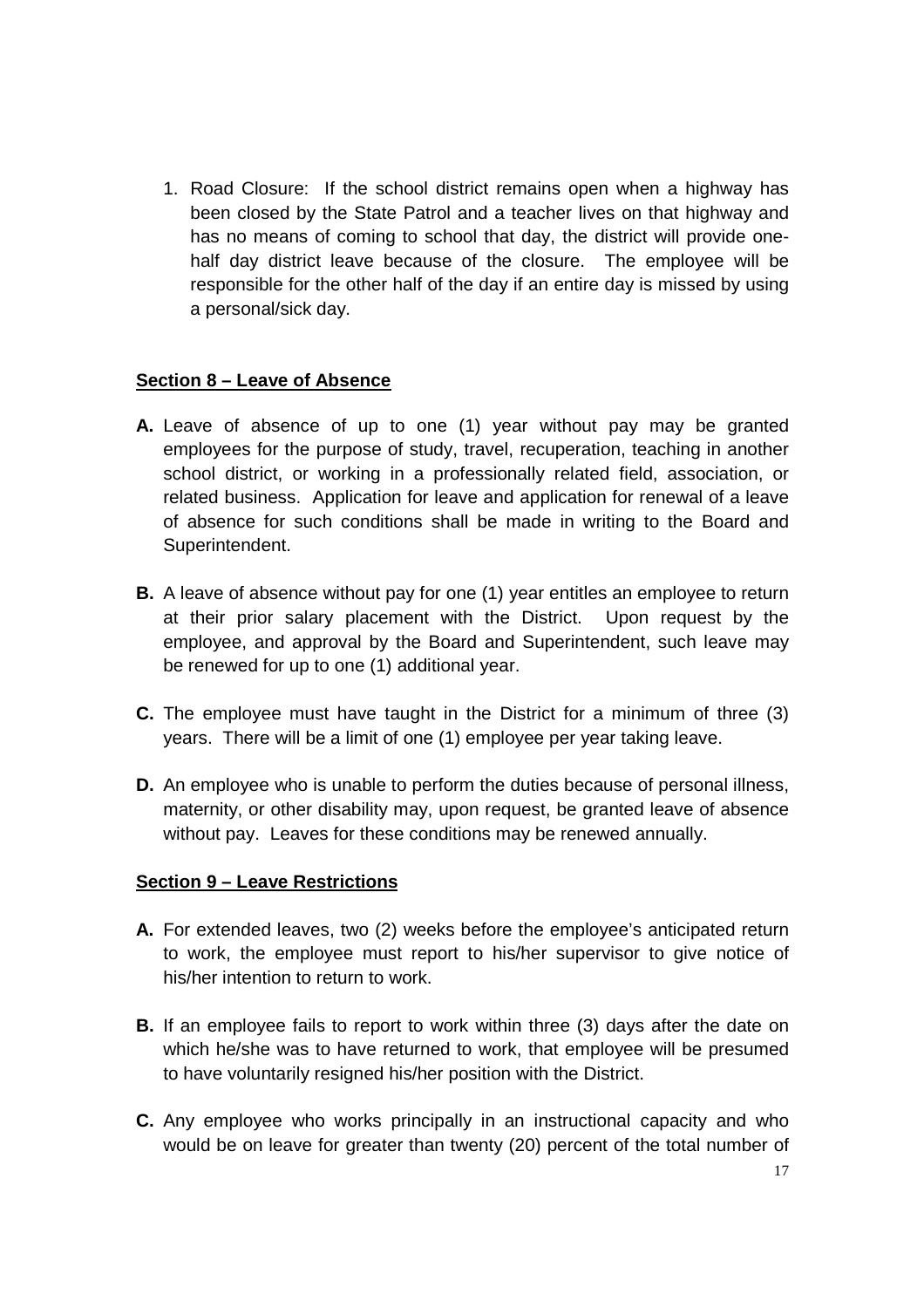1. Road Closure: If the school district remains open when a highway has been closed by the State Patrol and a teacher lives on that highway and has no means of coming to school that day, the district will provide onehalf day district leave because of the closure. The employee will be responsible for the other half of the day if an entire day is missed by using a personal/sick day.

## **Section 8 – Leave of Absence**

- **A.** Leave of absence of up to one (1) year without pay may be granted employees for the purpose of study, travel, recuperation, teaching in another school district, or working in a professionally related field, association, or related business. Application for leave and application for renewal of a leave of absence for such conditions shall be made in writing to the Board and Superintendent.
- **B.** A leave of absence without pay for one (1) year entitles an employee to return at their prior salary placement with the District. Upon request by the employee, and approval by the Board and Superintendent, such leave may be renewed for up to one (1) additional year.
- **C.** The employee must have taught in the District for a minimum of three (3) years. There will be a limit of one (1) employee per year taking leave.
- **D.** An employee who is unable to perform the duties because of personal illness, maternity, or other disability may, upon request, be granted leave of absence without pay. Leaves for these conditions may be renewed annually.

#### **Section 9 – Leave Restrictions**

- **A.** For extended leaves, two (2) weeks before the employee's anticipated return to work, the employee must report to his/her supervisor to give notice of his/her intention to return to work.
- **B.** If an employee fails to report to work within three (3) days after the date on which he/she was to have returned to work, that employee will be presumed to have voluntarily resigned his/her position with the District.
- **C.** Any employee who works principally in an instructional capacity and who would be on leave for greater than twenty (20) percent of the total number of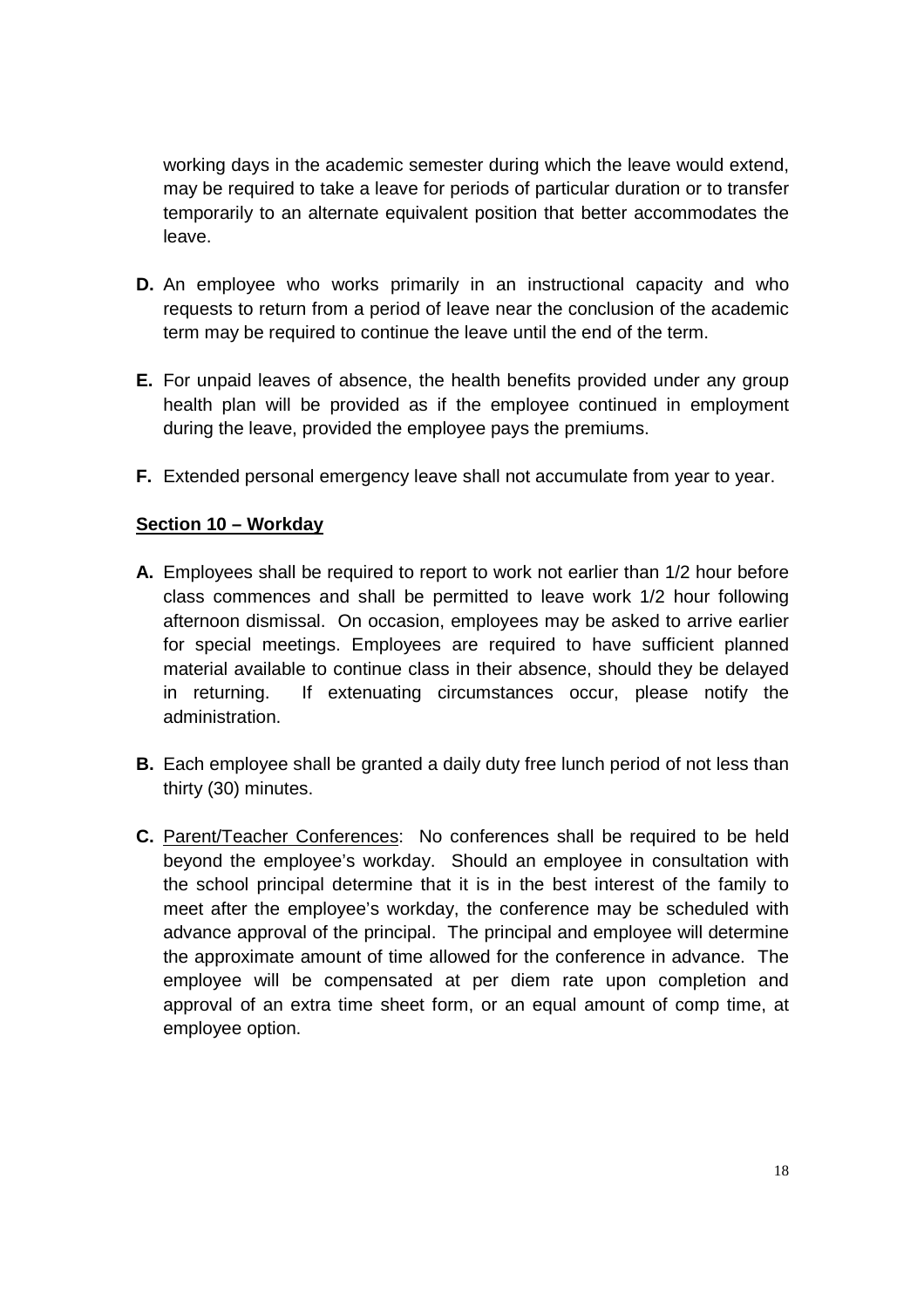working days in the academic semester during which the leave would extend, may be required to take a leave for periods of particular duration or to transfer temporarily to an alternate equivalent position that better accommodates the leave.

- **D.** An employee who works primarily in an instructional capacity and who requests to return from a period of leave near the conclusion of the academic term may be required to continue the leave until the end of the term.
- **E.** For unpaid leaves of absence, the health benefits provided under any group health plan will be provided as if the employee continued in employment during the leave, provided the employee pays the premiums.
- **F.** Extended personal emergency leave shall not accumulate from year to year.

## **Section 10 – Workday**

- **A.** Employees shall be required to report to work not earlier than 1/2 hour before class commences and shall be permitted to leave work 1/2 hour following afternoon dismissal. On occasion, employees may be asked to arrive earlier for special meetings. Employees are required to have sufficient planned material available to continue class in their absence, should they be delayed in returning. If extenuating circumstances occur, please notify the administration.
- **B.** Each employee shall be granted a daily duty free lunch period of not less than thirty (30) minutes.
- **C.** Parent/Teacher Conferences: No conferences shall be required to be held beyond the employee's workday. Should an employee in consultation with the school principal determine that it is in the best interest of the family to meet after the employee's workday, the conference may be scheduled with advance approval of the principal. The principal and employee will determine the approximate amount of time allowed for the conference in advance. The employee will be compensated at per diem rate upon completion and approval of an extra time sheet form, or an equal amount of comp time, at employee option.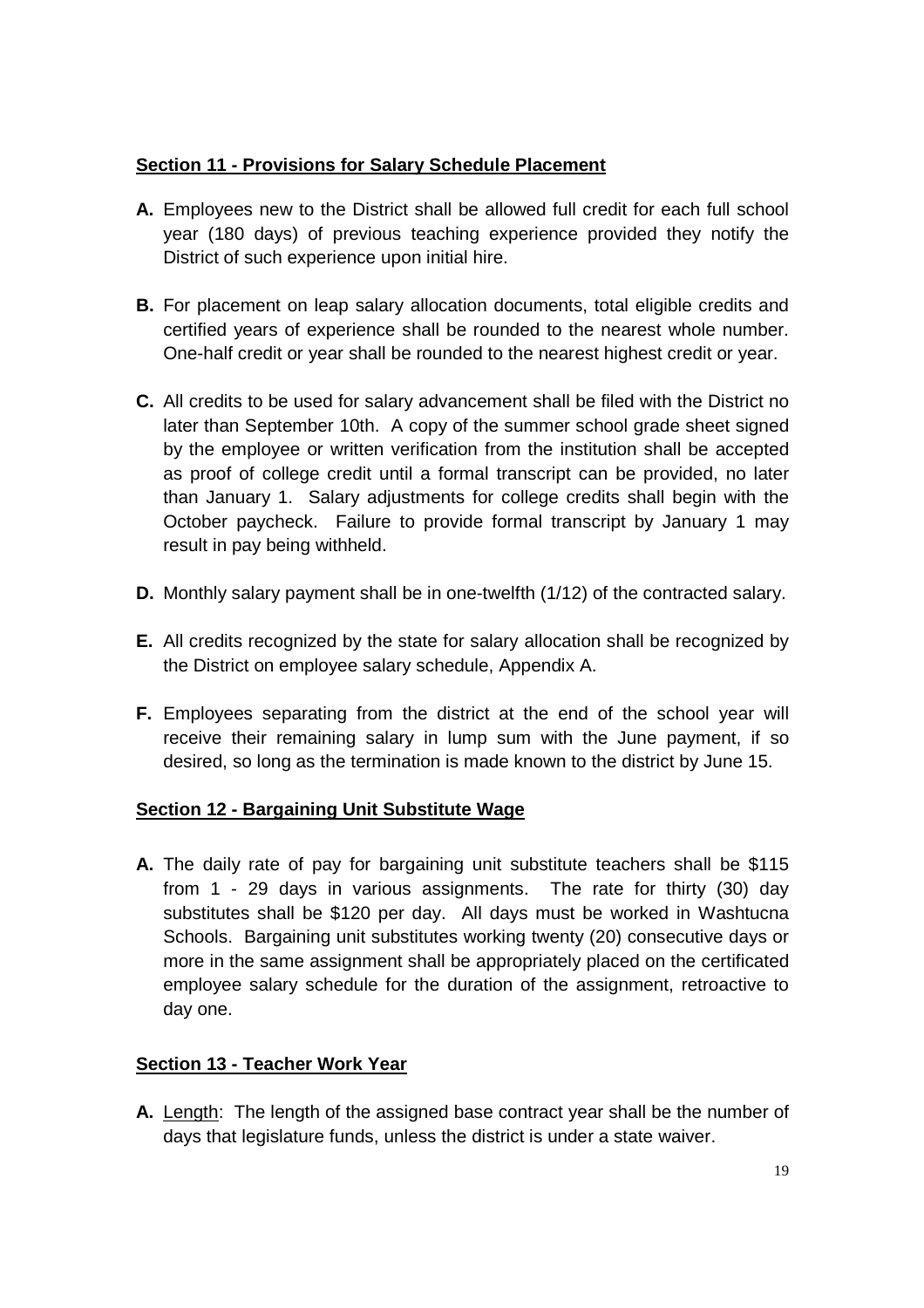## **Section 11 - Provisions for Salary Schedule Placement**

- **A.** Employees new to the District shall be allowed full credit for each full school year (180 days) of previous teaching experience provided they notify the District of such experience upon initial hire.
- **B.** For placement on leap salary allocation documents, total eligible credits and certified years of experience shall be rounded to the nearest whole number. One-half credit or year shall be rounded to the nearest highest credit or year.
- **C.** All credits to be used for salary advancement shall be filed with the District no later than September 10th. A copy of the summer school grade sheet signed by the employee or written verification from the institution shall be accepted as proof of college credit until a formal transcript can be provided, no later than January 1. Salary adjustments for college credits shall begin with the October paycheck. Failure to provide formal transcript by January 1 may result in pay being withheld.
- **D.** Monthly salary payment shall be in one-twelfth (1/12) of the contracted salary.
- **E.** All credits recognized by the state for salary allocation shall be recognized by the District on employee salary schedule, Appendix A.
- **F.** Employees separating from the district at the end of the school year will receive their remaining salary in lump sum with the June payment, if so desired, so long as the termination is made known to the district by June 15.

## **Section 12 - Bargaining Unit Substitute Wage**

**A.** The daily rate of pay for bargaining unit substitute teachers shall be \$115 from 1 - 29 days in various assignments. The rate for thirty (30) day substitutes shall be \$120 per day. All days must be worked in Washtucna Schools. Bargaining unit substitutes working twenty (20) consecutive days or more in the same assignment shall be appropriately placed on the certificated employee salary schedule for the duration of the assignment, retroactive to day one.

## **Section 13 - Teacher Work Year**

**A.** Length: The length of the assigned base contract year shall be the number of days that legislature funds, unless the district is under a state waiver.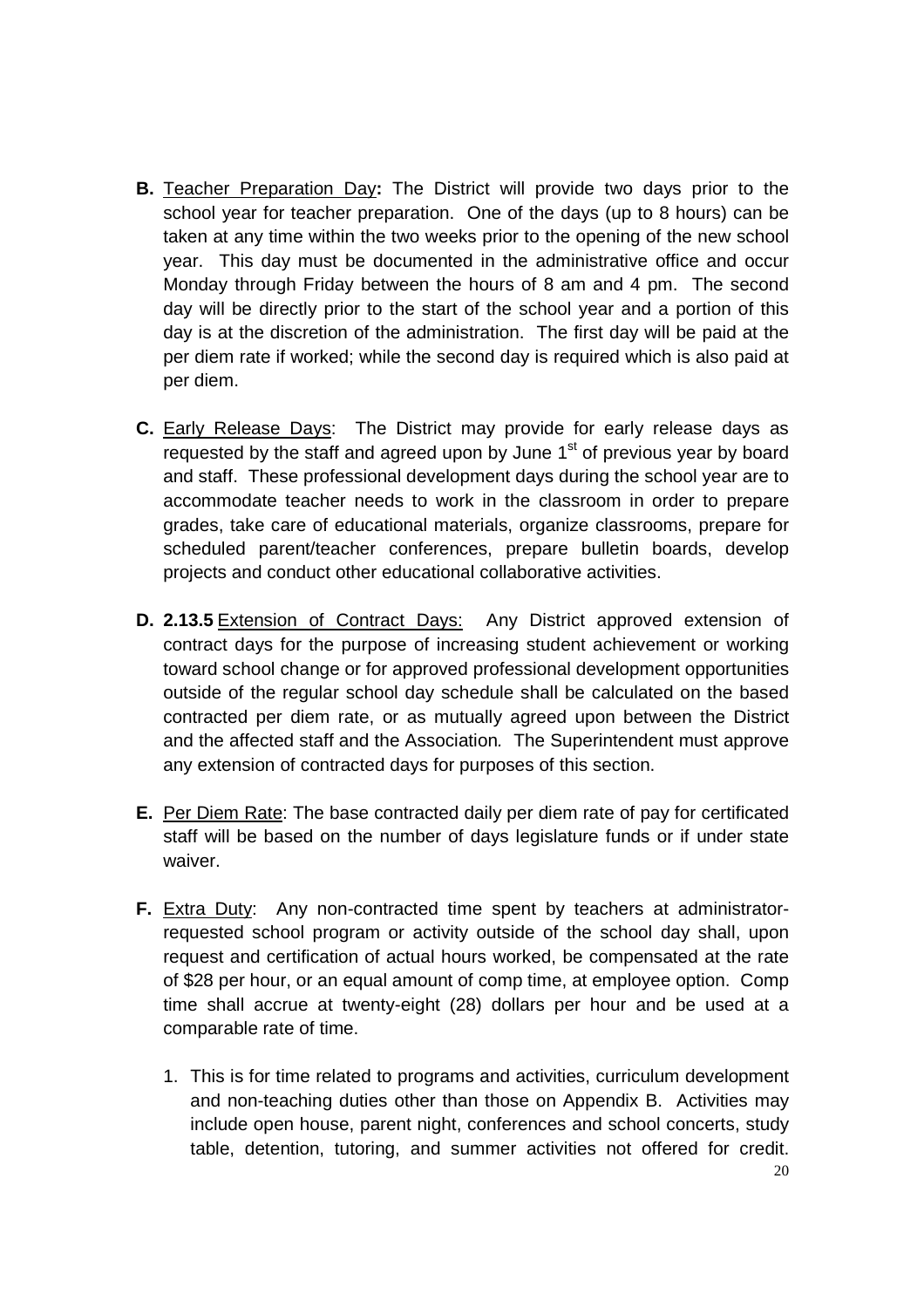- **B.** Teacher Preparation Day**:** The District will provide two days prior to the school year for teacher preparation. One of the days (up to 8 hours) can be taken at any time within the two weeks prior to the opening of the new school year. This day must be documented in the administrative office and occur Monday through Friday between the hours of 8 am and 4 pm. The second day will be directly prior to the start of the school year and a portion of this day is at the discretion of the administration. The first day will be paid at the per diem rate if worked; while the second day is required which is also paid at per diem.
- **C.** Early Release Days: The District may provide for early release days as requested by the staff and agreed upon by June 1<sup>st</sup> of previous year by board and staff. These professional development days during the school year are to accommodate teacher needs to work in the classroom in order to prepare grades, take care of educational materials, organize classrooms, prepare for scheduled parent/teacher conferences, prepare bulletin boards, develop projects and conduct other educational collaborative activities.
- **D. 2.13.5** Extension of Contract Days: Any District approved extension of contract days for the purpose of increasing student achievement or working toward school change or for approved professional development opportunities outside of the regular school day schedule shall be calculated on the based contracted per diem rate, or as mutually agreed upon between the District and the affected staff and the Association. The Superintendent must approve any extension of contracted days for purposes of this section.
- **E.** Per Diem Rate: The base contracted daily per diem rate of pay for certificated staff will be based on the number of days legislature funds or if under state waiver.
- **F.** Extra Duty: Any non-contracted time spent by teachers at administratorrequested school program or activity outside of the school day shall, upon request and certification of actual hours worked, be compensated at the rate of \$28 per hour, or an equal amount of comp time, at employee option. Comp time shall accrue at twenty-eight (28) dollars per hour and be used at a comparable rate of time.
	- 1. This is for time related to programs and activities, curriculum development and non-teaching duties other than those on Appendix B. Activities may include open house, parent night, conferences and school concerts, study table, detention, tutoring, and summer activities not offered for credit.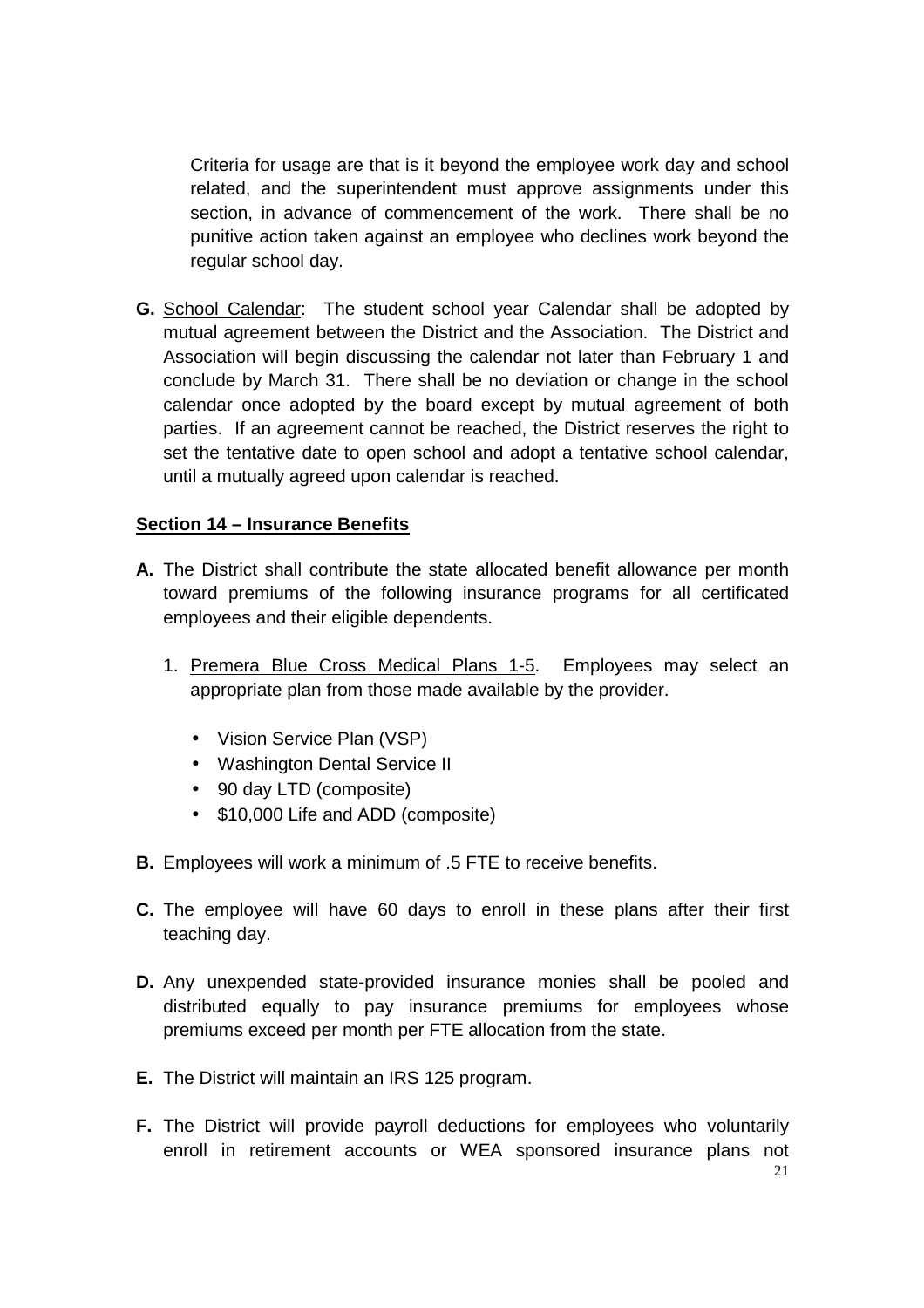Criteria for usage are that is it beyond the employee work day and school related, and the superintendent must approve assignments under this section, in advance of commencement of the work. There shall be no punitive action taken against an employee who declines work beyond the regular school day.

**G.** School Calendar: The student school year Calendar shall be adopted by mutual agreement between the District and the Association. The District and Association will begin discussing the calendar not later than February 1 and conclude by March 31. There shall be no deviation or change in the school calendar once adopted by the board except by mutual agreement of both parties. If an agreement cannot be reached, the District reserves the right to set the tentative date to open school and adopt a tentative school calendar, until a mutually agreed upon calendar is reached.

## **Section 14 – Insurance Benefits**

- **A.** The District shall contribute the state allocated benefit allowance per month toward premiums of the following insurance programs for all certificated employees and their eligible dependents.
	- 1. Premera Blue Cross Medical Plans 1-5. Employees may select an appropriate plan from those made available by the provider.
		- Vision Service Plan (VSP)
		- Washington Dental Service II
		- 90 day LTD (composite)
		- \$10,000 Life and ADD (composite)
- **B.** Employees will work a minimum of .5 FTE to receive benefits.
- **C.** The employee will have 60 days to enroll in these plans after their first teaching day.
- **D.** Any unexpended state-provided insurance monies shall be pooled and distributed equally to pay insurance premiums for employees whose premiums exceed per month per FTE allocation from the state.
- **E.** The District will maintain an IRS 125 program.
- **F.** The District will provide payroll deductions for employees who voluntarily enroll in retirement accounts or WEA sponsored insurance plans not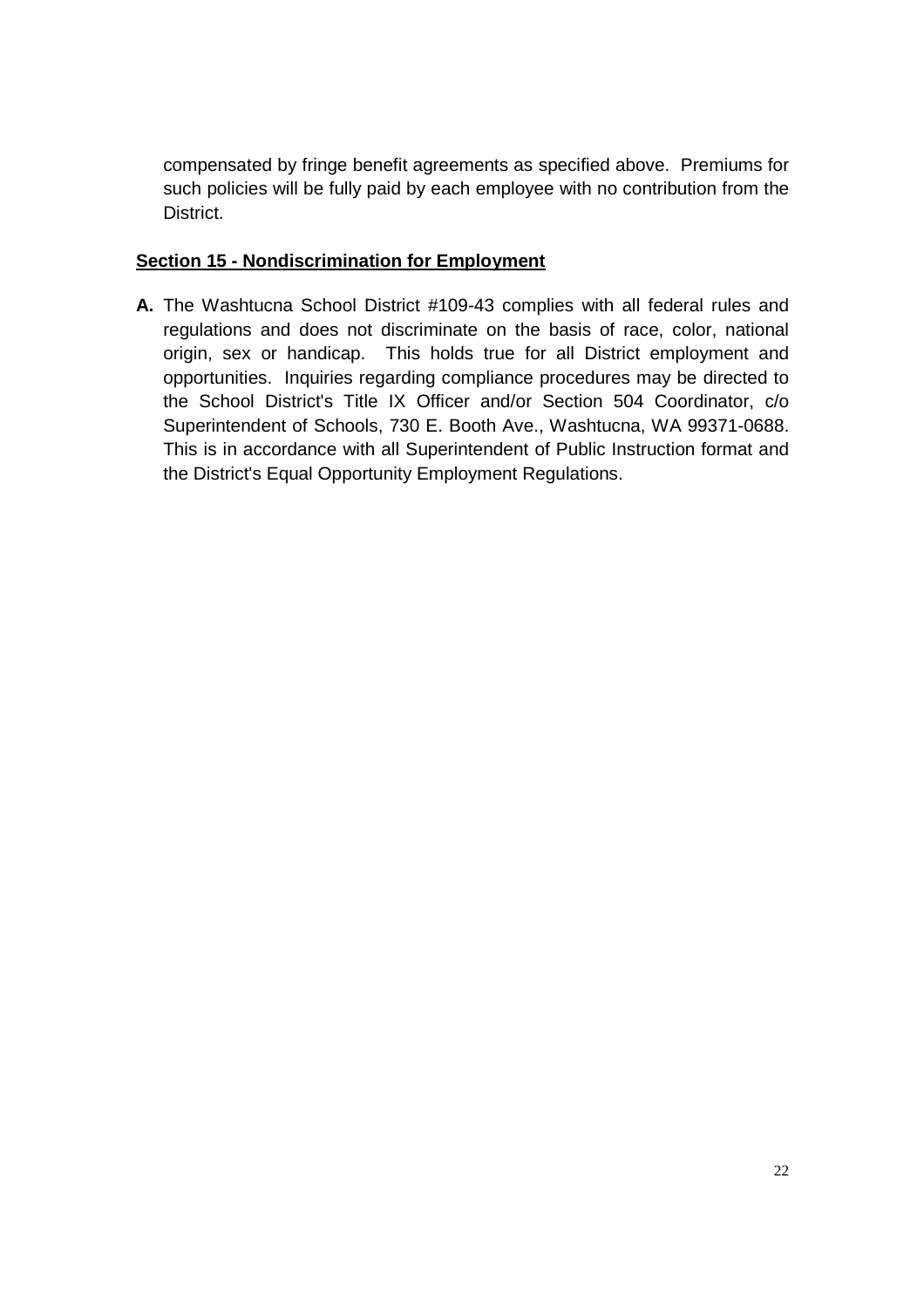compensated by fringe benefit agreements as specified above. Premiums for such policies will be fully paid by each employee with no contribution from the District.

## **Section 15 - Nondiscrimination for Employment**

**A.** The Washtucna School District #109-43 complies with all federal rules and regulations and does not discriminate on the basis of race, color, national origin, sex or handicap. This holds true for all District employment and opportunities. Inquiries regarding compliance procedures may be directed to the School District's Title IX Officer and/or Section 504 Coordinator, c/o Superintendent of Schools, 730 E. Booth Ave., Washtucna, WA 99371-0688. This is in accordance with all Superintendent of Public Instruction format and the District's Equal Opportunity Employment Regulations.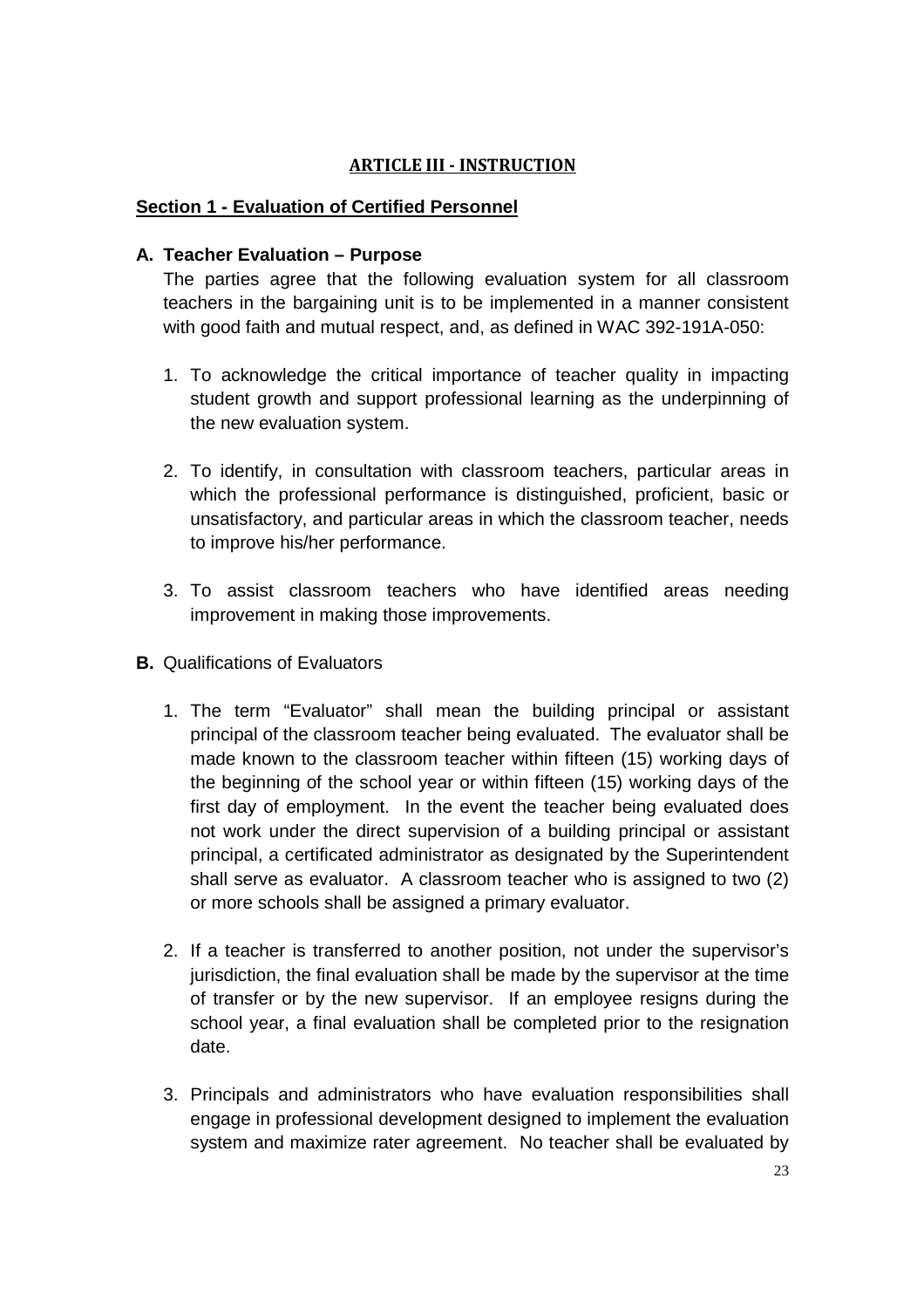## **ARTICLE III - INSTRUCTION**

## **Section 1 - Evaluation of Certified Personnel**

## **A. Teacher Evaluation – Purpose**

The parties agree that the following evaluation system for all classroom teachers in the bargaining unit is to be implemented in a manner consistent with good faith and mutual respect, and, as defined in WAC 392-191A-050:

- 1. To acknowledge the critical importance of teacher quality in impacting student growth and support professional learning as the underpinning of the new evaluation system.
- 2. To identify, in consultation with classroom teachers, particular areas in which the professional performance is distinguished, proficient, basic or unsatisfactory, and particular areas in which the classroom teacher, needs to improve his/her performance.
- 3. To assist classroom teachers who have identified areas needing improvement in making those improvements.
- **B.** Qualifications of Evaluators
	- 1. The term "Evaluator" shall mean the building principal or assistant principal of the classroom teacher being evaluated. The evaluator shall be made known to the classroom teacher within fifteen (15) working days of the beginning of the school year or within fifteen (15) working days of the first day of employment. In the event the teacher being evaluated does not work under the direct supervision of a building principal or assistant principal, a certificated administrator as designated by the Superintendent shall serve as evaluator. A classroom teacher who is assigned to two (2) or more schools shall be assigned a primary evaluator.
	- 2. If a teacher is transferred to another position, not under the supervisor's jurisdiction, the final evaluation shall be made by the supervisor at the time of transfer or by the new supervisor. If an employee resigns during the school year, a final evaluation shall be completed prior to the resignation date.
	- 3. Principals and administrators who have evaluation responsibilities shall engage in professional development designed to implement the evaluation system and maximize rater agreement. No teacher shall be evaluated by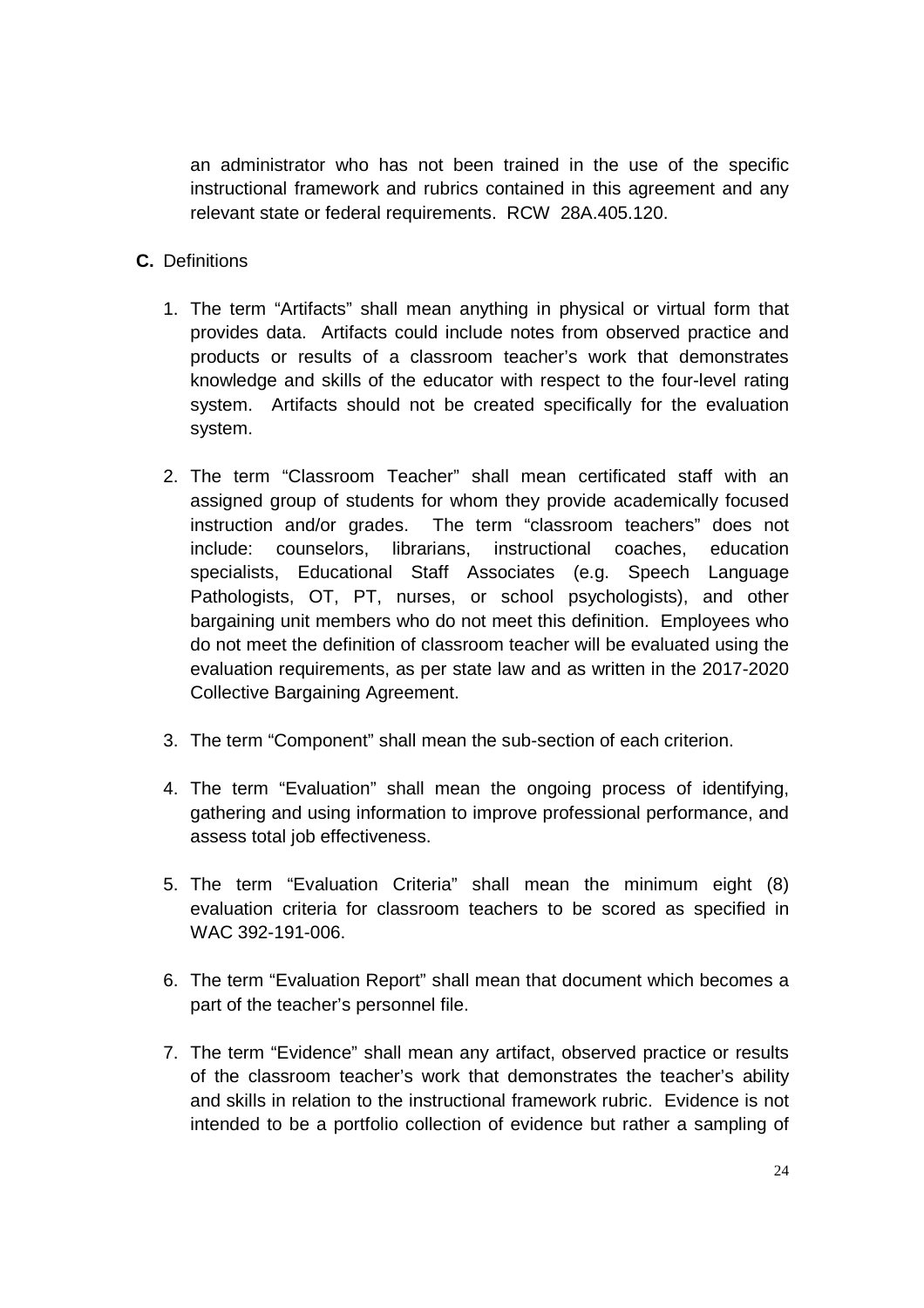an administrator who has not been trained in the use of the specific instructional framework and rubrics contained in this agreement and any relevant state or federal requirements. RCW 28A.405.120.

## **C.** Definitions

- 1. The term "Artifacts" shall mean anything in physical or virtual form that provides data. Artifacts could include notes from observed practice and products or results of a classroom teacher's work that demonstrates knowledge and skills of the educator with respect to the four-level rating system. Artifacts should not be created specifically for the evaluation system.
- 2. The term "Classroom Teacher" shall mean certificated staff with an assigned group of students for whom they provide academically focused instruction and/or grades. The term "classroom teachers" does not include: counselors, librarians, instructional coaches, education specialists, Educational Staff Associates (e.g. Speech Language Pathologists, OT, PT, nurses, or school psychologists), and other bargaining unit members who do not meet this definition. Employees who do not meet the definition of classroom teacher will be evaluated using the evaluation requirements, as per state law and as written in the 2017-2020 Collective Bargaining Agreement.
- 3. The term "Component" shall mean the sub-section of each criterion.
- 4. The term "Evaluation" shall mean the ongoing process of identifying, gathering and using information to improve professional performance, and assess total job effectiveness.
- 5. The term "Evaluation Criteria" shall mean the minimum eight (8) evaluation criteria for classroom teachers to be scored as specified in WAC 392-191-006.
- 6. The term "Evaluation Report" shall mean that document which becomes a part of the teacher's personnel file.
- 7. The term "Evidence" shall mean any artifact, observed practice or results of the classroom teacher's work that demonstrates the teacher's ability and skills in relation to the instructional framework rubric. Evidence is not intended to be a portfolio collection of evidence but rather a sampling of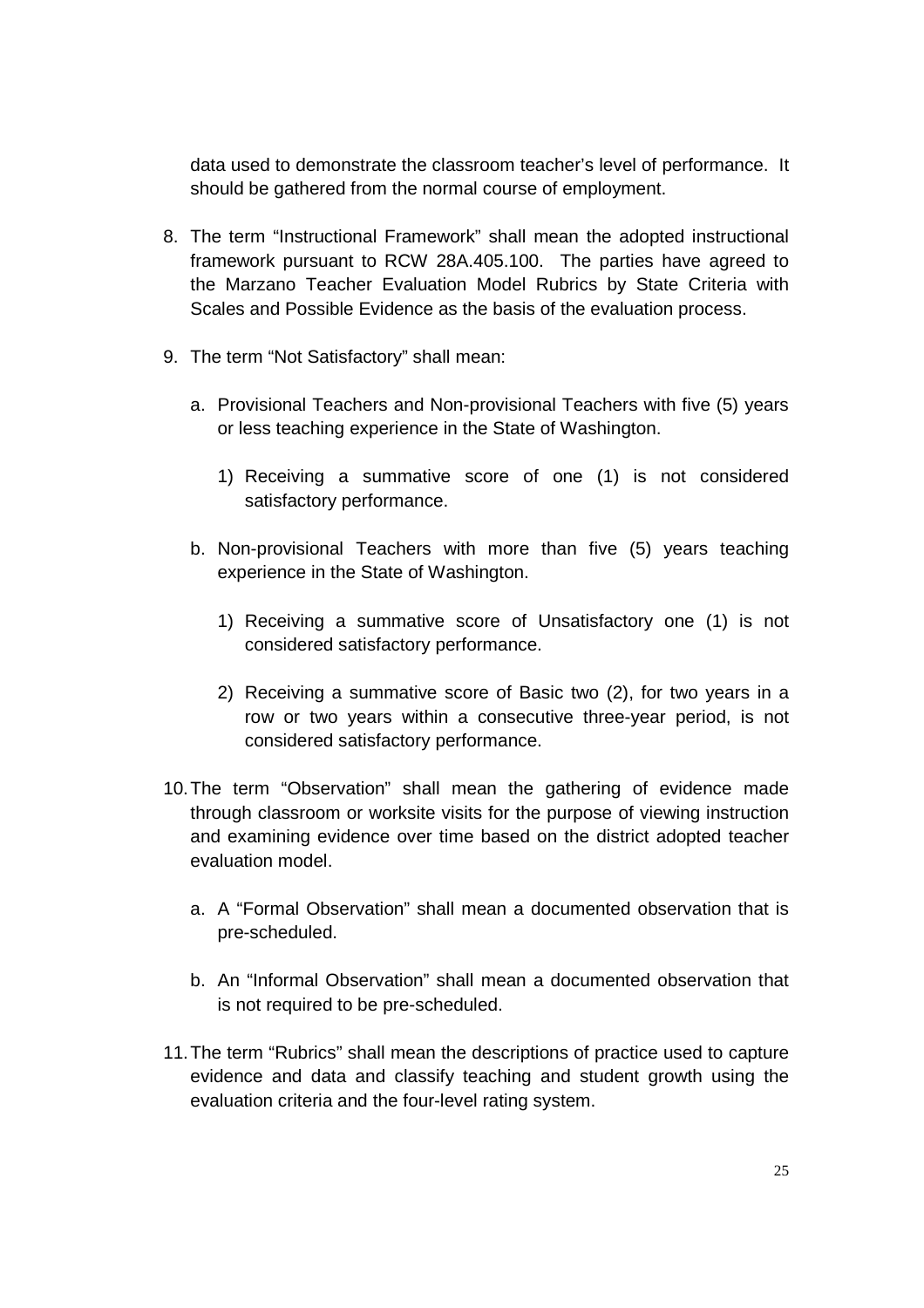data used to demonstrate the classroom teacher's level of performance. It should be gathered from the normal course of employment.

- 8. The term "Instructional Framework" shall mean the adopted instructional framework pursuant to RCW 28A.405.100. The parties have agreed to the Marzano Teacher Evaluation Model Rubrics by State Criteria with Scales and Possible Evidence as the basis of the evaluation process.
- 9. The term "Not Satisfactory" shall mean:
	- a. Provisional Teachers and Non-provisional Teachers with five (5) years or less teaching experience in the State of Washington.
		- 1) Receiving a summative score of one (1) is not considered satisfactory performance.
	- b. Non-provisional Teachers with more than five (5) years teaching experience in the State of Washington.
		- 1) Receiving a summative score of Unsatisfactory one (1) is not considered satisfactory performance.
		- 2) Receiving a summative score of Basic two (2), for two years in a row or two years within a consecutive three-year period, is not considered satisfactory performance.
- 10. The term "Observation" shall mean the gathering of evidence made through classroom or worksite visits for the purpose of viewing instruction and examining evidence over time based on the district adopted teacher evaluation model.
	- a. A "Formal Observation" shall mean a documented observation that is pre-scheduled.
	- b. An "Informal Observation" shall mean a documented observation that is not required to be pre-scheduled.
- 11. The term "Rubrics" shall mean the descriptions of practice used to capture evidence and data and classify teaching and student growth using the evaluation criteria and the four-level rating system.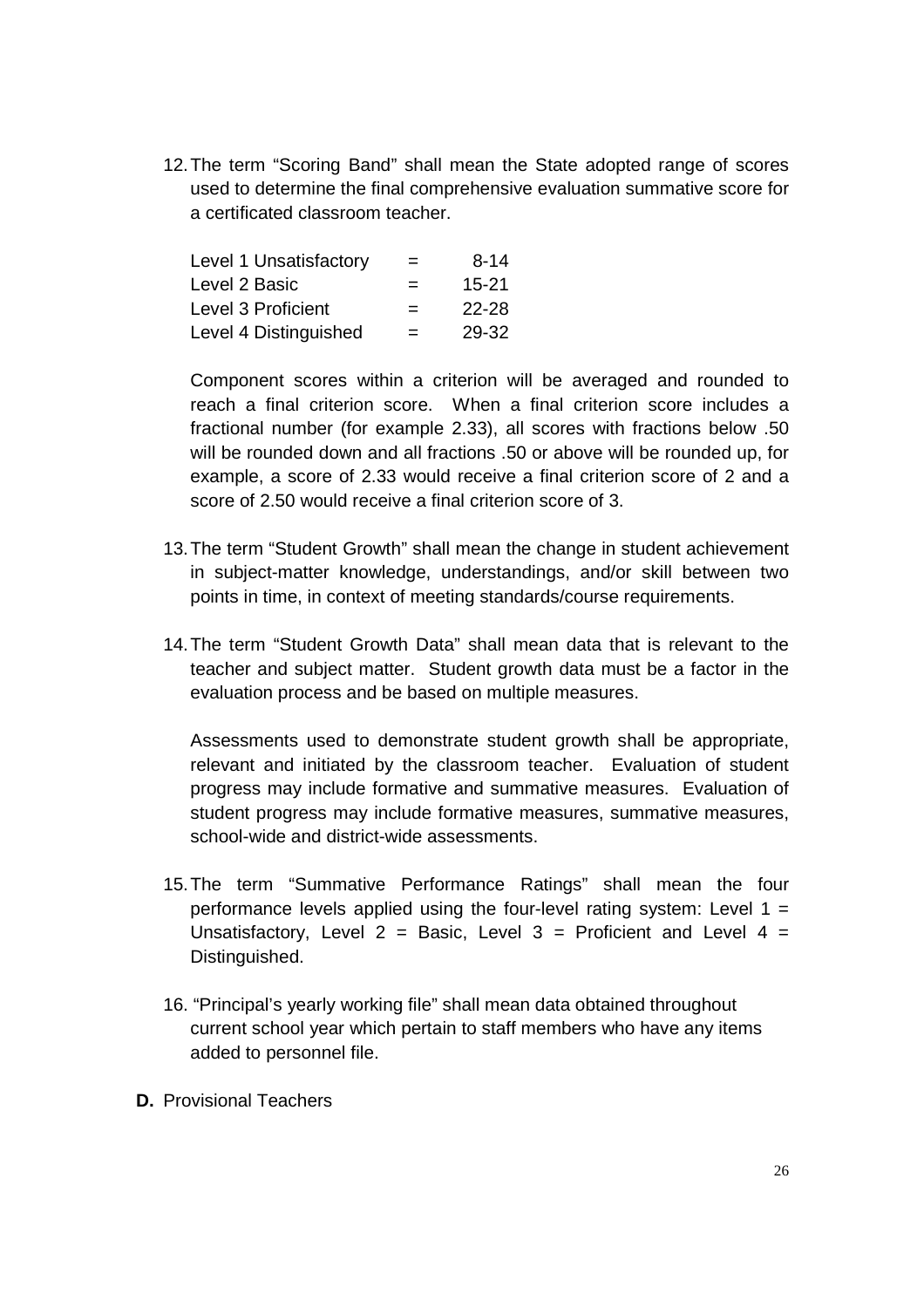12. The term "Scoring Band" shall mean the State adopted range of scores used to determine the final comprehensive evaluation summative score for a certificated classroom teacher.

| Level 1 Unsatisfactory | $=$ | 8-14      |
|------------------------|-----|-----------|
| Level 2 Basic          | $=$ | $15 - 21$ |
| Level 3 Proficient     | $=$ | 22-28     |
| Level 4 Distinguished  | $=$ | 29-32     |

Component scores within a criterion will be averaged and rounded to reach a final criterion score. When a final criterion score includes a fractional number (for example 2.33), all scores with fractions below .50 will be rounded down and all fractions .50 or above will be rounded up, for example, a score of 2.33 would receive a final criterion score of 2 and a score of 2.50 would receive a final criterion score of 3.

- 13. The term "Student Growth" shall mean the change in student achievement in subject-matter knowledge, understandings, and/or skill between two points in time, in context of meeting standards/course requirements.
- 14. The term "Student Growth Data" shall mean data that is relevant to the teacher and subject matter. Student growth data must be a factor in the evaluation process and be based on multiple measures.

Assessments used to demonstrate student growth shall be appropriate, relevant and initiated by the classroom teacher. Evaluation of student progress may include formative and summative measures. Evaluation of student progress may include formative measures, summative measures, school-wide and district-wide assessments.

- 15. The term "Summative Performance Ratings" shall mean the four performance levels applied using the four-level rating system: Level  $1 =$ Unsatisfactory, Level 2 = Basic, Level 3 = Proficient and Level 4 = Distinguished.
- 16. "Principal's yearly working file" shall mean data obtained throughout current school year which pertain to staff members who have any items added to personnel file.
- **D.** Provisional Teachers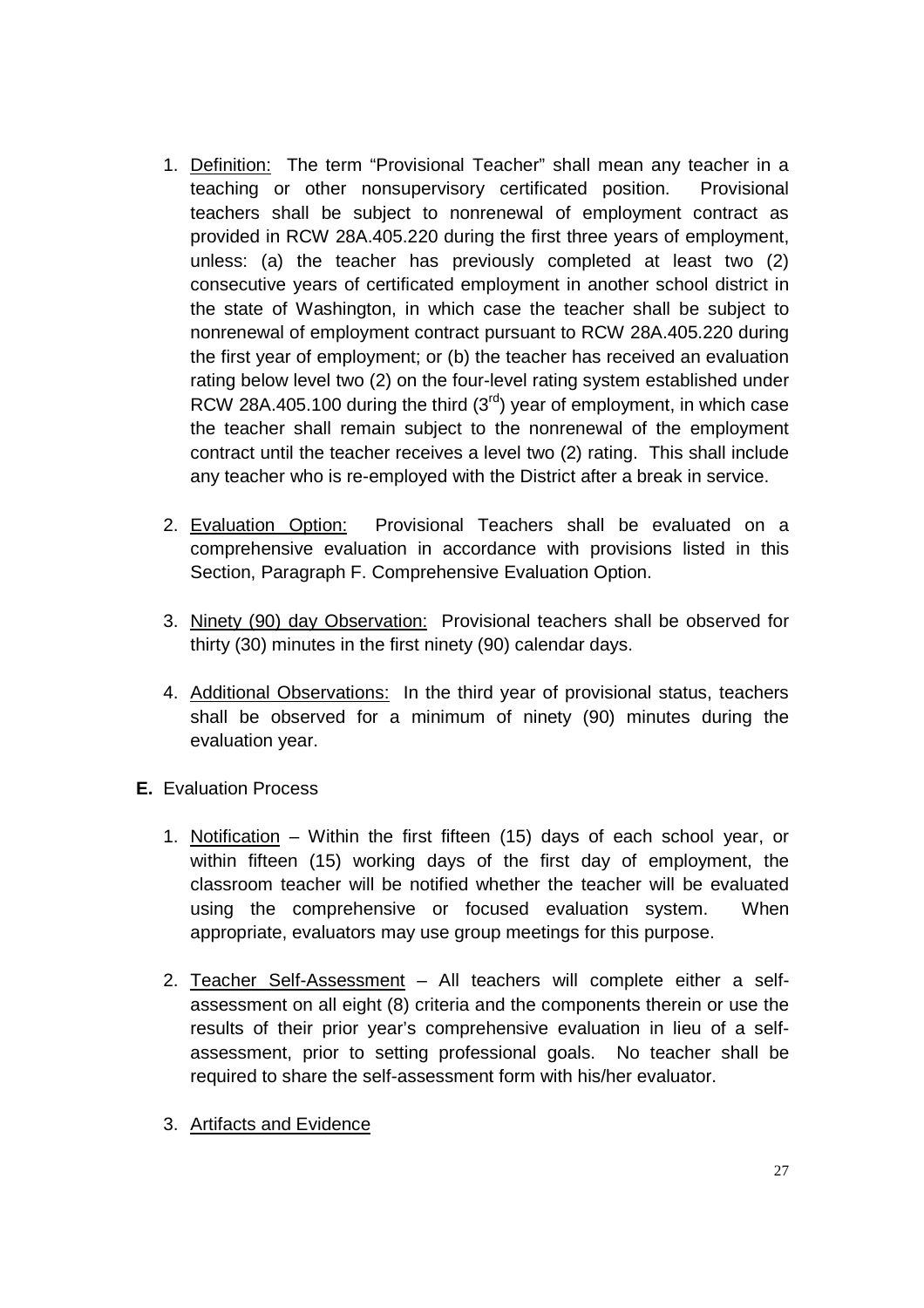- 1. Definition: The term "Provisional Teacher" shall mean any teacher in a teaching or other nonsupervisory certificated position. Provisional teachers shall be subject to nonrenewal of employment contract as provided in RCW 28A.405.220 during the first three years of employment, unless: (a) the teacher has previously completed at least two (2) consecutive years of certificated employment in another school district in the state of Washington, in which case the teacher shall be subject to nonrenewal of employment contract pursuant to RCW 28A.405.220 during the first year of employment; or (b) the teacher has received an evaluation rating below level two (2) on the four-level rating system established under RCW 28A.405.100 during the third  $(3<sup>rd</sup>)$  year of employment, in which case the teacher shall remain subject to the nonrenewal of the employment contract until the teacher receives a level two (2) rating. This shall include any teacher who is re-employed with the District after a break in service.
- 2. Evaluation Option: Provisional Teachers shall be evaluated on a comprehensive evaluation in accordance with provisions listed in this Section, Paragraph F. Comprehensive Evaluation Option.
- 3. Ninety (90) day Observation: Provisional teachers shall be observed for thirty (30) minutes in the first ninety (90) calendar days.
- 4. Additional Observations: In the third year of provisional status, teachers shall be observed for a minimum of ninety (90) minutes during the evaluation year.
- **E.** Evaluation Process
	- 1. Notification Within the first fifteen (15) days of each school year, or within fifteen (15) working days of the first day of employment, the classroom teacher will be notified whether the teacher will be evaluated using the comprehensive or focused evaluation system. When appropriate, evaluators may use group meetings for this purpose.
	- 2. Teacher Self-Assessment All teachers will complete either a selfassessment on all eight (8) criteria and the components therein or use the results of their prior year's comprehensive evaluation in lieu of a selfassessment, prior to setting professional goals. No teacher shall be required to share the self-assessment form with his/her evaluator.
	- 3. Artifacts and Evidence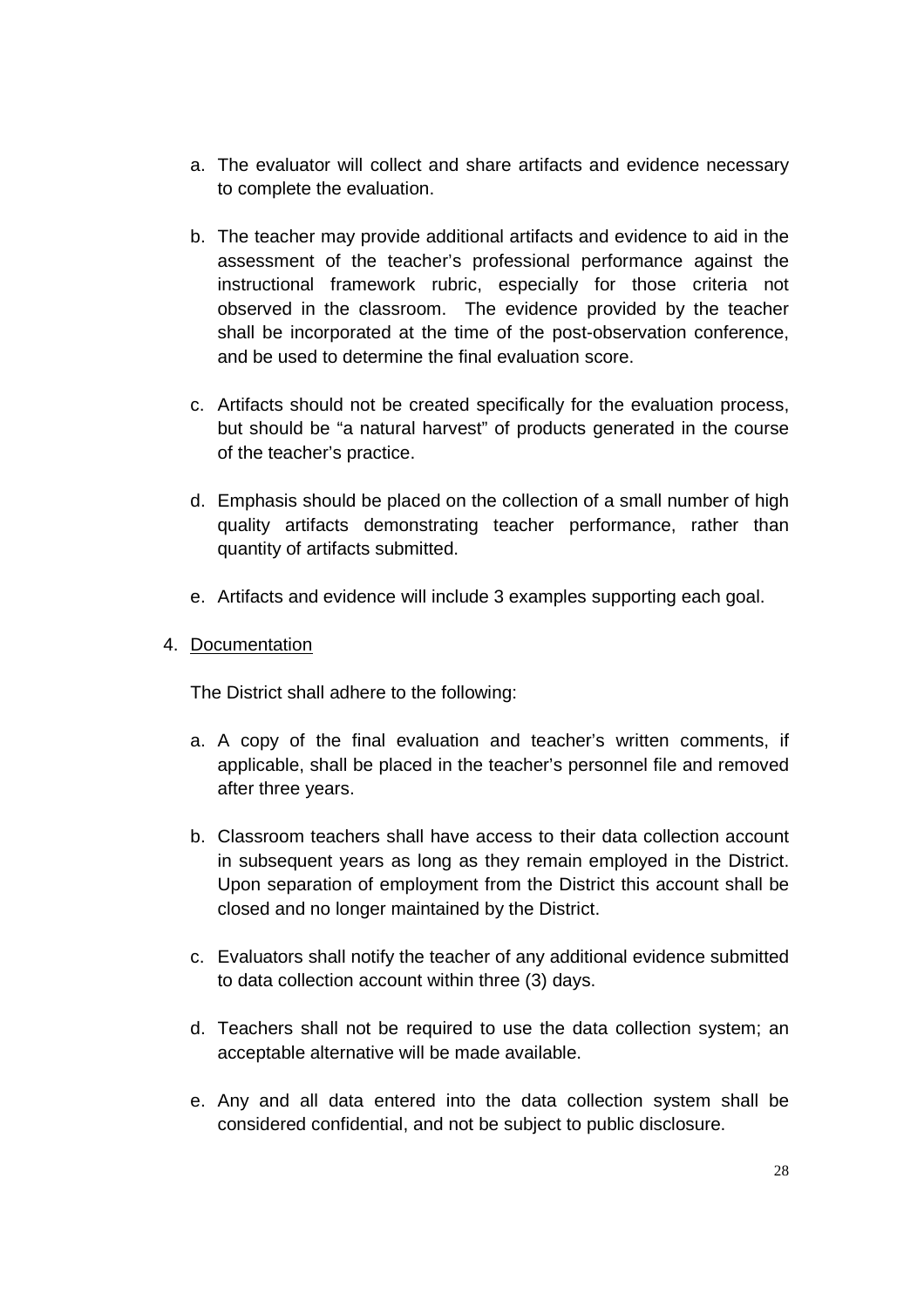- a. The evaluator will collect and share artifacts and evidence necessary to complete the evaluation.
- b. The teacher may provide additional artifacts and evidence to aid in the assessment of the teacher's professional performance against the instructional framework rubric, especially for those criteria not observed in the classroom. The evidence provided by the teacher shall be incorporated at the time of the post-observation conference, and be used to determine the final evaluation score.
- c. Artifacts should not be created specifically for the evaluation process, but should be "a natural harvest" of products generated in the course of the teacher's practice.
- d. Emphasis should be placed on the collection of a small number of high quality artifacts demonstrating teacher performance, rather than quantity of artifacts submitted.
- e. Artifacts and evidence will include 3 examples supporting each goal.
- 4. Documentation

The District shall adhere to the following:

- a. A copy of the final evaluation and teacher's written comments, if applicable, shall be placed in the teacher's personnel file and removed after three years.
- b. Classroom teachers shall have access to their data collection account in subsequent years as long as they remain employed in the District. Upon separation of employment from the District this account shall be closed and no longer maintained by the District.
- c. Evaluators shall notify the teacher of any additional evidence submitted to data collection account within three (3) days.
- d. Teachers shall not be required to use the data collection system; an acceptable alternative will be made available.
- e. Any and all data entered into the data collection system shall be considered confidential, and not be subject to public disclosure.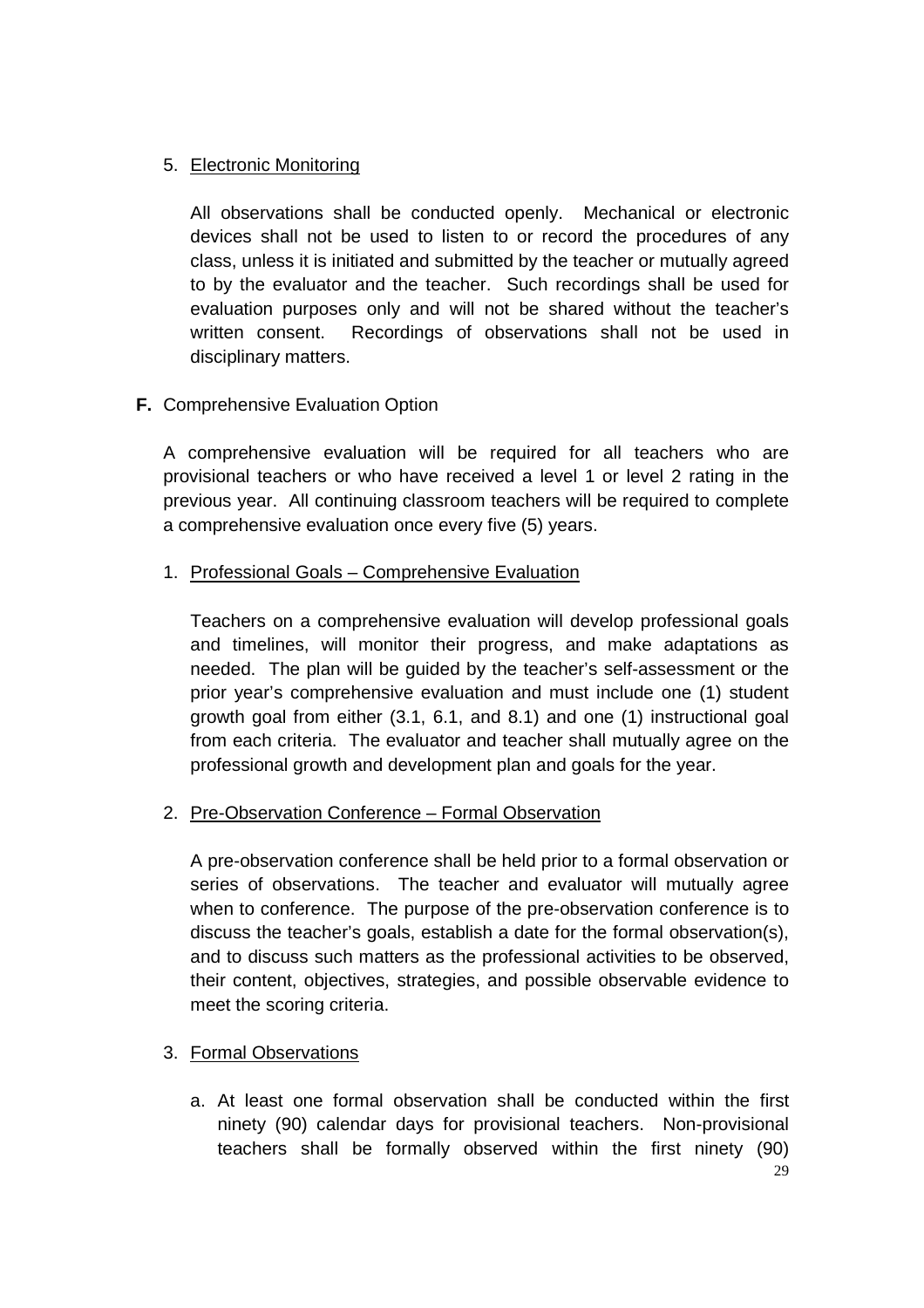## 5. Electronic Monitoring

All observations shall be conducted openly. Mechanical or electronic devices shall not be used to listen to or record the procedures of any class, unless it is initiated and submitted by the teacher or mutually agreed to by the evaluator and the teacher. Such recordings shall be used for evaluation purposes only and will not be shared without the teacher's written consent. Recordings of observations shall not be used in disciplinary matters.

## **F.** Comprehensive Evaluation Option

A comprehensive evaluation will be required for all teachers who are provisional teachers or who have received a level 1 or level 2 rating in the previous year. All continuing classroom teachers will be required to complete a comprehensive evaluation once every five (5) years.

## 1. Professional Goals – Comprehensive Evaluation

Teachers on a comprehensive evaluation will develop professional goals and timelines, will monitor their progress, and make adaptations as needed. The plan will be guided by the teacher's self-assessment or the prior year's comprehensive evaluation and must include one (1) student growth goal from either (3.1, 6.1, and 8.1) and one (1) instructional goal from each criteria. The evaluator and teacher shall mutually agree on the professional growth and development plan and goals for the year.

## 2. Pre-Observation Conference – Formal Observation

A pre-observation conference shall be held prior to a formal observation or series of observations. The teacher and evaluator will mutually agree when to conference. The purpose of the pre-observation conference is to discuss the teacher's goals, establish a date for the formal observation(s), and to discuss such matters as the professional activities to be observed, their content, objectives, strategies, and possible observable evidence to meet the scoring criteria.

## 3. Formal Observations

a. At least one formal observation shall be conducted within the first ninety (90) calendar days for provisional teachers. Non-provisional teachers shall be formally observed within the first ninety (90)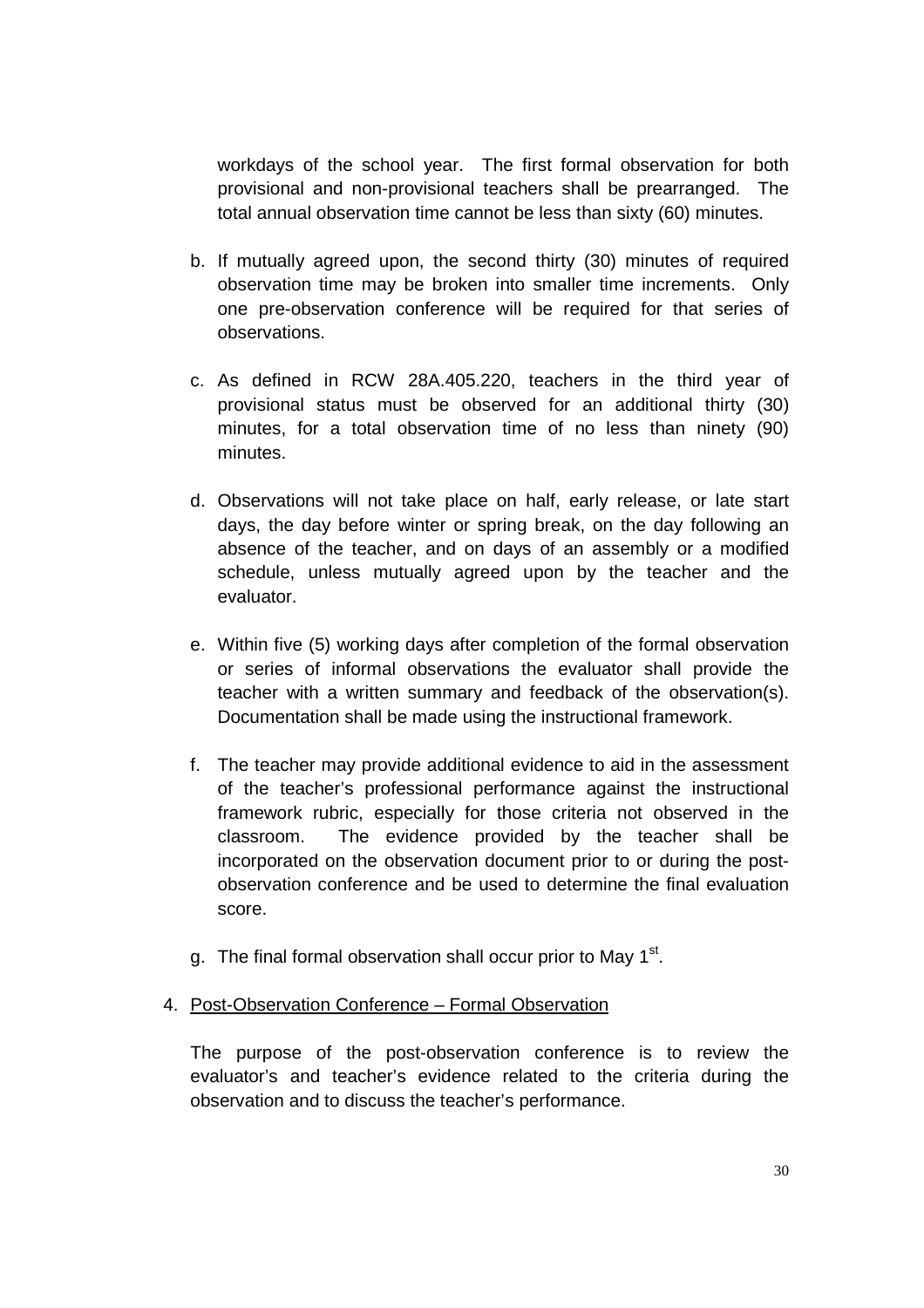workdays of the school year. The first formal observation for both provisional and non-provisional teachers shall be prearranged. The total annual observation time cannot be less than sixty (60) minutes.

- b. If mutually agreed upon, the second thirty (30) minutes of required observation time may be broken into smaller time increments. Only one pre-observation conference will be required for that series of observations.
- c. As defined in RCW 28A.405.220, teachers in the third year of provisional status must be observed for an additional thirty (30) minutes, for a total observation time of no less than ninety (90) minutes.
- d. Observations will not take place on half, early release, or late start days, the day before winter or spring break, on the day following an absence of the teacher, and on days of an assembly or a modified schedule, unless mutually agreed upon by the teacher and the evaluator.
- e. Within five (5) working days after completion of the formal observation or series of informal observations the evaluator shall provide the teacher with a written summary and feedback of the observation(s). Documentation shall be made using the instructional framework.
- f. The teacher may provide additional evidence to aid in the assessment of the teacher's professional performance against the instructional framework rubric, especially for those criteria not observed in the classroom. The evidence provided by the teacher shall be incorporated on the observation document prior to or during the postobservation conference and be used to determine the final evaluation score.
- g. The final formal observation shall occur prior to May 1<sup>st</sup>.

## 4. Post-Observation Conference – Formal Observation

The purpose of the post-observation conference is to review the evaluator's and teacher's evidence related to the criteria during the observation and to discuss the teacher's performance.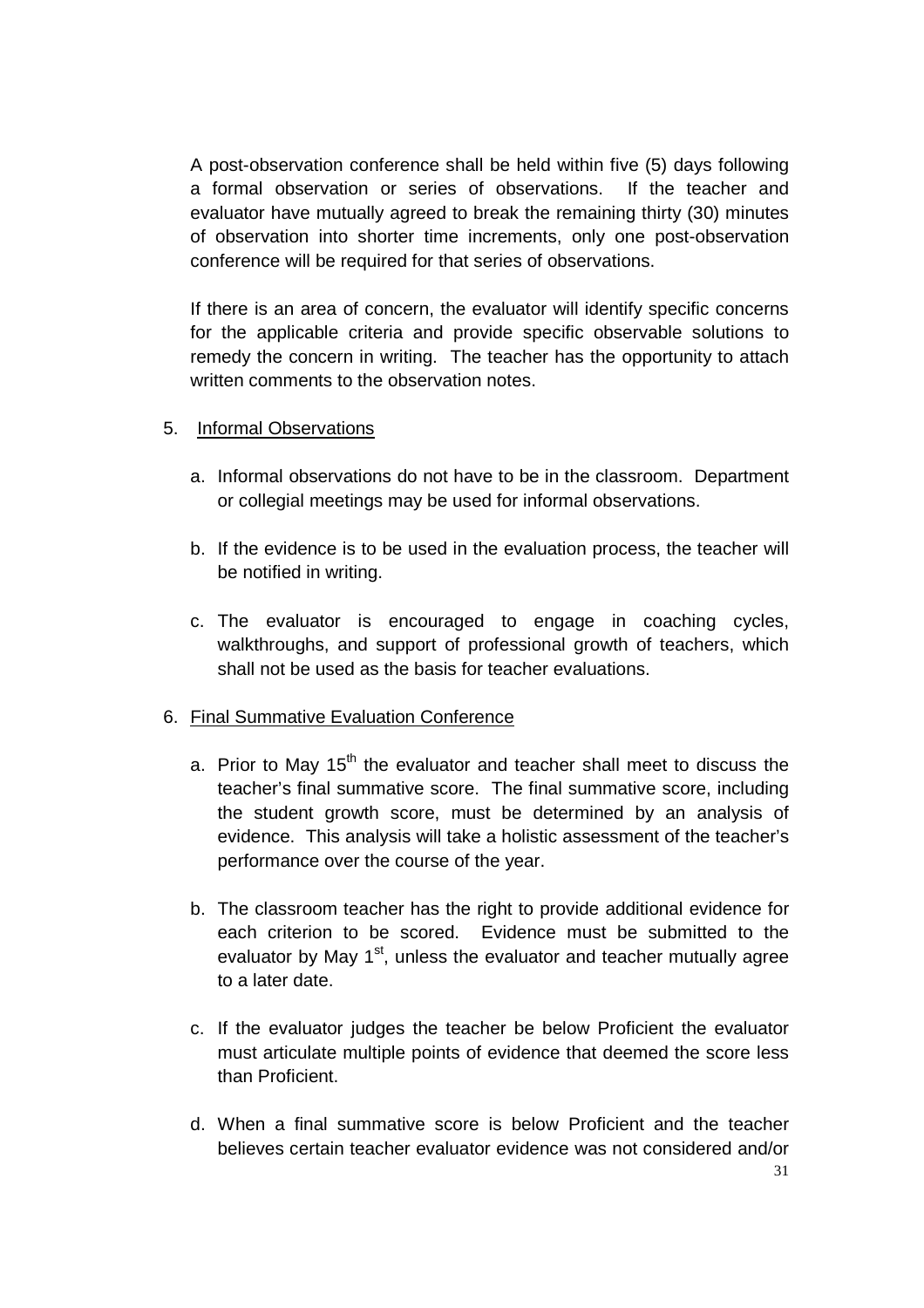A post-observation conference shall be held within five (5) days following a formal observation or series of observations. If the teacher and evaluator have mutually agreed to break the remaining thirty (30) minutes of observation into shorter time increments, only one post-observation conference will be required for that series of observations.

If there is an area of concern, the evaluator will identify specific concerns for the applicable criteria and provide specific observable solutions to remedy the concern in writing. The teacher has the opportunity to attach written comments to the observation notes.

## 5. Informal Observations

- a. Informal observations do not have to be in the classroom. Department or collegial meetings may be used for informal observations.
- b. If the evidence is to be used in the evaluation process, the teacher will be notified in writing.
- c. The evaluator is encouraged to engage in coaching cycles, walkthroughs, and support of professional growth of teachers, which shall not be used as the basis for teacher evaluations.

## 6. Final Summative Evaluation Conference

- a. Prior to May  $15<sup>th</sup>$  the evaluator and teacher shall meet to discuss the teacher's final summative score. The final summative score, including the student growth score, must be determined by an analysis of evidence. This analysis will take a holistic assessment of the teacher's performance over the course of the year.
- b. The classroom teacher has the right to provide additional evidence for each criterion to be scored. Evidence must be submitted to the evaluator by May  $1<sup>st</sup>$ , unless the evaluator and teacher mutually agree to a later date.
- c. If the evaluator judges the teacher be below Proficient the evaluator must articulate multiple points of evidence that deemed the score less than Proficient.
- d. When a final summative score is below Proficient and the teacher believes certain teacher evaluator evidence was not considered and/or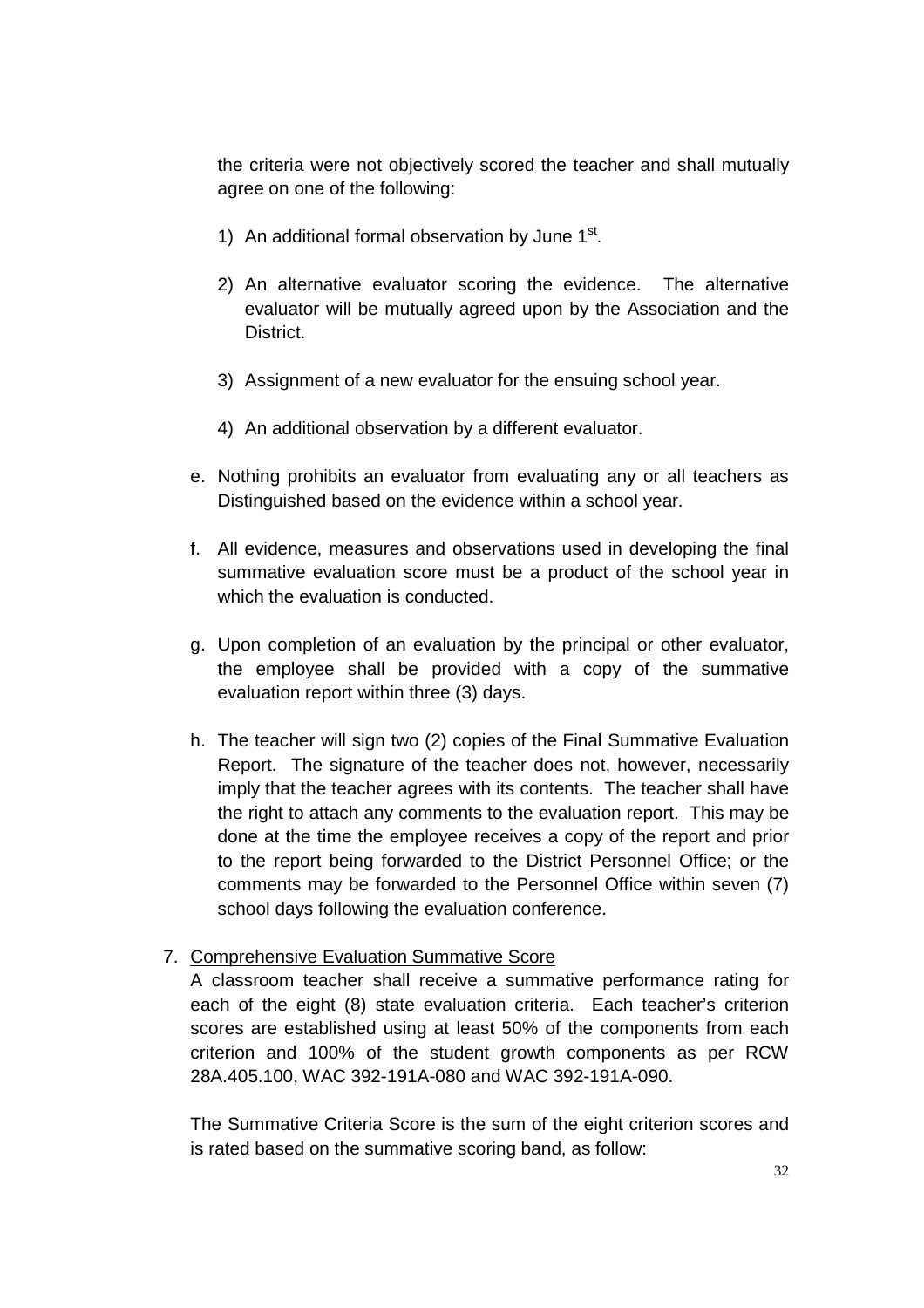the criteria were not objectively scored the teacher and shall mutually agree on one of the following:

- 1) An additional formal observation by June  $1<sup>st</sup>$ .
- 2) An alternative evaluator scoring the evidence. The alternative evaluator will be mutually agreed upon by the Association and the District.
- 3) Assignment of a new evaluator for the ensuing school year.
- 4) An additional observation by a different evaluator.
- e. Nothing prohibits an evaluator from evaluating any or all teachers as Distinguished based on the evidence within a school year.
- f. All evidence, measures and observations used in developing the final summative evaluation score must be a product of the school year in which the evaluation is conducted.
- g. Upon completion of an evaluation by the principal or other evaluator, the employee shall be provided with a copy of the summative evaluation report within three (3) days.
- h. The teacher will sign two (2) copies of the Final Summative Evaluation Report. The signature of the teacher does not, however, necessarily imply that the teacher agrees with its contents. The teacher shall have the right to attach any comments to the evaluation report. This may be done at the time the employee receives a copy of the report and prior to the report being forwarded to the District Personnel Office; or the comments may be forwarded to the Personnel Office within seven (7) school days following the evaluation conference.

## 7. Comprehensive Evaluation Summative Score

A classroom teacher shall receive a summative performance rating for each of the eight (8) state evaluation criteria. Each teacher's criterion scores are established using at least 50% of the components from each criterion and 100% of the student growth components as per RCW 28A.405.100, WAC 392-191A-080 and WAC 392-191A-090.

The Summative Criteria Score is the sum of the eight criterion scores and is rated based on the summative scoring band, as follow: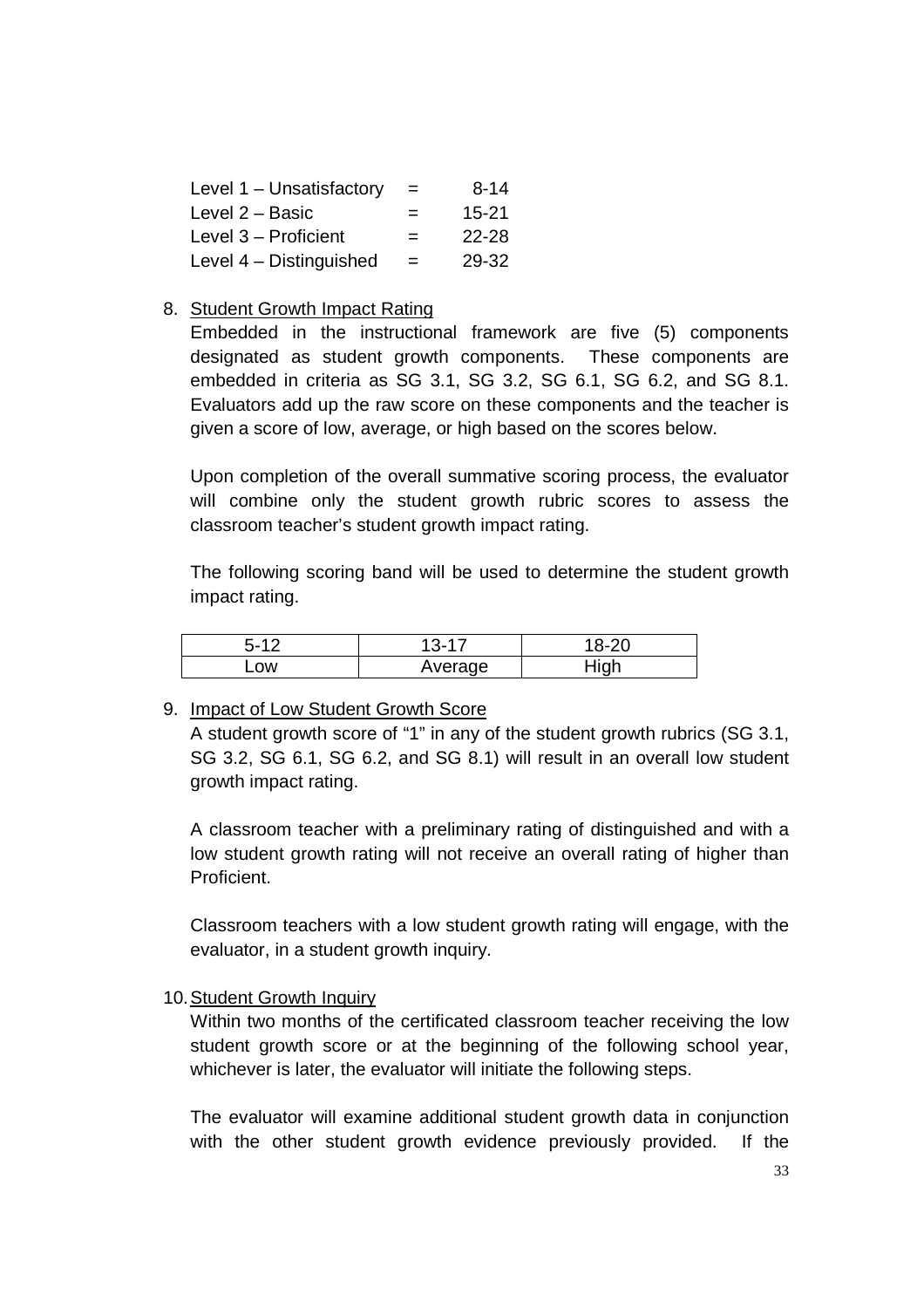| Level $1$ – Unsatisfactory | $=$ | 8-14      |
|----------------------------|-----|-----------|
| Level $2 -$ Basic          | $=$ | $15 - 21$ |
| Level $3$ – Proficient     | $=$ | 22-28     |
| Level 4 - Distinguished    | $=$ | 29-32     |

#### 8. Student Growth Impact Rating

Embedded in the instructional framework are five (5) components designated as student growth components. These components are embedded in criteria as SG 3.1, SG 3.2, SG 6.1, SG 6.2, and SG 8.1. Evaluators add up the raw score on these components and the teacher is given a score of low, average, or high based on the scores below.

Upon completion of the overall summative scoring process, the evaluator will combine only the student growth rubric scores to assess the classroom teacher's student growth impact rating.

The following scoring band will be used to determine the student growth impact rating.

| <u>_</u> | ∼-      | ∼– |
|----------|---------|----|
| _ow      | Average |    |

## 9. Impact of Low Student Growth Score

A student growth score of "1" in any of the student growth rubrics (SG 3.1, SG 3.2, SG 6.1, SG 6.2, and SG 8.1) will result in an overall low student growth impact rating.

A classroom teacher with a preliminary rating of distinguished and with a low student growth rating will not receive an overall rating of higher than Proficient.

Classroom teachers with a low student growth rating will engage, with the evaluator, in a student growth inquiry.

## 10. Student Growth Inquiry

Within two months of the certificated classroom teacher receiving the low student growth score or at the beginning of the following school year, whichever is later, the evaluator will initiate the following steps.

The evaluator will examine additional student growth data in conjunction with the other student growth evidence previously provided. If the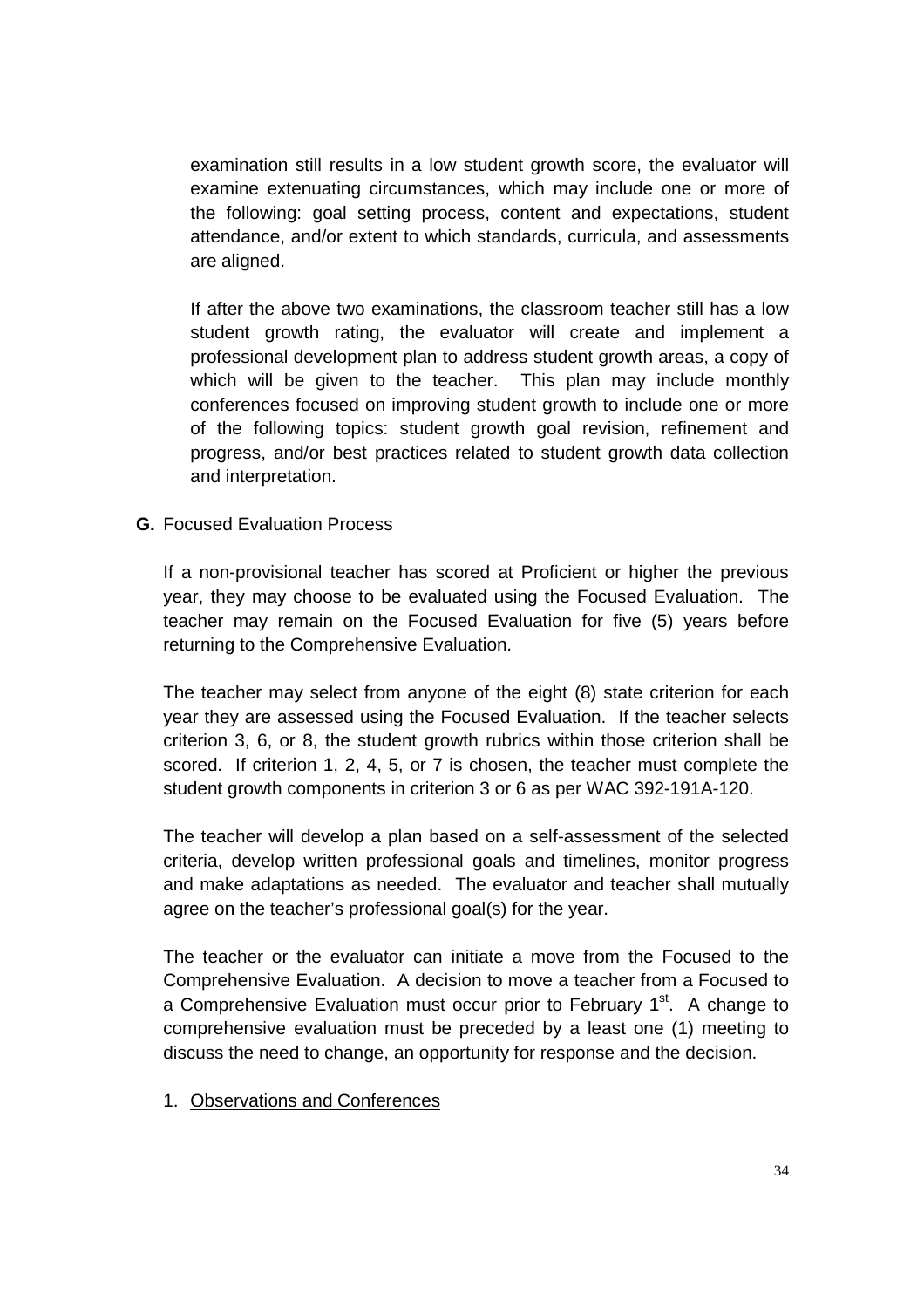examination still results in a low student growth score, the evaluator will examine extenuating circumstances, which may include one or more of the following: goal setting process, content and expectations, student attendance, and/or extent to which standards, curricula, and assessments are aligned.

If after the above two examinations, the classroom teacher still has a low student growth rating, the evaluator will create and implement a professional development plan to address student growth areas, a copy of which will be given to the teacher. This plan may include monthly conferences focused on improving student growth to include one or more of the following topics: student growth goal revision, refinement and progress, and/or best practices related to student growth data collection and interpretation.

**G.** Focused Evaluation Process

If a non-provisional teacher has scored at Proficient or higher the previous year, they may choose to be evaluated using the Focused Evaluation. The teacher may remain on the Focused Evaluation for five (5) years before returning to the Comprehensive Evaluation.

The teacher may select from anyone of the eight (8) state criterion for each year they are assessed using the Focused Evaluation. If the teacher selects criterion 3, 6, or 8, the student growth rubrics within those criterion shall be scored. If criterion 1, 2, 4, 5, or 7 is chosen, the teacher must complete the student growth components in criterion 3 or 6 as per WAC 392-191A-120.

The teacher will develop a plan based on a self-assessment of the selected criteria, develop written professional goals and timelines, monitor progress and make adaptations as needed. The evaluator and teacher shall mutually agree on the teacher's professional goal(s) for the year.

The teacher or the evaluator can initiate a move from the Focused to the Comprehensive Evaluation. A decision to move a teacher from a Focused to a Comprehensive Evaluation must occur prior to February  $1<sup>st</sup>$ . A change to comprehensive evaluation must be preceded by a least one (1) meeting to discuss the need to change, an opportunity for response and the decision.

1. Observations and Conferences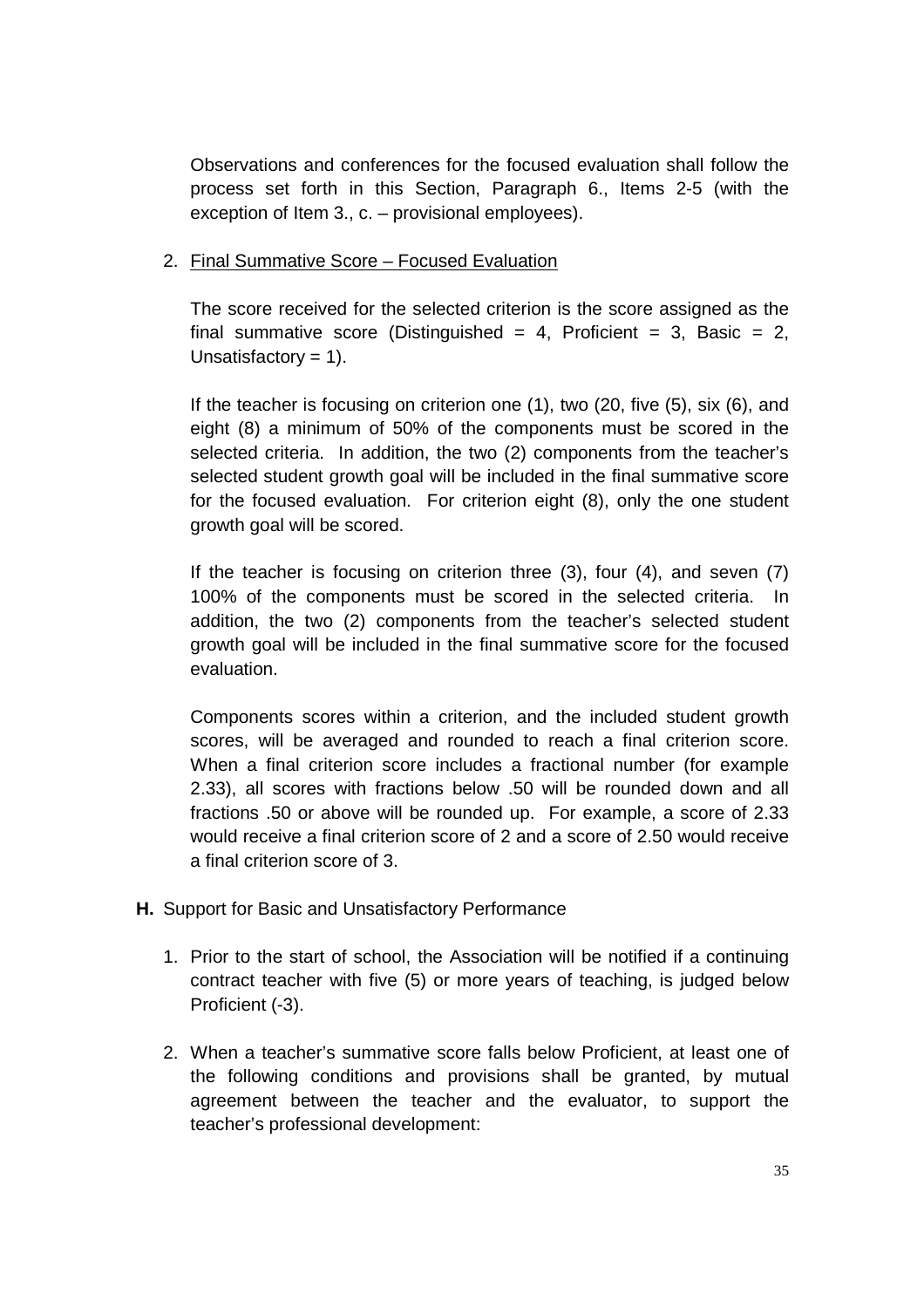Observations and conferences for the focused evaluation shall follow the process set forth in this Section, Paragraph 6., Items 2-5 (with the exception of Item 3., c. – provisional employees).

## 2. Final Summative Score – Focused Evaluation

The score received for the selected criterion is the score assigned as the final summative score (Distinguished  $= 4$ , Proficient  $= 3$ , Basic  $= 2$ , Unsatisfactory  $= 1$ ).

If the teacher is focusing on criterion one (1), two (20, five (5), six (6), and eight (8) a minimum of 50% of the components must be scored in the selected criteria. In addition, the two (2) components from the teacher's selected student growth goal will be included in the final summative score for the focused evaluation. For criterion eight (8), only the one student growth goal will be scored.

If the teacher is focusing on criterion three (3), four (4), and seven (7) 100% of the components must be scored in the selected criteria. In addition, the two (2) components from the teacher's selected student growth goal will be included in the final summative score for the focused evaluation.

Components scores within a criterion, and the included student growth scores, will be averaged and rounded to reach a final criterion score. When a final criterion score includes a fractional number (for example 2.33), all scores with fractions below .50 will be rounded down and all fractions .50 or above will be rounded up. For example, a score of 2.33 would receive a final criterion score of 2 and a score of 2.50 would receive a final criterion score of 3.

- **H.** Support for Basic and Unsatisfactory Performance
	- 1. Prior to the start of school, the Association will be notified if a continuing contract teacher with five (5) or more years of teaching, is judged below Proficient (-3).
	- 2. When a teacher's summative score falls below Proficient, at least one of the following conditions and provisions shall be granted, by mutual agreement between the teacher and the evaluator, to support the teacher's professional development: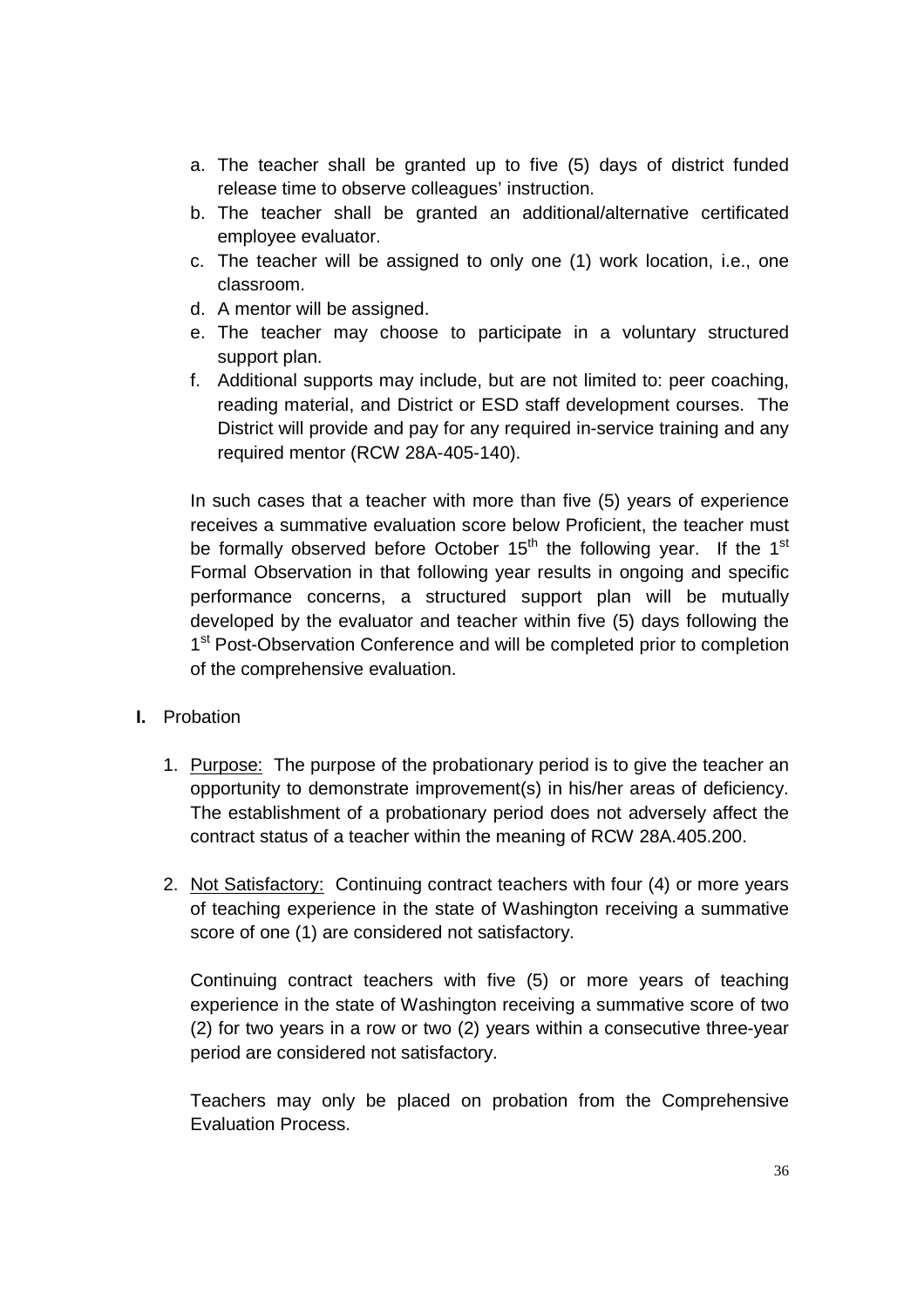- a. The teacher shall be granted up to five (5) days of district funded release time to observe colleagues' instruction.
- b. The teacher shall be granted an additional/alternative certificated employee evaluator.
- c. The teacher will be assigned to only one (1) work location, i.e., one classroom.
- d. A mentor will be assigned.
- e. The teacher may choose to participate in a voluntary structured support plan.
- f. Additional supports may include, but are not limited to: peer coaching, reading material, and District or ESD staff development courses. The District will provide and pay for any required in-service training and any required mentor (RCW 28A-405-140).

In such cases that a teacher with more than five (5) years of experience receives a summative evaluation score below Proficient, the teacher must be formally observed before October  $15<sup>th</sup>$  the following year. If the  $1<sup>st</sup>$ Formal Observation in that following year results in ongoing and specific performance concerns, a structured support plan will be mutually developed by the evaluator and teacher within five (5) days following the 1<sup>st</sup> Post-Observation Conference and will be completed prior to completion of the comprehensive evaluation.

- **I.** Probation
	- 1. Purpose: The purpose of the probationary period is to give the teacher an opportunity to demonstrate improvement(s) in his/her areas of deficiency. The establishment of a probationary period does not adversely affect the contract status of a teacher within the meaning of RCW 28A.405.200.
	- 2. Not Satisfactory: Continuing contract teachers with four (4) or more years of teaching experience in the state of Washington receiving a summative score of one (1) are considered not satisfactory.

Continuing contract teachers with five (5) or more years of teaching experience in the state of Washington receiving a summative score of two (2) for two years in a row or two (2) years within a consecutive three-year period are considered not satisfactory.

Teachers may only be placed on probation from the Comprehensive Evaluation Process.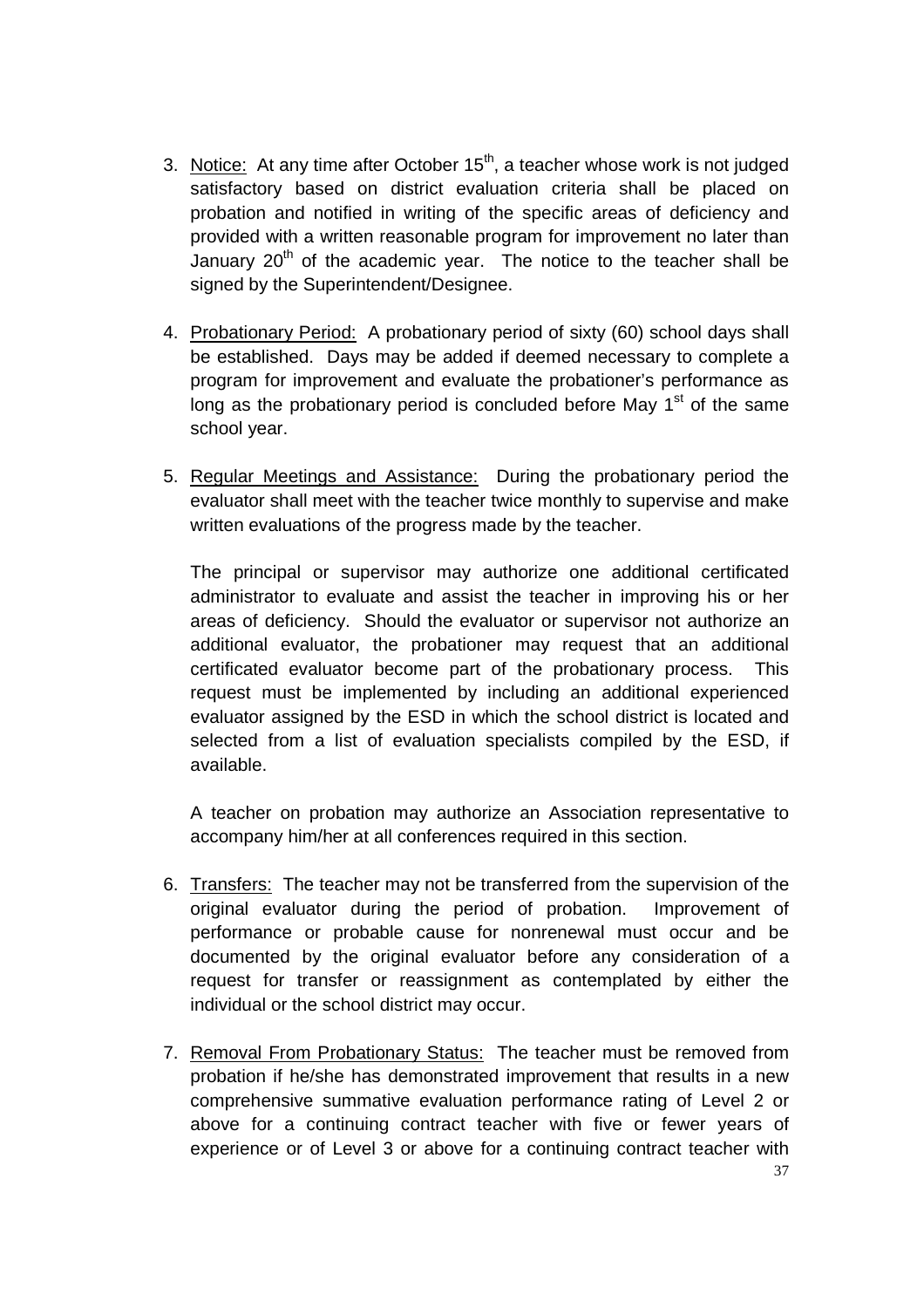- 3. Notice: At any time after October  $15<sup>th</sup>$ , a teacher whose work is not judged satisfactory based on district evaluation criteria shall be placed on probation and notified in writing of the specific areas of deficiency and provided with a written reasonable program for improvement no later than January  $20<sup>th</sup>$  of the academic year. The notice to the teacher shall be signed by the Superintendent/Designee.
- 4. Probationary Period: A probationary period of sixty (60) school days shall be established. Days may be added if deemed necessary to complete a program for improvement and evaluate the probationer's performance as long as the probationary period is concluded before Mav  $1<sup>st</sup>$  of the same school year.
- 5. Regular Meetings and Assistance: During the probationary period the evaluator shall meet with the teacher twice monthly to supervise and make written evaluations of the progress made by the teacher.

The principal or supervisor may authorize one additional certificated administrator to evaluate and assist the teacher in improving his or her areas of deficiency. Should the evaluator or supervisor not authorize an additional evaluator, the probationer may request that an additional certificated evaluator become part of the probationary process. This request must be implemented by including an additional experienced evaluator assigned by the ESD in which the school district is located and selected from a list of evaluation specialists compiled by the ESD, if available.

A teacher on probation may authorize an Association representative to accompany him/her at all conferences required in this section.

- 6. Transfers: The teacher may not be transferred from the supervision of the original evaluator during the period of probation. Improvement of performance or probable cause for nonrenewal must occur and be documented by the original evaluator before any consideration of a request for transfer or reassignment as contemplated by either the individual or the school district may occur.
- 7. Removal From Probationary Status: The teacher must be removed from probation if he/she has demonstrated improvement that results in a new comprehensive summative evaluation performance rating of Level 2 or above for a continuing contract teacher with five or fewer years of experience or of Level 3 or above for a continuing contract teacher with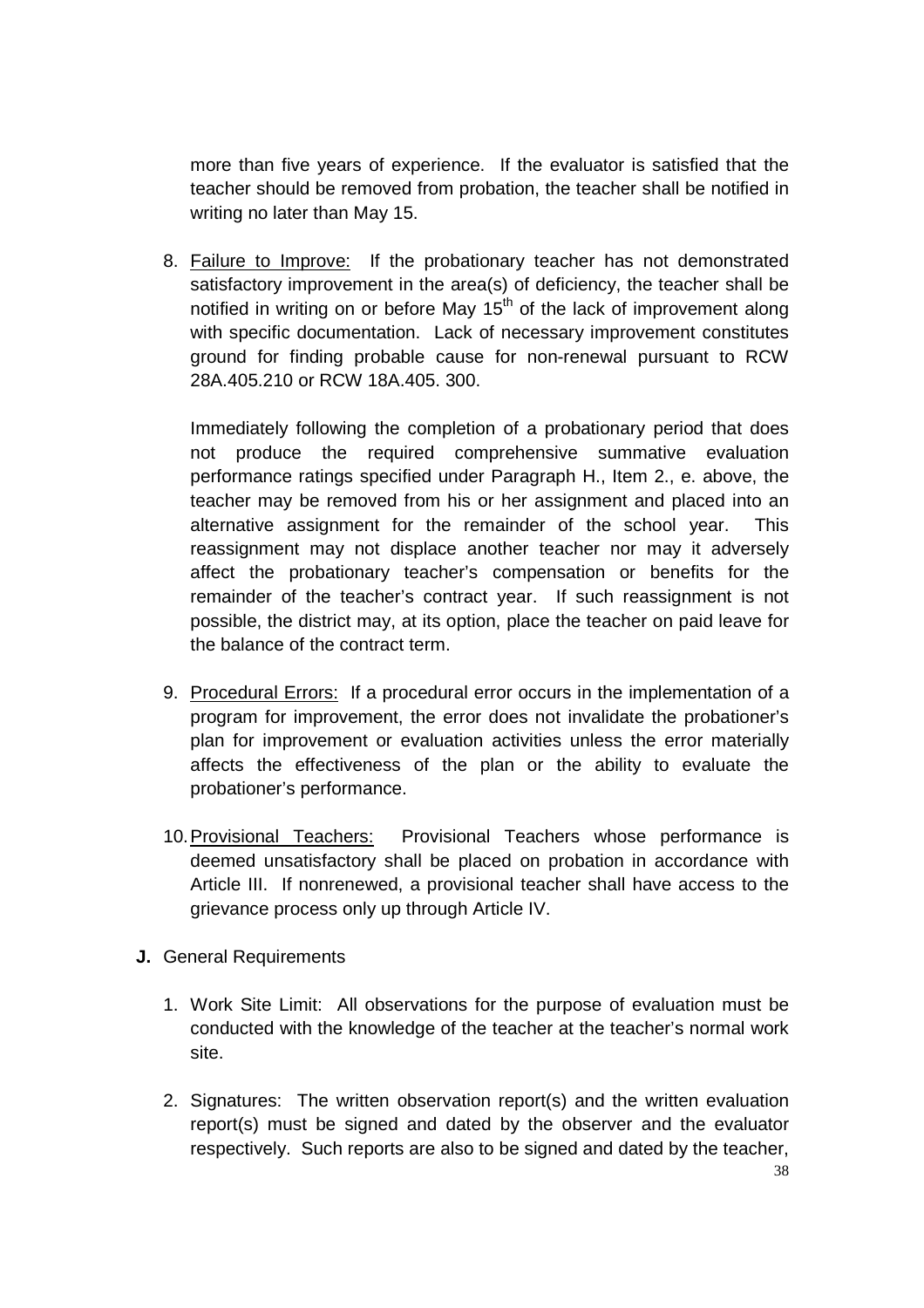more than five years of experience. If the evaluator is satisfied that the teacher should be removed from probation, the teacher shall be notified in writing no later than May 15.

8. Failure to Improve: If the probationary teacher has not demonstrated satisfactory improvement in the area(s) of deficiency, the teacher shall be notified in writing on or before May  $15<sup>th</sup>$  of the lack of improvement along with specific documentation. Lack of necessary improvement constitutes ground for finding probable cause for non-renewal pursuant to RCW 28A.405.210 or RCW 18A.405. 300.

Immediately following the completion of a probationary period that does not produce the required comprehensive summative evaluation performance ratings specified under Paragraph H., Item 2., e. above, the teacher may be removed from his or her assignment and placed into an alternative assignment for the remainder of the school year. This reassignment may not displace another teacher nor may it adversely affect the probationary teacher's compensation or benefits for the remainder of the teacher's contract year. If such reassignment is not possible, the district may, at its option, place the teacher on paid leave for the balance of the contract term.

- 9. Procedural Errors: If a procedural error occurs in the implementation of a program for improvement, the error does not invalidate the probationer's plan for improvement or evaluation activities unless the error materially affects the effectiveness of the plan or the ability to evaluate the probationer's performance.
- 10. Provisional Teachers: Provisional Teachers whose performance is deemed unsatisfactory shall be placed on probation in accordance with Article III. If nonrenewed, a provisional teacher shall have access to the grievance process only up through Article IV.
- **J.** General Requirements
	- 1. Work Site Limit: All observations for the purpose of evaluation must be conducted with the knowledge of the teacher at the teacher's normal work site.
	- 2. Signatures: The written observation report(s) and the written evaluation report(s) must be signed and dated by the observer and the evaluator respectively. Such reports are also to be signed and dated by the teacher,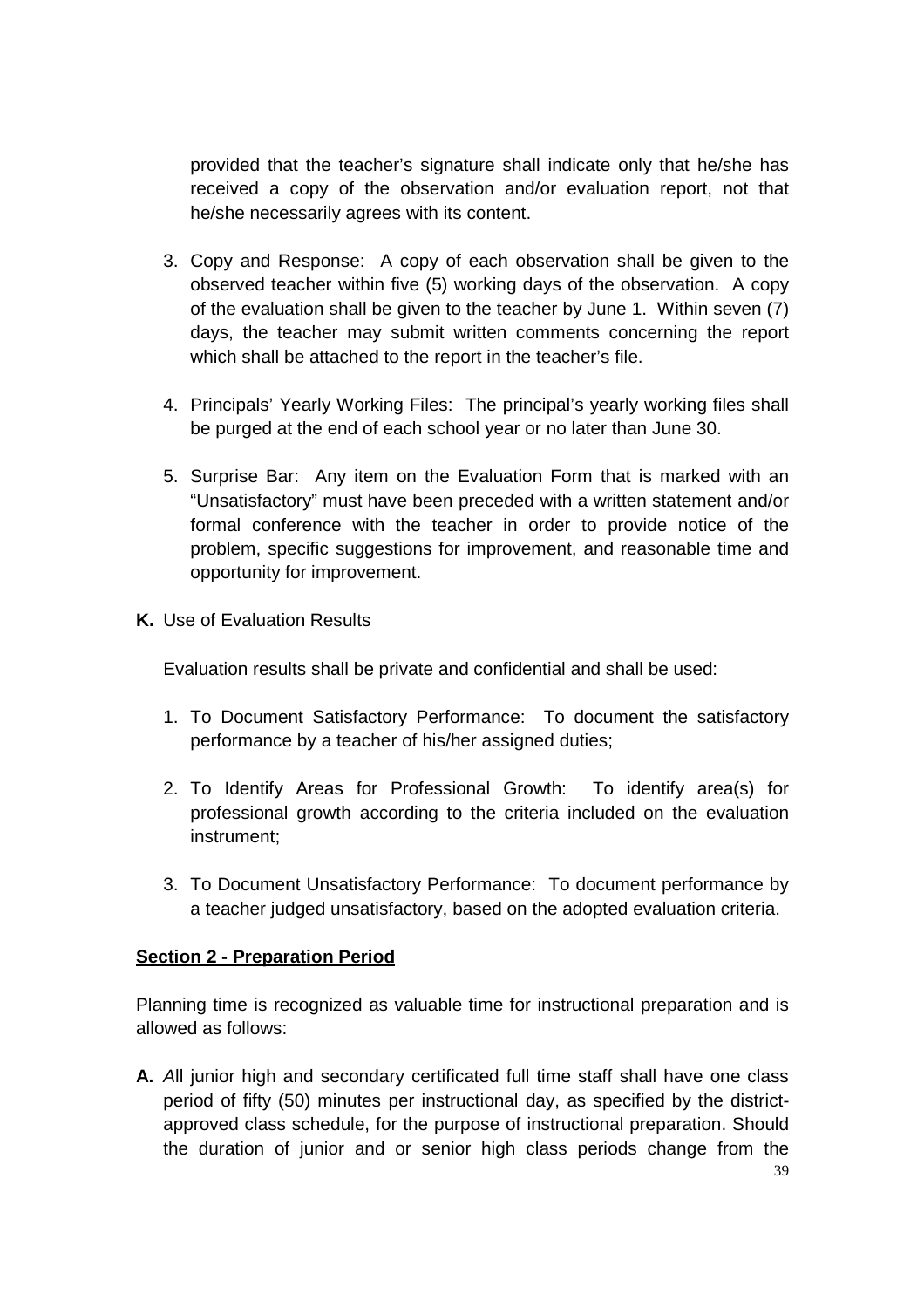provided that the teacher's signature shall indicate only that he/she has received a copy of the observation and/or evaluation report, not that he/she necessarily agrees with its content.

- 3. Copy and Response: A copy of each observation shall be given to the observed teacher within five (5) working days of the observation. A copy of the evaluation shall be given to the teacher by June 1. Within seven (7) days, the teacher may submit written comments concerning the report which shall be attached to the report in the teacher's file.
- 4. Principals' Yearly Working Files: The principal's yearly working files shall be purged at the end of each school year or no later than June 30.
- 5. Surprise Bar: Any item on the Evaluation Form that is marked with an "Unsatisfactory" must have been preceded with a written statement and/or formal conference with the teacher in order to provide notice of the problem, specific suggestions for improvement, and reasonable time and opportunity for improvement.
- **K.** Use of Evaluation Results

Evaluation results shall be private and confidential and shall be used:

- 1. To Document Satisfactory Performance: To document the satisfactory performance by a teacher of his/her assigned duties;
- 2. To Identify Areas for Professional Growth: To identify area(s) for professional growth according to the criteria included on the evaluation instrument;
- 3. To Document Unsatisfactory Performance: To document performance by a teacher judged unsatisfactory, based on the adopted evaluation criteria.

## **Section 2 - Preparation Period**

Planning time is recognized as valuable time for instructional preparation and is allowed as follows:

**A.** All junior high and secondary certificated full time staff shall have one class period of fifty (50) minutes per instructional day, as specified by the districtapproved class schedule, for the purpose of instructional preparation. Should the duration of junior and or senior high class periods change from the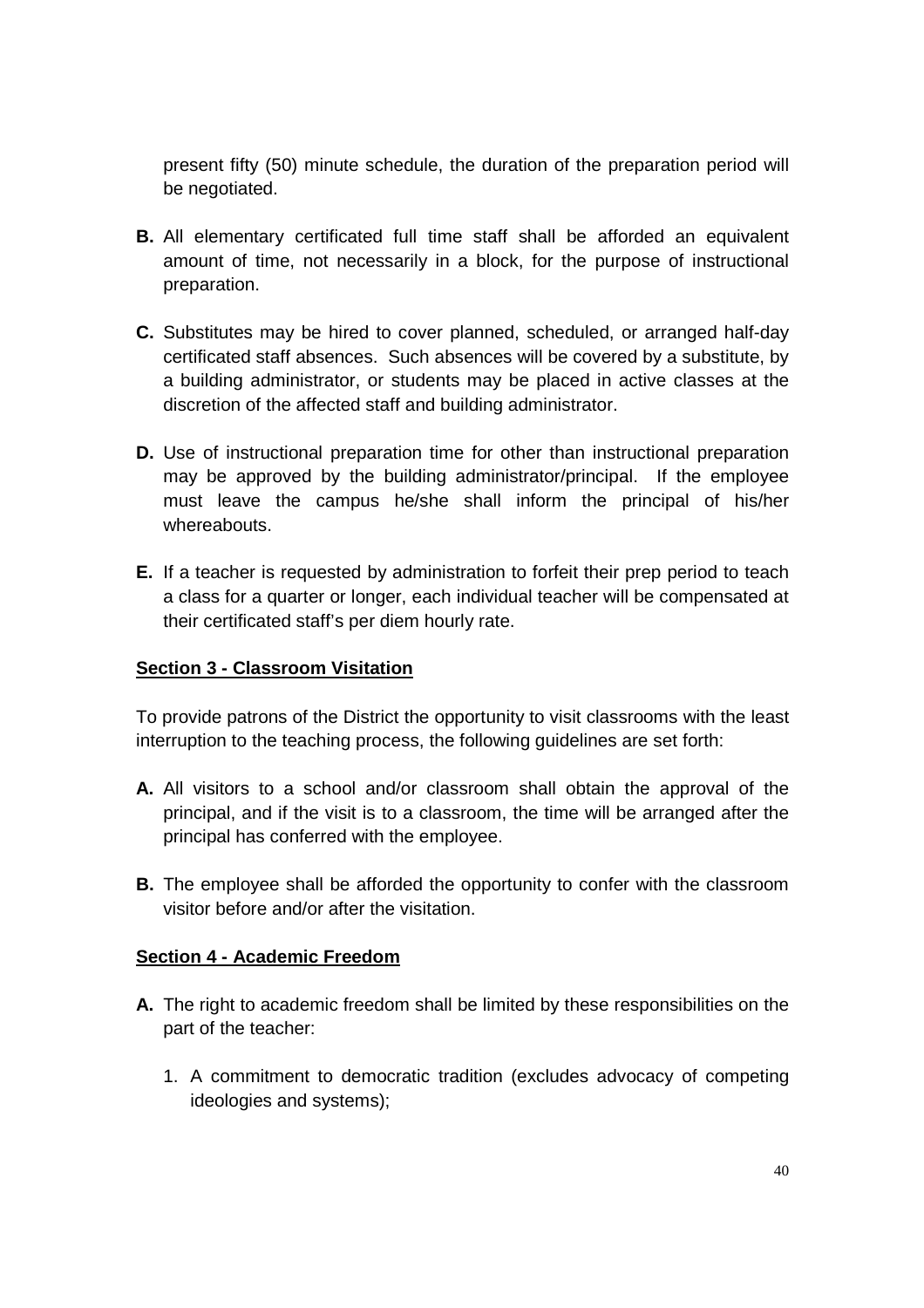present fifty (50) minute schedule, the duration of the preparation period will be negotiated.

- **B.** All elementary certificated full time staff shall be afforded an equivalent amount of time, not necessarily in a block, for the purpose of instructional preparation.
- **C.** Substitutes may be hired to cover planned, scheduled, or arranged half-day certificated staff absences. Such absences will be covered by a substitute, by a building administrator, or students may be placed in active classes at the discretion of the affected staff and building administrator.
- **D.** Use of instructional preparation time for other than instructional preparation may be approved by the building administrator/principal. If the employee must leave the campus he/she shall inform the principal of his/her whereabouts.
- **E.** If a teacher is requested by administration to forfeit their prep period to teach a class for a quarter or longer, each individual teacher will be compensated at their certificated staff's per diem hourly rate.

## **Section 3 - Classroom Visitation**

To provide patrons of the District the opportunity to visit classrooms with the least interruption to the teaching process, the following quidelines are set forth:

- **A.** All visitors to a school and/or classroom shall obtain the approval of the principal, and if the visit is to a classroom, the time will be arranged after the principal has conferred with the employee.
- **B.** The employee shall be afforded the opportunity to confer with the classroom visitor before and/or after the visitation.

## **Section 4 - Academic Freedom**

- **A.** The right to academic freedom shall be limited by these responsibilities on the part of the teacher:
	- 1. A commitment to democratic tradition (excludes advocacy of competing ideologies and systems);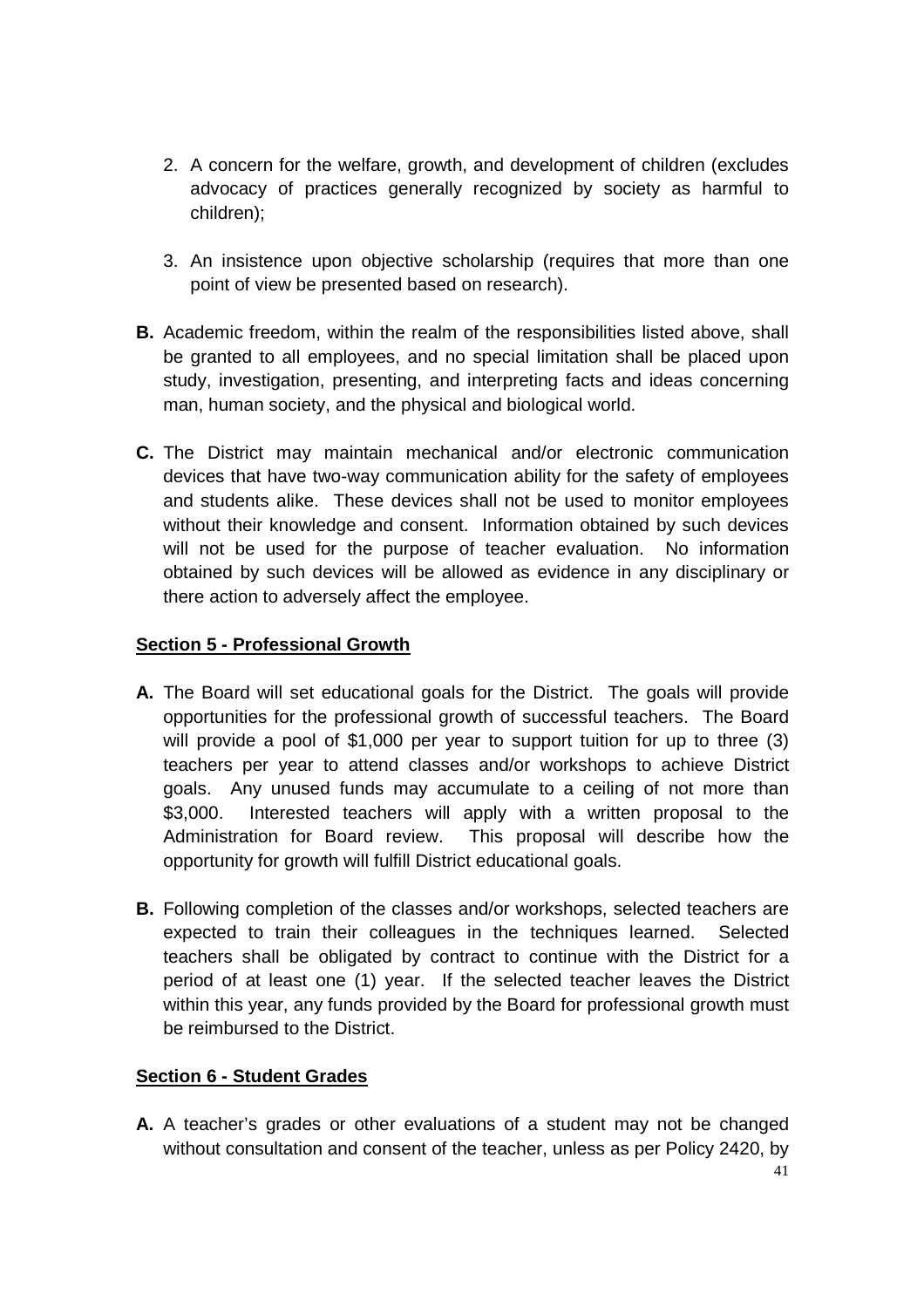- 2. A concern for the welfare, growth, and development of children (excludes advocacy of practices generally recognized by society as harmful to children);
- 3. An insistence upon objective scholarship (requires that more than one point of view be presented based on research).
- **B.** Academic freedom, within the realm of the responsibilities listed above, shall be granted to all employees, and no special limitation shall be placed upon study, investigation, presenting, and interpreting facts and ideas concerning man, human society, and the physical and biological world.
- **C.** The District may maintain mechanical and/or electronic communication devices that have two-way communication ability for the safety of employees and students alike. These devices shall not be used to monitor employees without their knowledge and consent. Information obtained by such devices will not be used for the purpose of teacher evaluation. No information obtained by such devices will be allowed as evidence in any disciplinary or there action to adversely affect the employee.

## **Section 5 - Professional Growth**

- **A.** The Board will set educational goals for the District. The goals will provide opportunities for the professional growth of successful teachers. The Board will provide a pool of \$1,000 per year to support tuition for up to three (3) teachers per year to attend classes and/or workshops to achieve District goals. Any unused funds may accumulate to a ceiling of not more than \$3,000. Interested teachers will apply with a written proposal to the Administration for Board review. This proposal will describe how the opportunity for growth will fulfill District educational goals.
- **B.** Following completion of the classes and/or workshops, selected teachers are expected to train their colleagues in the techniques learned. Selected teachers shall be obligated by contract to continue with the District for a period of at least one (1) year. If the selected teacher leaves the District within this year, any funds provided by the Board for professional growth must be reimbursed to the District.

## **Section 6 - Student Grades**

**A.** A teacher's grades or other evaluations of a student may not be changed without consultation and consent of the teacher, unless as per Policy 2420, by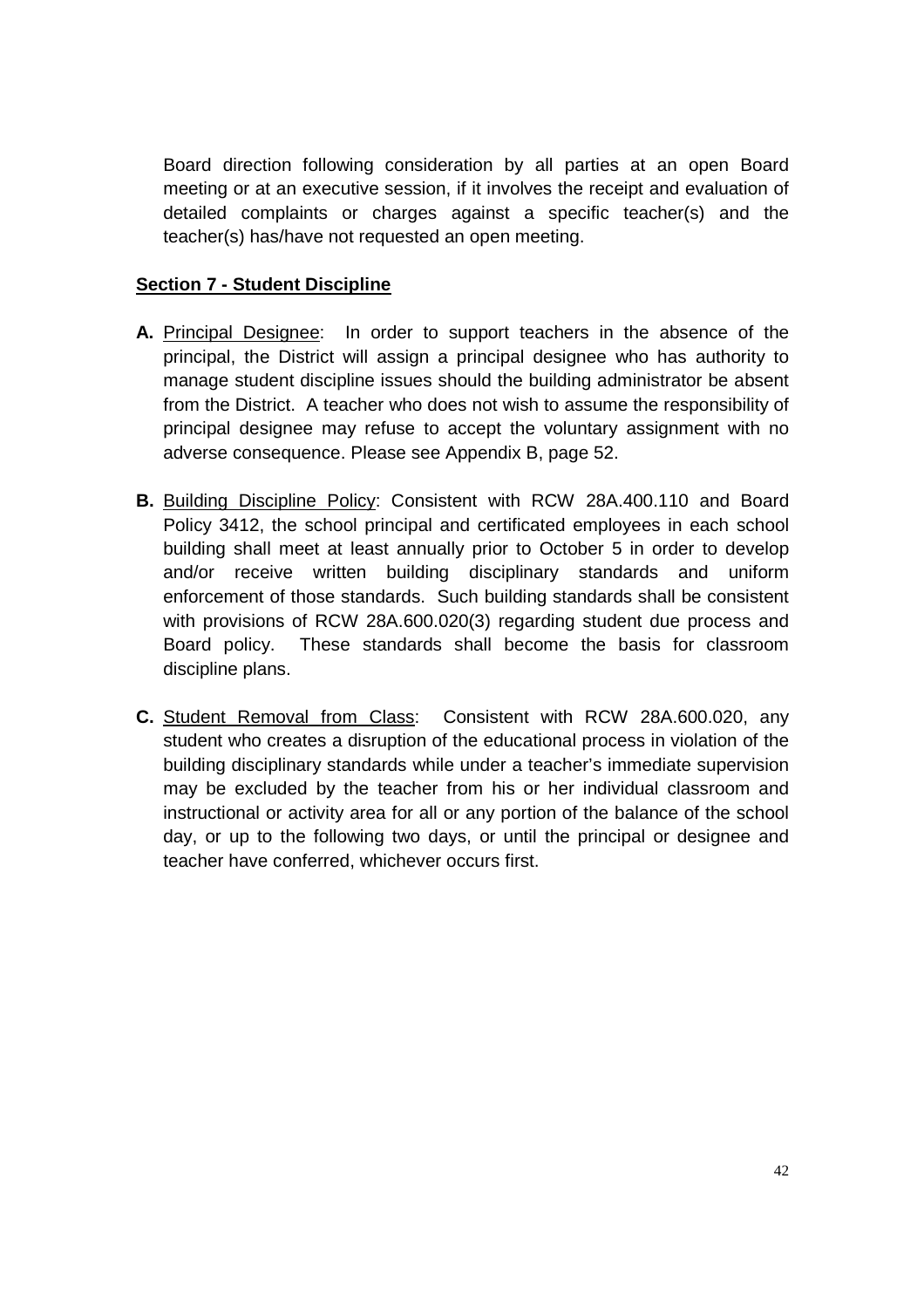Board direction following consideration by all parties at an open Board meeting or at an executive session, if it involves the receipt and evaluation of detailed complaints or charges against a specific teacher(s) and the teacher(s) has/have not requested an open meeting.

## **Section 7 - Student Discipline**

- **A.** Principal Designee: In order to support teachers in the absence of the principal, the District will assign a principal designee who has authority to manage student discipline issues should the building administrator be absent from the District. A teacher who does not wish to assume the responsibility of principal designee may refuse to accept the voluntary assignment with no adverse consequence. Please see Appendix B, page 52.
- **B.** Building Discipline Policy: Consistent with RCW 28A.400.110 and Board Policy 3412, the school principal and certificated employees in each school building shall meet at least annually prior to October 5 in order to develop and/or receive written building disciplinary standards and uniform enforcement of those standards. Such building standards shall be consistent with provisions of RCW 28A.600.020(3) regarding student due process and Board policy. These standards shall become the basis for classroom discipline plans.
- **C.** Student Removal from Class: Consistent with RCW 28A.600.020, any student who creates a disruption of the educational process in violation of the building disciplinary standards while under a teacher's immediate supervision may be excluded by the teacher from his or her individual classroom and instructional or activity area for all or any portion of the balance of the school day, or up to the following two days, or until the principal or designee and teacher have conferred, whichever occurs first.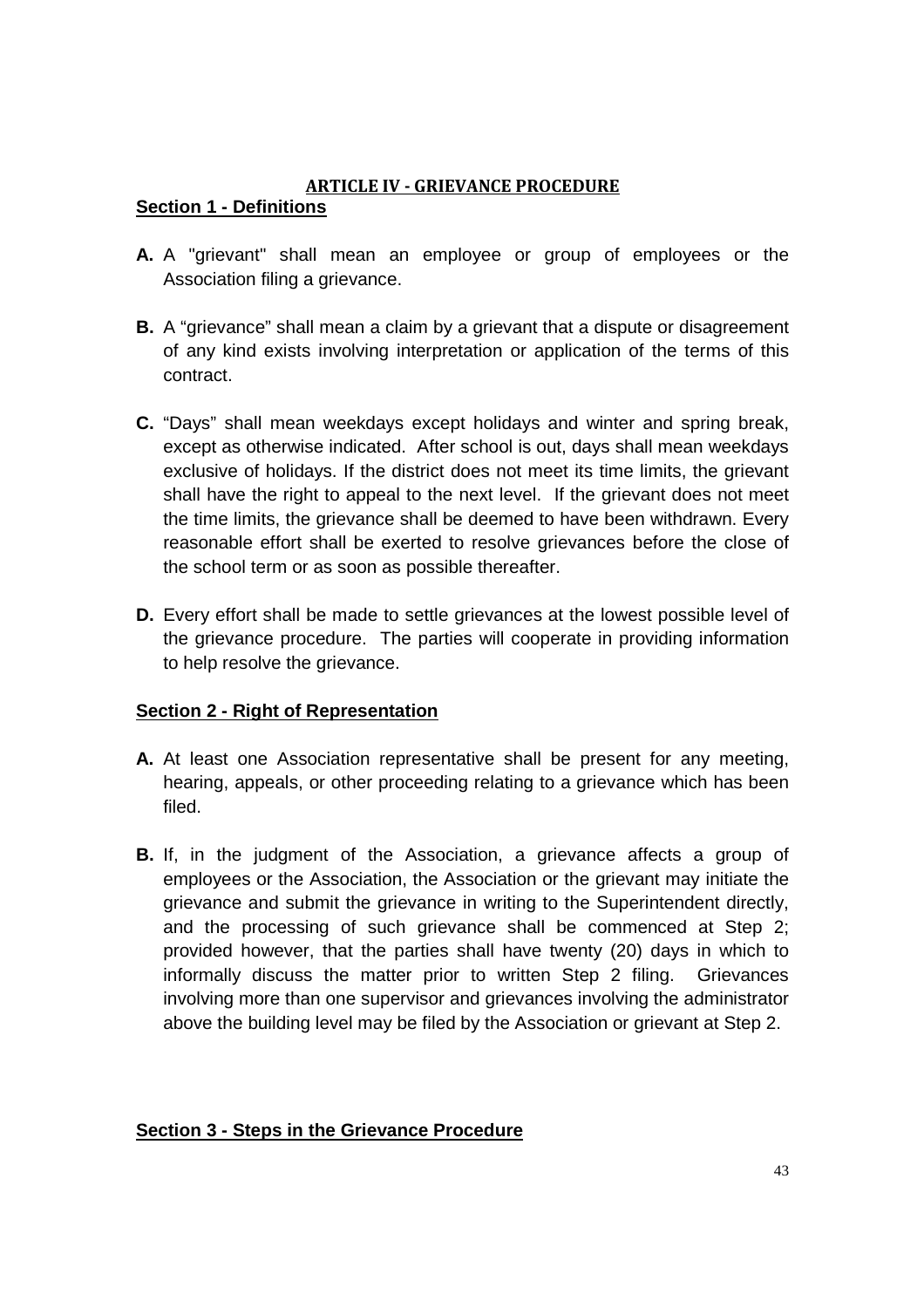## **ARTICLE IV - GRIEVANCE PROCEDURE**

## **Section 1 - Definitions**

- **A.** A "grievant" shall mean an employee or group of employees or the Association filing a grievance.
- **B.** A "grievance" shall mean a claim by a grievant that a dispute or disagreement of any kind exists involving interpretation or application of the terms of this contract.
- **C.** "Days" shall mean weekdays except holidays and winter and spring break, except as otherwise indicated. After school is out, days shall mean weekdays exclusive of holidays. If the district does not meet its time limits, the grievant shall have the right to appeal to the next level. If the grievant does not meet the time limits, the grievance shall be deemed to have been withdrawn. Every reasonable effort shall be exerted to resolve grievances before the close of the school term or as soon as possible thereafter.
- **D.** Every effort shall be made to settle grievances at the lowest possible level of the grievance procedure. The parties will cooperate in providing information to help resolve the grievance.

## **Section 2 - Right of Representation**

- **A.** At least one Association representative shall be present for any meeting, hearing, appeals, or other proceeding relating to a grievance which has been filed.
- **B.** If, in the judgment of the Association, a grievance affects a group of employees or the Association, the Association or the grievant may initiate the grievance and submit the grievance in writing to the Superintendent directly, and the processing of such grievance shall be commenced at Step 2; provided however, that the parties shall have twenty (20) days in which to informally discuss the matter prior to written Step 2 filing. Grievances involving more than one supervisor and grievances involving the administrator above the building level may be filed by the Association or grievant at Step 2.

## **Section 3 - Steps in the Grievance Procedure**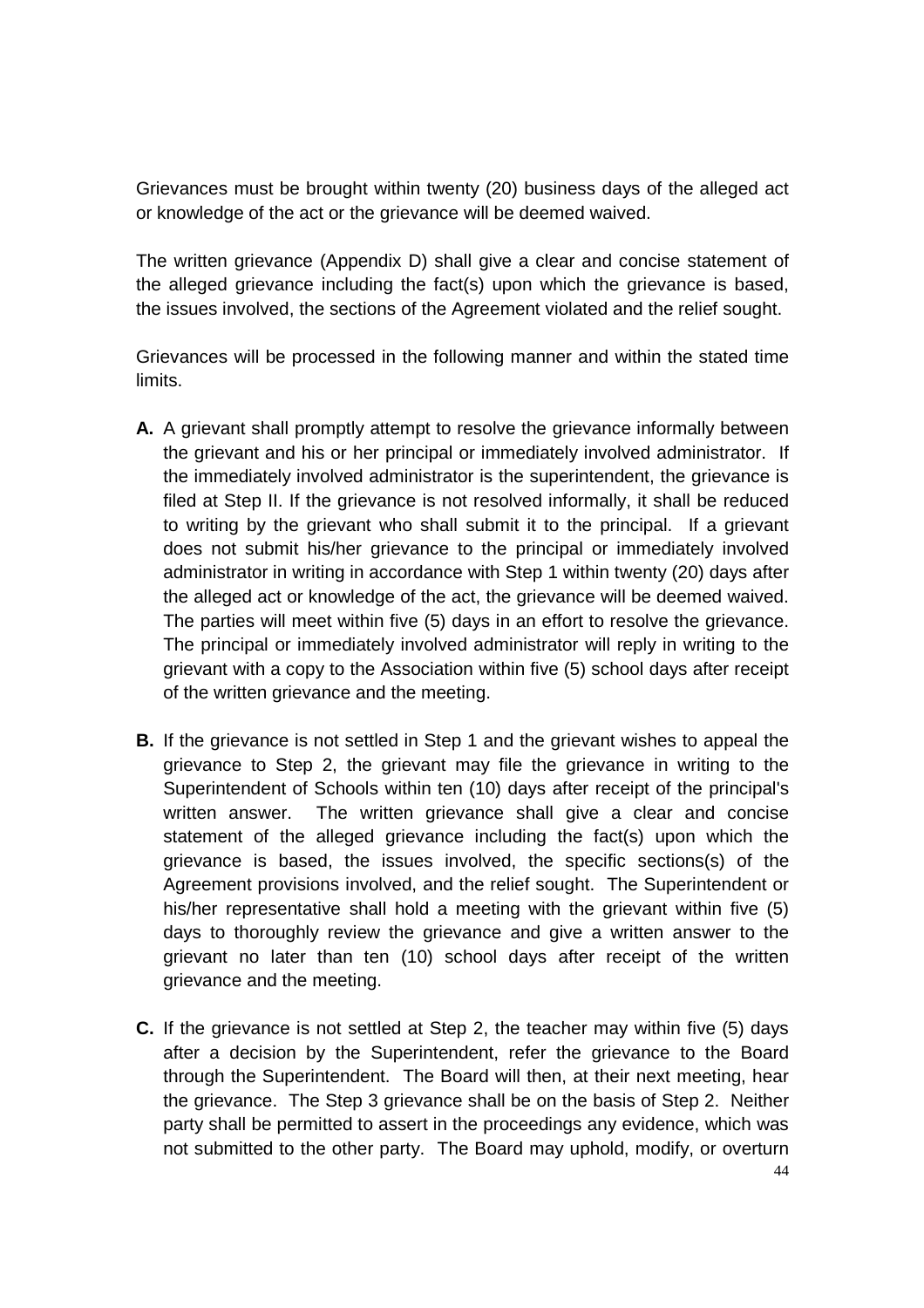Grievances must be brought within twenty (20) business days of the alleged act or knowledge of the act or the grievance will be deemed waived.

The written grievance (Appendix D) shall give a clear and concise statement of the alleged grievance including the fact(s) upon which the grievance is based, the issues involved, the sections of the Agreement violated and the relief sought.

Grievances will be processed in the following manner and within the stated time limits.

- **A.** A grievant shall promptly attempt to resolve the grievance informally between the grievant and his or her principal or immediately involved administrator. If the immediately involved administrator is the superintendent, the grievance is filed at Step II. If the grievance is not resolved informally, it shall be reduced to writing by the grievant who shall submit it to the principal. If a grievant does not submit his/her grievance to the principal or immediately involved administrator in writing in accordance with Step 1 within twenty (20) days after the alleged act or knowledge of the act, the grievance will be deemed waived. The parties will meet within five (5) days in an effort to resolve the grievance. The principal or immediately involved administrator will reply in writing to the grievant with a copy to the Association within five (5) school days after receipt of the written grievance and the meeting.
- **B.** If the grievance is not settled in Step 1 and the grievant wishes to appeal the grievance to Step 2, the grievant may file the grievance in writing to the Superintendent of Schools within ten (10) days after receipt of the principal's written answer. The written grievance shall give a clear and concise statement of the alleged grievance including the fact(s) upon which the grievance is based, the issues involved, the specific sections(s) of the Agreement provisions involved, and the relief sought. The Superintendent or his/her representative shall hold a meeting with the grievant within five (5) days to thoroughly review the grievance and give a written answer to the grievant no later than ten (10) school days after receipt of the written grievance and the meeting.
- **C.** If the grievance is not settled at Step 2, the teacher may within five (5) days after a decision by the Superintendent, refer the grievance to the Board through the Superintendent. The Board will then, at their next meeting, hear the grievance. The Step 3 grievance shall be on the basis of Step 2. Neither party shall be permitted to assert in the proceedings any evidence, which was not submitted to the other party. The Board may uphold, modify, or overturn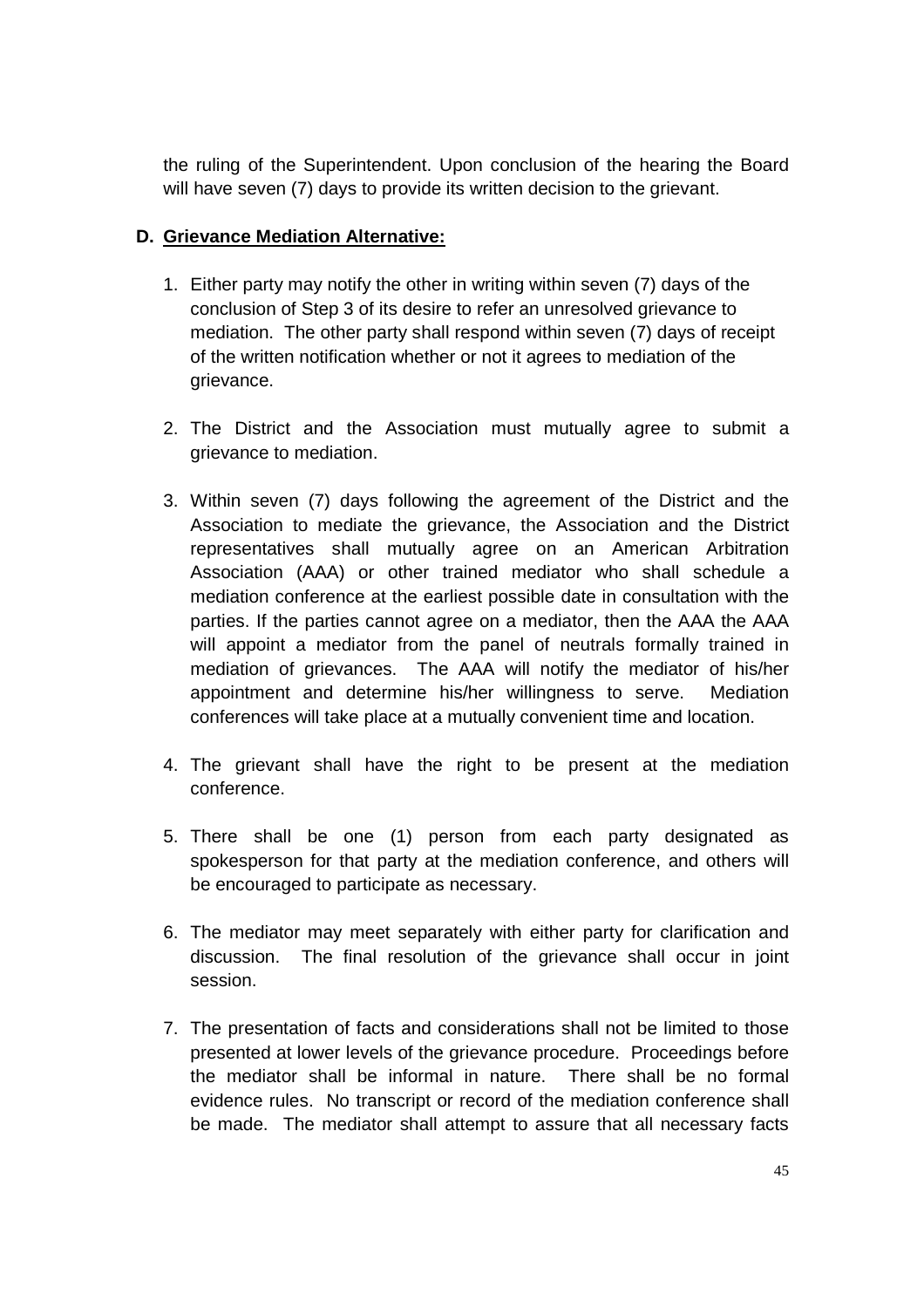the ruling of the Superintendent. Upon conclusion of the hearing the Board will have seven (7) days to provide its written decision to the grievant.

## **D. Grievance Mediation Alternative:**

- 1. Either party may notify the other in writing within seven (7) days of the conclusion of Step 3 of its desire to refer an unresolved grievance to mediation. The other party shall respond within seven (7) days of receipt of the written notification whether or not it agrees to mediation of the grievance.
- 2. The District and the Association must mutually agree to submit a grievance to mediation.
- 3. Within seven (7) days following the agreement of the District and the Association to mediate the grievance, the Association and the District representatives shall mutually agree on an American Arbitration Association (AAA) or other trained mediator who shall schedule a mediation conference at the earliest possible date in consultation with the parties. If the parties cannot agree on a mediator, then the AAA the AAA will appoint a mediator from the panel of neutrals formally trained in mediation of grievances. The AAA will notify the mediator of his/her appointment and determine his/her willingness to serve. Mediation conferences will take place at a mutually convenient time and location.
- 4. The grievant shall have the right to be present at the mediation conference.
- 5. There shall be one (1) person from each party designated as spokesperson for that party at the mediation conference, and others will be encouraged to participate as necessary.
- 6. The mediator may meet separately with either party for clarification and discussion. The final resolution of the grievance shall occur in joint session.
- 7. The presentation of facts and considerations shall not be limited to those presented at lower levels of the grievance procedure. Proceedings before the mediator shall be informal in nature. There shall be no formal evidence rules. No transcript or record of the mediation conference shall be made. The mediator shall attempt to assure that all necessary facts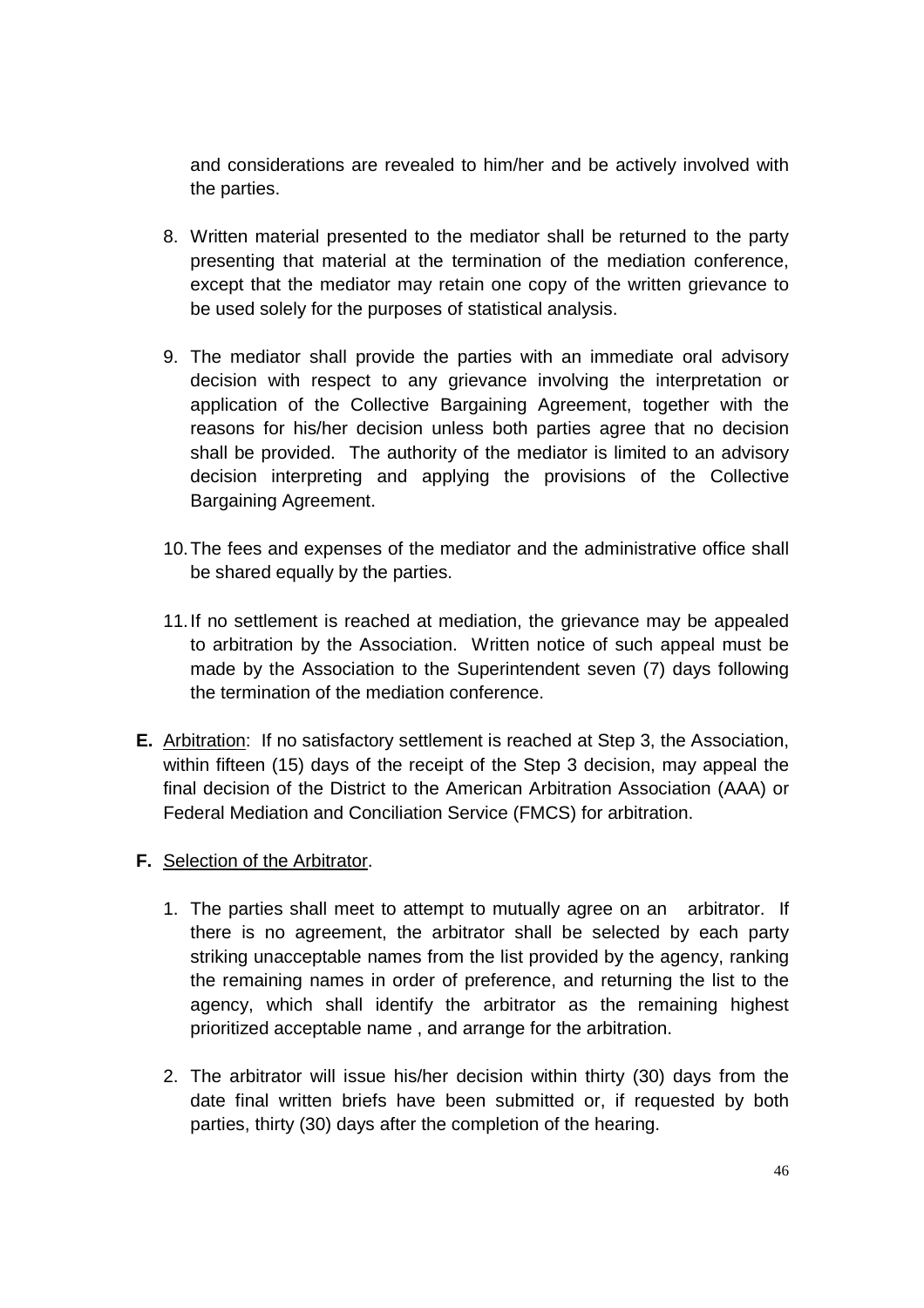and considerations are revealed to him/her and be actively involved with the parties.

- 8. Written material presented to the mediator shall be returned to the party presenting that material at the termination of the mediation conference, except that the mediator may retain one copy of the written grievance to be used solely for the purposes of statistical analysis.
- 9. The mediator shall provide the parties with an immediate oral advisory decision with respect to any grievance involving the interpretation or application of the Collective Bargaining Agreement, together with the reasons for his/her decision unless both parties agree that no decision shall be provided. The authority of the mediator is limited to an advisory decision interpreting and applying the provisions of the Collective Bargaining Agreement.
- 10. The fees and expenses of the mediator and the administrative office shall be shared equally by the parties.
- 11. If no settlement is reached at mediation, the grievance may be appealed to arbitration by the Association. Written notice of such appeal must be made by the Association to the Superintendent seven (7) days following the termination of the mediation conference.
- **E.** Arbitration: If no satisfactory settlement is reached at Step 3, the Association, within fifteen (15) days of the receipt of the Step 3 decision, may appeal the final decision of the District to the American Arbitration Association (AAA) or Federal Mediation and Conciliation Service (FMCS) for arbitration.
- **F.** Selection of the Arbitrator.
	- 1. The parties shall meet to attempt to mutually agree on an arbitrator. If there is no agreement, the arbitrator shall be selected by each party striking unacceptable names from the list provided by the agency, ranking the remaining names in order of preference, and returning the list to the agency, which shall identify the arbitrator as the remaining highest prioritized acceptable name , and arrange for the arbitration.
	- 2. The arbitrator will issue his/her decision within thirty (30) days from the date final written briefs have been submitted or, if requested by both parties, thirty (30) days after the completion of the hearing.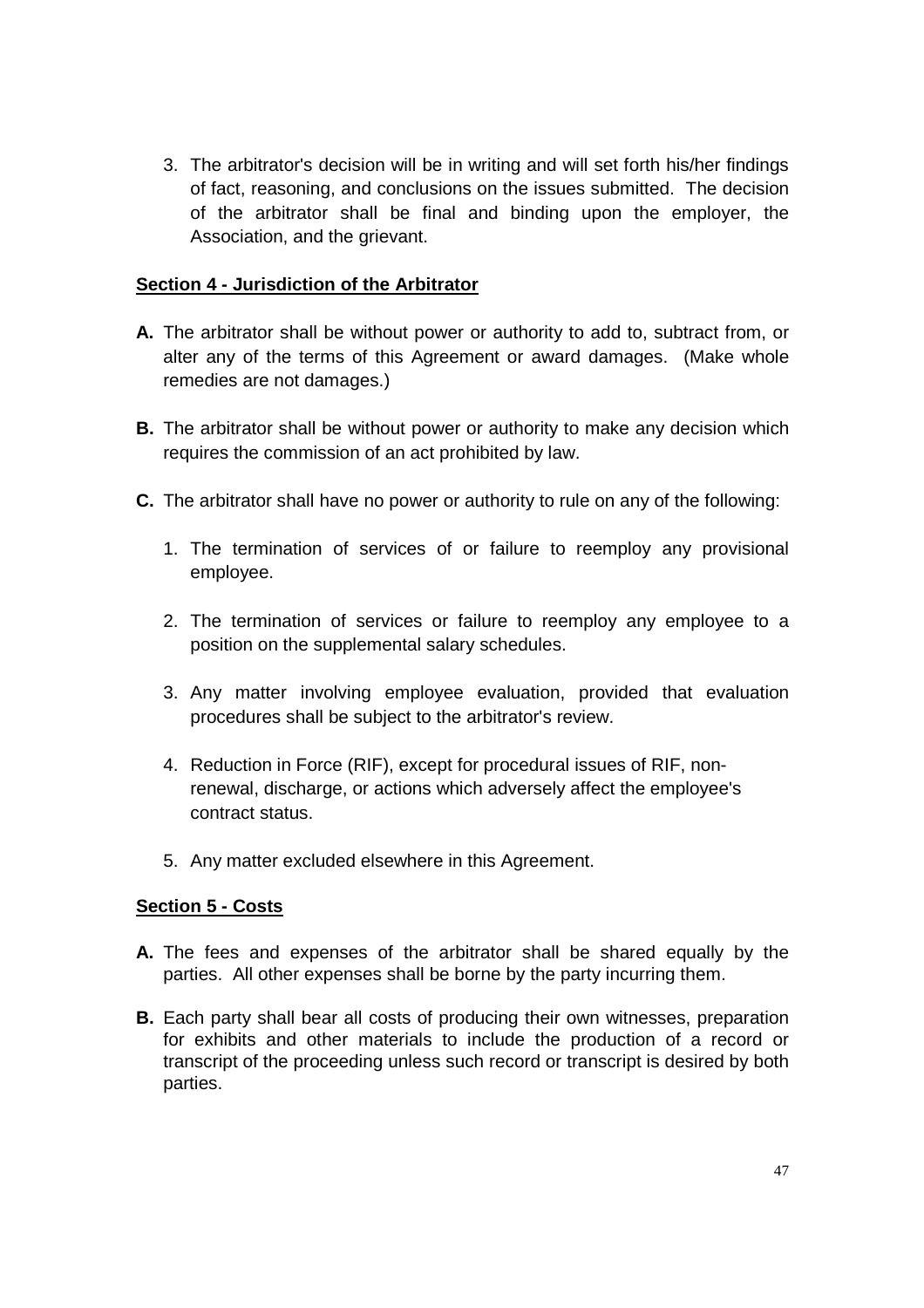3. The arbitrator's decision will be in writing and will set forth his/her findings of fact, reasoning, and conclusions on the issues submitted. The decision of the arbitrator shall be final and binding upon the employer, the Association, and the grievant.

## **Section 4 - Jurisdiction of the Arbitrator**

- **A.** The arbitrator shall be without power or authority to add to, subtract from, or alter any of the terms of this Agreement or award damages. (Make whole remedies are not damages.)
- **B.** The arbitrator shall be without power or authority to make any decision which requires the commission of an act prohibited by law.
- **C.** The arbitrator shall have no power or authority to rule on any of the following:
	- 1. The termination of services of or failure to reemploy any provisional employee.
	- 2. The termination of services or failure to reemploy any employee to a position on the supplemental salary schedules.
	- 3. Any matter involving employee evaluation, provided that evaluation procedures shall be subject to the arbitrator's review.
	- 4. Reduction in Force (RIF), except for procedural issues of RIF, nonrenewal, discharge, or actions which adversely affect the employee's contract status.
	- 5. Any matter excluded elsewhere in this Agreement.

## **Section 5 - Costs**

- **A.** The fees and expenses of the arbitrator shall be shared equally by the parties. All other expenses shall be borne by the party incurring them.
- **B.** Each party shall bear all costs of producing their own witnesses, preparation for exhibits and other materials to include the production of a record or transcript of the proceeding unless such record or transcript is desired by both parties.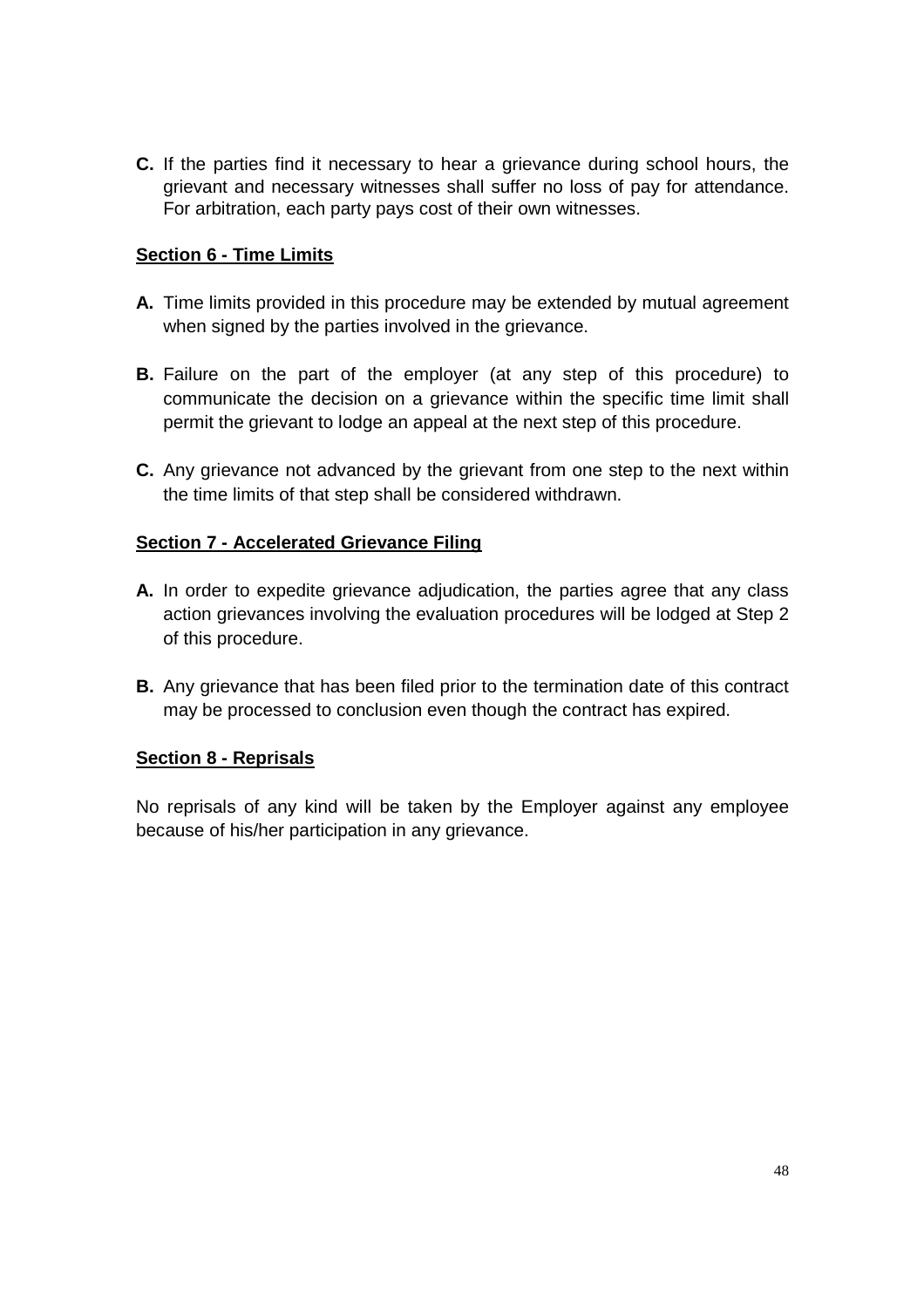**C.** If the parties find it necessary to hear a grievance during school hours, the grievant and necessary witnesses shall suffer no loss of pay for attendance. For arbitration, each party pays cost of their own witnesses.

## **Section 6 - Time Limits**

- **A.** Time limits provided in this procedure may be extended by mutual agreement when signed by the parties involved in the grievance.
- **B.** Failure on the part of the employer (at any step of this procedure) to communicate the decision on a grievance within the specific time limit shall permit the grievant to lodge an appeal at the next step of this procedure.
- **C.** Any grievance not advanced by the grievant from one step to the next within the time limits of that step shall be considered withdrawn.

## **Section 7 - Accelerated Grievance Filing**

- **A.** In order to expedite grievance adjudication, the parties agree that any class action grievances involving the evaluation procedures will be lodged at Step 2 of this procedure.
- **B.** Any grievance that has been filed prior to the termination date of this contract may be processed to conclusion even though the contract has expired.

## **Section 8 - Reprisals**

No reprisals of any kind will be taken by the Employer against any employee because of his/her participation in any grievance.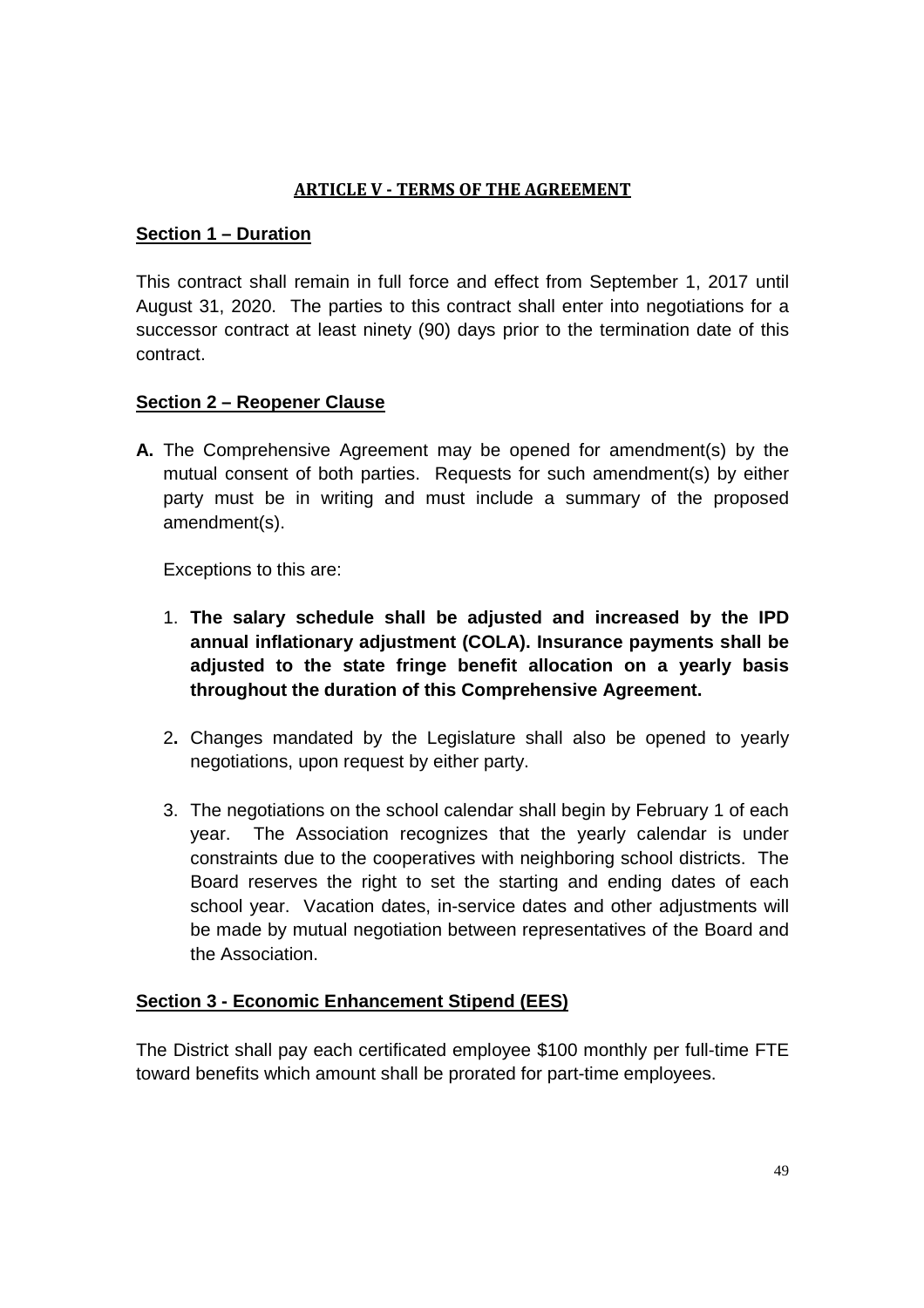### **ARTICLE V - TERMS OF THE AGREEMENT**

### **Section 1 – Duration**

This contract shall remain in full force and effect from September 1, 2017 until August 31, 2020. The parties to this contract shall enter into negotiations for a successor contract at least ninety (90) days prior to the termination date of this contract.

#### **Section 2 – Reopener Clause**

**A.** The Comprehensive Agreement may be opened for amendment(s) by the mutual consent of both parties. Requests for such amendment(s) by either party must be in writing and must include a summary of the proposed amendment(s).

Exceptions to this are:

- 1. **The salary schedule shall be adjusted and increased by the IPD annual inflationary adjustment (COLA). Insurance payments shall be adjusted to the state fringe benefit allocation on a yearly basis throughout the duration of this Comprehensive Agreement.**
- 2**.** Changes mandated by the Legislature shall also be opened to yearly negotiations, upon request by either party.
- 3. The negotiations on the school calendar shall begin by February 1 of each year. The Association recognizes that the yearly calendar is under constraints due to the cooperatives with neighboring school districts. The Board reserves the right to set the starting and ending dates of each school year. Vacation dates, in-service dates and other adjustments will be made by mutual negotiation between representatives of the Board and the Association.

## **Section 3 - Economic Enhancement Stipend (EES)**

The District shall pay each certificated employee \$100 monthly per full-time FTE toward benefits which amount shall be prorated for part-time employees.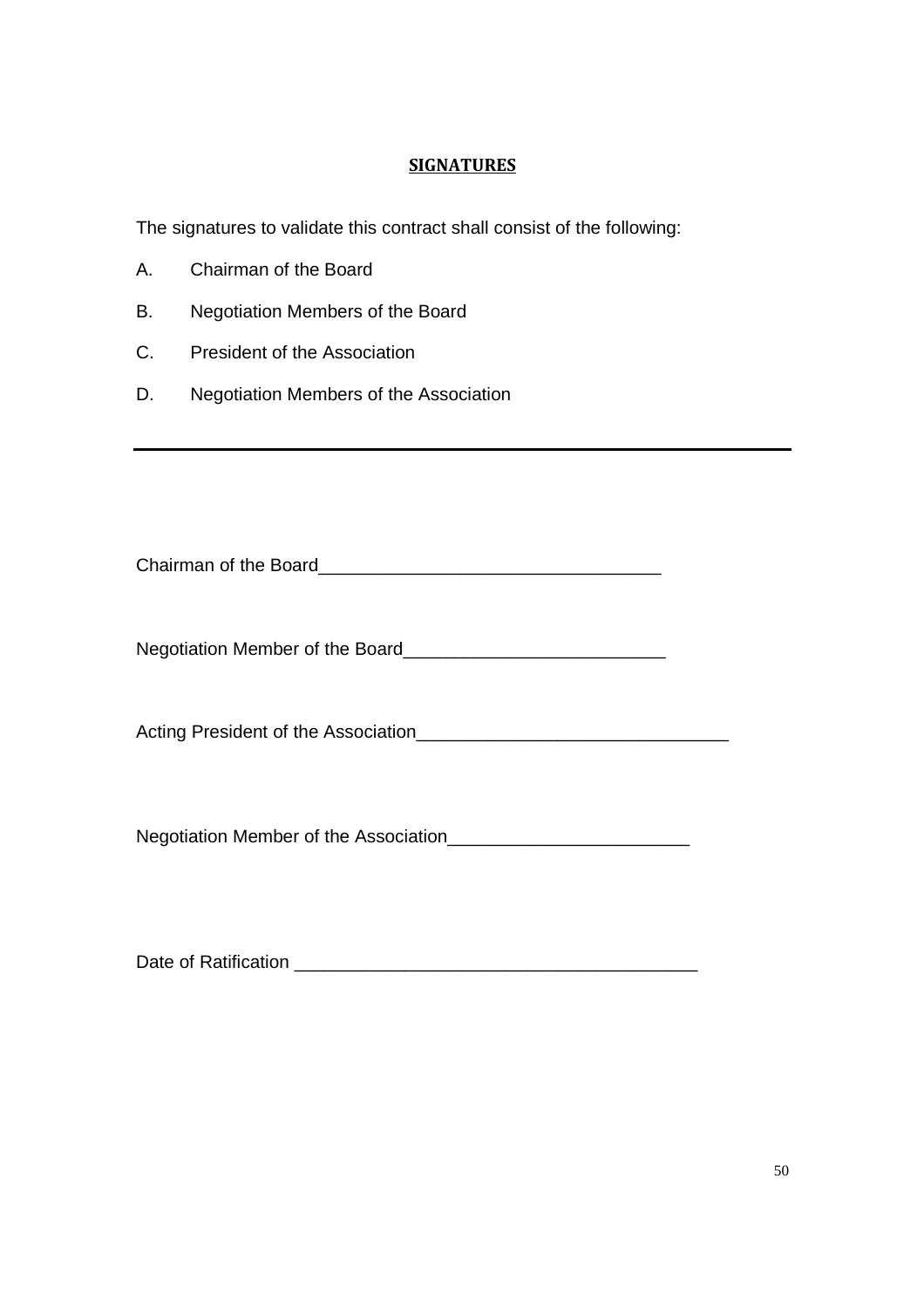### **SIGNATURES**

The signatures to validate this contract shall consist of the following:

- A. Chairman of the Board
- B. Negotiation Members of the Board
- C. President of the Association
- D. Negotiation Members of the Association

| Chairman of the Board |  |  |
|-----------------------|--|--|
|                       |  |  |

Negotiation Member of the Board\_\_\_\_\_\_\_\_\_\_\_\_\_\_\_\_\_\_\_\_\_\_\_\_\_\_

Acting President of the Association\_\_\_\_\_\_\_\_\_\_\_\_\_\_\_\_\_\_\_\_\_\_\_\_\_\_\_\_\_\_\_

Negotiation Member of the Association\_\_\_\_\_\_\_\_\_\_\_\_\_\_\_\_\_\_\_\_\_\_\_\_

Date of Ratification **example 20** and 20 and 20 and 20 and 20 and 20 and 20 and 20 and 20 and 20 and 20 and 20 and 20 and 20 and 20 and 20 and 20 and 20 and 20 and 20 and 20 and 20 and 20 and 20 and 20 and 20 and 20 and 20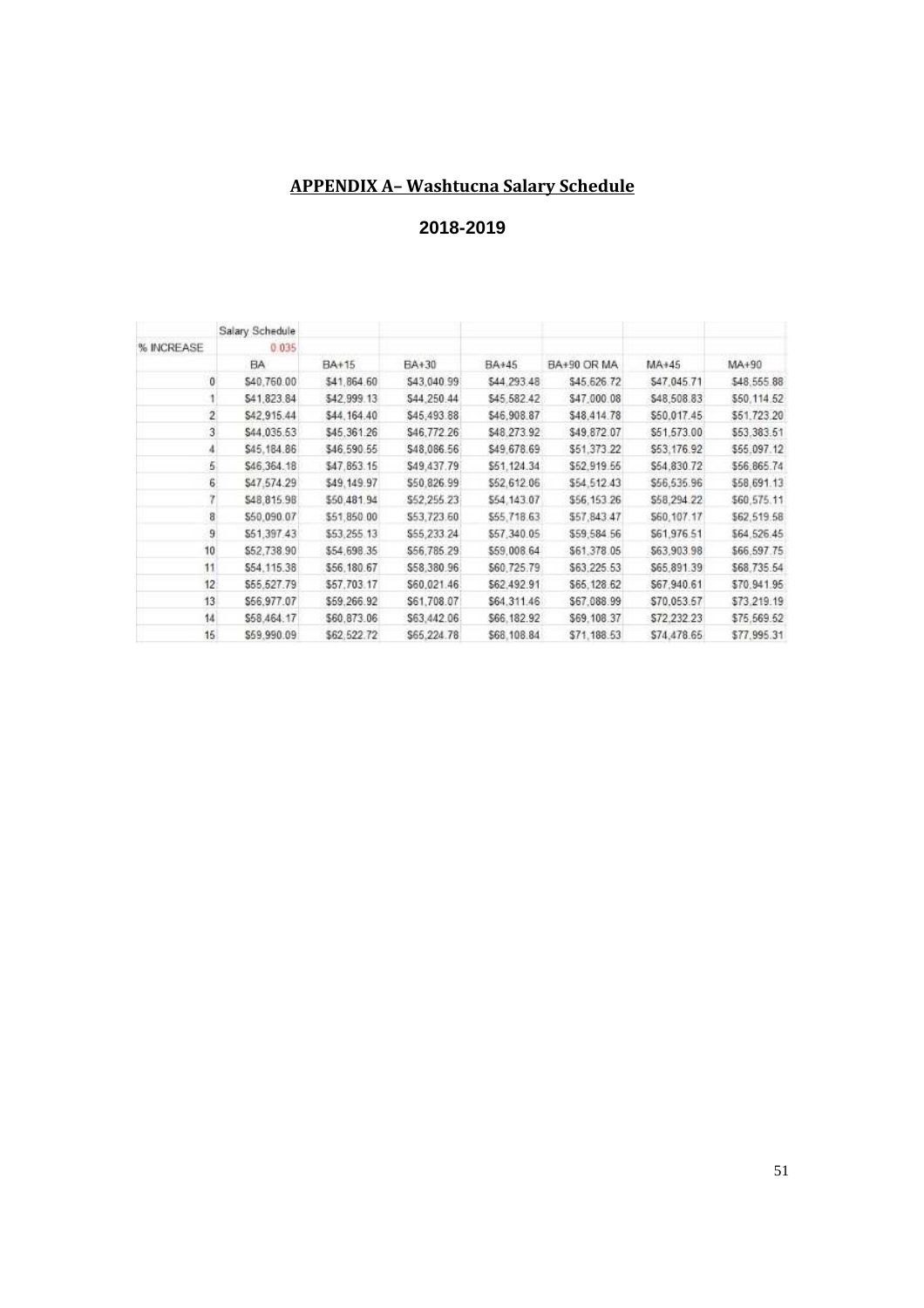## **APPENDIX A– Washtucna Salary Schedule**

## **2018-2019**

|                 | Salary Schedule |              |             |             |             |             |             |
|-----------------|-----------------|--------------|-------------|-------------|-------------|-------------|-------------|
| % INCREASE      | 0.035           |              |             |             |             |             |             |
|                 | BA              | BA+15        | EA+30       | BA+45       | BA+90 OR MA | MA+45       | MA+90       |
| $\bf{0}$        | \$40,760.00     | \$41,864.60  | \$43,040.99 | \$44,293.48 | \$45,626.72 | \$47,045.71 | \$48,555.88 |
|                 | \$41,823.84     | \$42,999.13  | \$44,250.44 | \$45,582.42 | \$47,000.08 | \$48,508.83 | \$50,114.52 |
| $\overline{2}$  | S42,915.44      | \$44, 164.40 | \$45,493.88 | \$46,908.87 | \$48,414.78 | \$50,017.45 | \$51,723.20 |
| 3               | \$44.035.53     | \$45,361.26  | \$46,772.26 | \$48,273.92 | \$49,872.07 | \$51,573.00 | \$53.383.51 |
| 4               | \$45,184.86     | \$46,590.55  | \$48,086.56 | \$49,678.69 | \$51,373.22 | \$53,176.92 | \$55.097.12 |
| 5.              | \$46,364.18     | \$47,853.15  | \$49,437.79 | \$51,124.34 | \$52,919.55 | \$54,830.72 | \$56,865.74 |
| 6               | \$47,574.29     | \$49,149.97  | \$50,826.99 | \$52,612.06 | \$54,512.43 | \$56,535.96 | \$58,691.13 |
|                 | \$48,815.98     | \$50,481.94  | \$52,255.23 | \$54,143.07 | \$56,153.26 | \$58,294.22 | \$60,575.11 |
| 8               | \$50,090.07     | \$51,850.00  | \$53,723.60 | \$55,718.63 | \$57,843.47 | 560, 107.17 | \$62,519.58 |
| 9               | \$51,397.43     | \$53,255.13  | \$55,233.24 | \$57,340.05 | \$59,584.56 | 561,976.51  | \$64,526.45 |
| 10              | \$52,738.90     | \$54,698.35  | \$56,785.29 | \$59,008.64 | \$61,378.05 | \$63,903.98 | \$66,597.75 |
| 11              | \$54,115.38     | \$56,180.67  | \$58,380.96 | \$60,725.79 | \$63,225.53 | \$65,891.39 | \$68,735.54 |
| 12 <sub>1</sub> | \$55,527.79     | \$57,703.17  | \$60,021.46 | \$62,492.91 | \$65,128.62 | \$67,940.61 | \$70,941.95 |
| 13              | \$56,977.07     | \$59,266.92  | \$61,708.07 | \$64.311.46 | \$67,088.99 | \$70,053.57 | \$73.219.19 |
| 14              | \$58,464.17     | \$60,873.06  | \$63,442.06 | \$66,182.92 | \$69,108.37 | \$72,232.23 | \$75,569.52 |
| 15              | \$59,990.09     | \$62,522.72  | \$65,224.78 | \$68,108.84 | \$71,188.53 | \$74.478.65 | \$77.995.31 |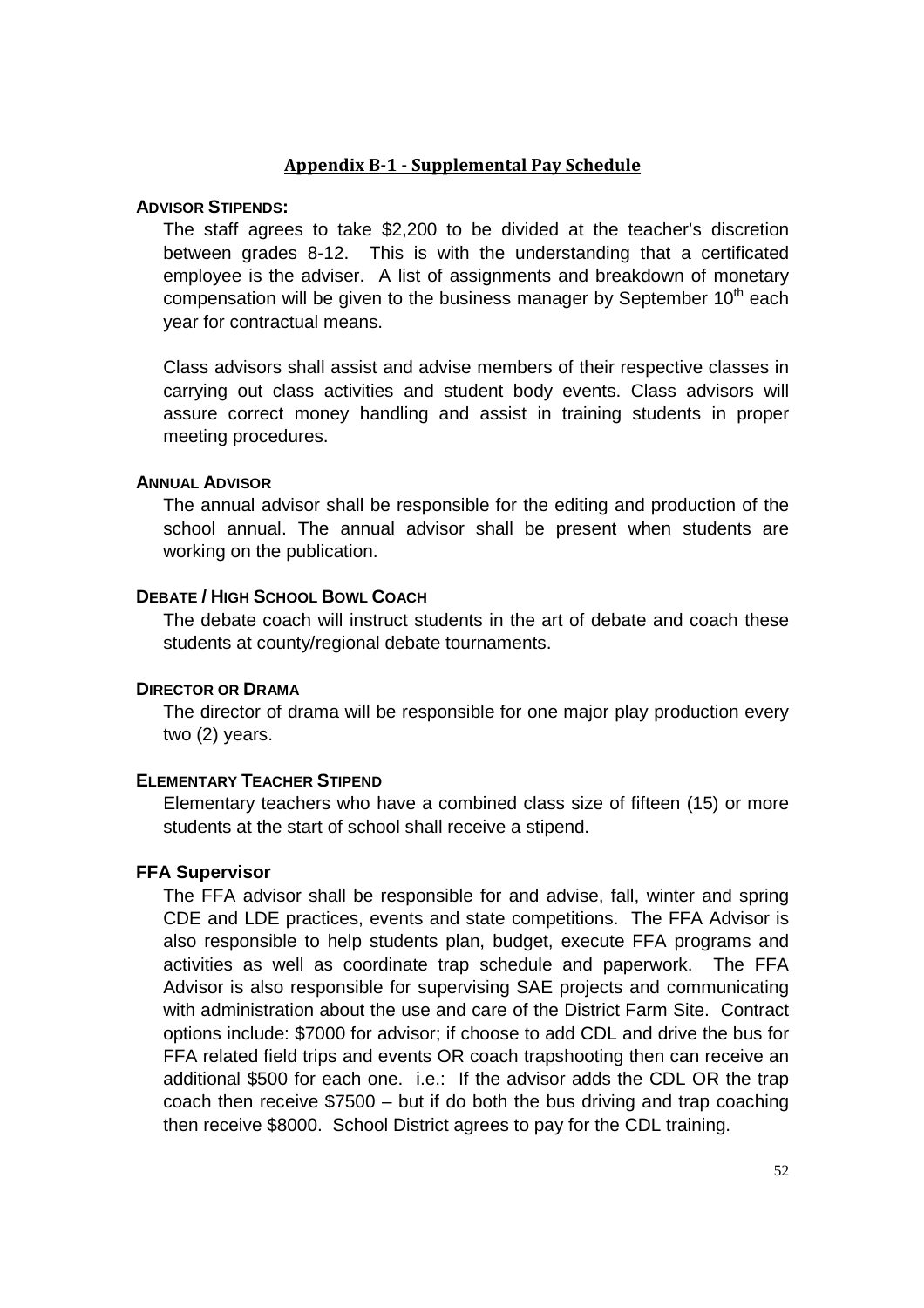#### **Appendix B-1 - Supplemental Pay Schedule**

#### **ADVISOR STIPENDS:**

The staff agrees to take \$2,200 to be divided at the teacher's discretion between grades 8-12. This is with the understanding that a certificated employee is the adviser. A list of assignments and breakdown of monetary compensation will be given to the business manager by September  $10<sup>th</sup>$  each year for contractual means.

Class advisors shall assist and advise members of their respective classes in carrying out class activities and student body events. Class advisors will assure correct money handling and assist in training students in proper meeting procedures.

#### **ANNUAL ADVISOR**

The annual advisor shall be responsible for the editing and production of the school annual. The annual advisor shall be present when students are working on the publication.

#### **DEBATE / HIGH SCHOOL BOWL COACH**

The debate coach will instruct students in the art of debate and coach these students at county/regional debate tournaments.

#### **DIRECTOR OR DRAMA**

The director of drama will be responsible for one major play production every two (2) years.

#### **ELEMENTARY TEACHER STIPEND**

Elementary teachers who have a combined class size of fifteen (15) or more students at the start of school shall receive a stipend.

#### **FFA Supervisor**

The FFA advisor shall be responsible for and advise, fall, winter and spring CDE and LDE practices, events and state competitions. The FFA Advisor is also responsible to help students plan, budget, execute FFA programs and activities as well as coordinate trap schedule and paperwork. The FFA Advisor is also responsible for supervising SAE projects and communicating with administration about the use and care of the District Farm Site. Contract options include: \$7000 for advisor; if choose to add CDL and drive the bus for FFA related field trips and events OR coach trapshooting then can receive an additional \$500 for each one. i.e.: If the advisor adds the CDL OR the trap coach then receive \$7500 – but if do both the bus driving and trap coaching then receive \$8000. School District agrees to pay for the CDL training.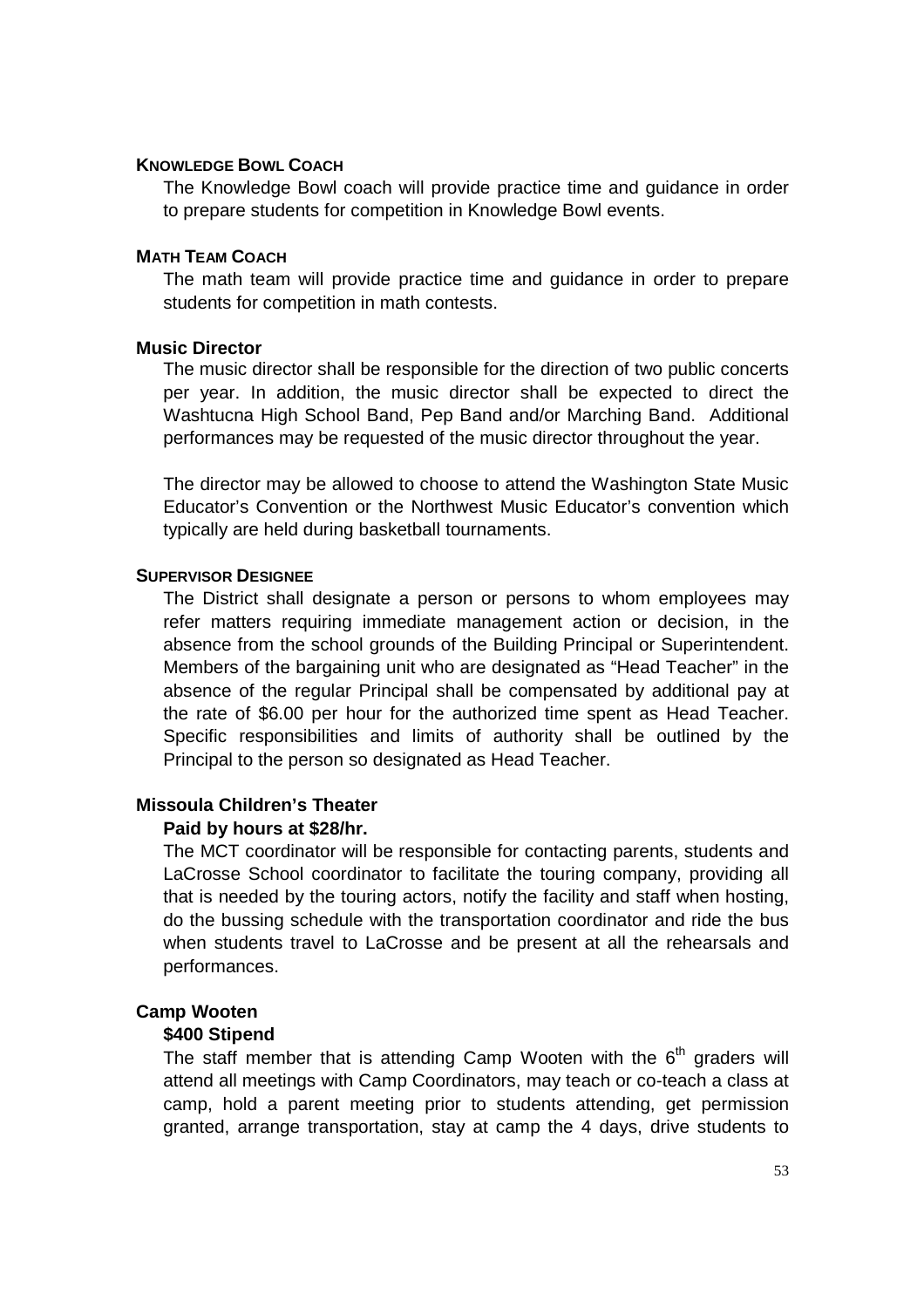#### **KNOWLEDGE BOWL COACH**

The Knowledge Bowl coach will provide practice time and guidance in order to prepare students for competition in Knowledge Bowl events.

#### **MATH TEAM COACH**

The math team will provide practice time and guidance in order to prepare students for competition in math contests.

#### **Music Director**

The music director shall be responsible for the direction of two public concerts per year. In addition, the music director shall be expected to direct the Washtucna High School Band, Pep Band and/or Marching Band. Additional performances may be requested of the music director throughout the year.

The director may be allowed to choose to attend the Washington State Music Educator's Convention or the Northwest Music Educator's convention which typically are held during basketball tournaments.

#### **SUPERVISOR DESIGNEE**

The District shall designate a person or persons to whom employees may refer matters requiring immediate management action or decision, in the absence from the school grounds of the Building Principal or Superintendent. Members of the bargaining unit who are designated as "Head Teacher" in the absence of the regular Principal shall be compensated by additional pay at the rate of \$6.00 per hour for the authorized time spent as Head Teacher. Specific responsibilities and limits of authority shall be outlined by the Principal to the person so designated as Head Teacher.

#### **Missoula Children's Theater**

#### **Paid by hours at \$28/hr.**

The MCT coordinator will be responsible for contacting parents, students and LaCrosse School coordinator to facilitate the touring company, providing all that is needed by the touring actors, notify the facility and staff when hosting, do the bussing schedule with the transportation coordinator and ride the bus when students travel to LaCrosse and be present at all the rehearsals and performances.

#### **Camp Wooten**

#### **\$400 Stipend**

The staff member that is attending Camp Wooten with the  $6<sup>th</sup>$  graders will attend all meetings with Camp Coordinators, may teach or co-teach a class at camp, hold a parent meeting prior to students attending, get permission granted, arrange transportation, stay at camp the 4 days, drive students to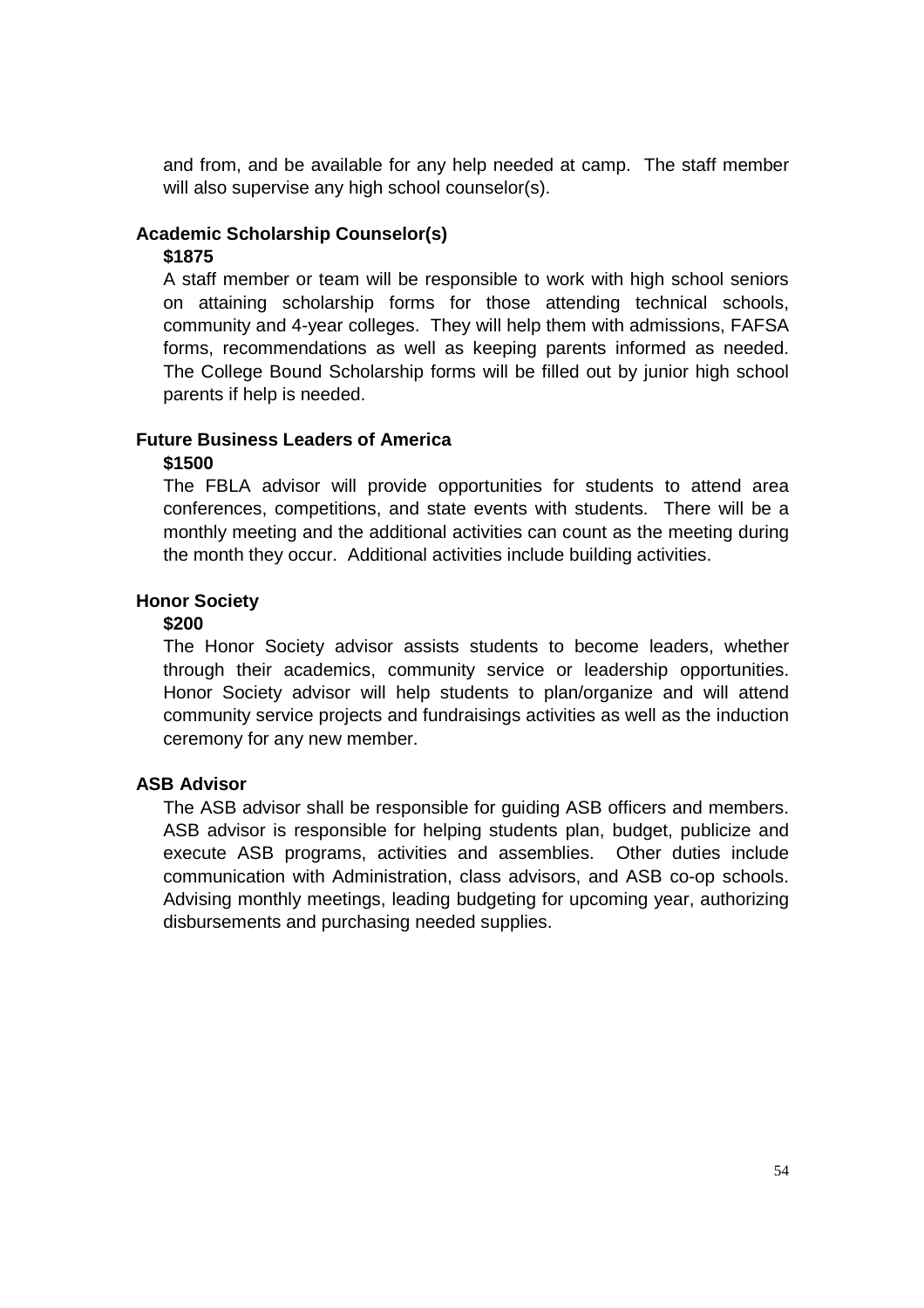and from, and be available for any help needed at camp. The staff member will also supervise any high school counselor(s).

#### **Academic Scholarship Counselor(s)**

#### **\$1875**

A staff member or team will be responsible to work with high school seniors on attaining scholarship forms for those attending technical schools, community and 4-year colleges. They will help them with admissions, FAFSA forms, recommendations as well as keeping parents informed as needed. The College Bound Scholarship forms will be filled out by junior high school parents if help is needed.

#### **Future Business Leaders of America**

#### **\$1500**

The FBLA advisor will provide opportunities for students to attend area conferences, competitions, and state events with students. There will be a monthly meeting and the additional activities can count as the meeting during the month they occur. Additional activities include building activities.

#### **Honor Society**

#### **\$200**

The Honor Society advisor assists students to become leaders, whether through their academics, community service or leadership opportunities. Honor Society advisor will help students to plan/organize and will attend community service projects and fundraisings activities as well as the induction ceremony for any new member.

#### **ASB Advisor**

The ASB advisor shall be responsible for guiding ASB officers and members. ASB advisor is responsible for helping students plan, budget, publicize and execute ASB programs, activities and assemblies. Other duties include communication with Administration, class advisors, and ASB co-op schools. Advising monthly meetings, leading budgeting for upcoming year, authorizing disbursements and purchasing needed supplies.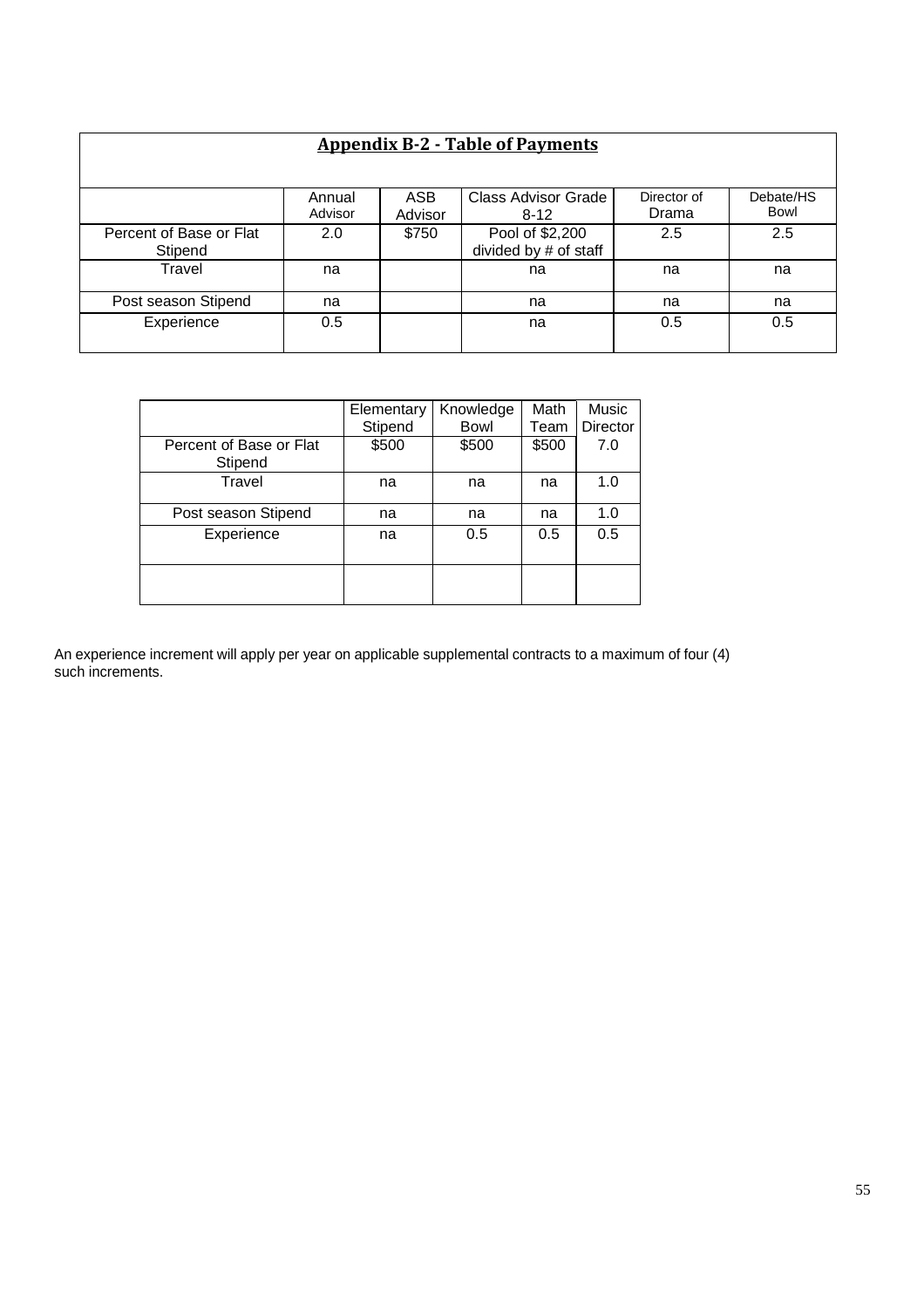| <b>Appendix B-2 - Table of Payments</b> |                   |                 |                                          |                      |                   |
|-----------------------------------------|-------------------|-----------------|------------------------------------------|----------------------|-------------------|
|                                         | Annual<br>Advisor | ASB.<br>Advisor | Class Advisor Grade<br>$8 - 12$          | Director of<br>Drama | Debate/HS<br>Bowl |
| Percent of Base or Flat<br>Stipend      | 2.0               | \$750           | Pool of \$2,200<br>divided by # of staff | 2.5                  | 2.5               |
| Travel                                  | na                |                 | na                                       | na                   | na                |
| Post season Stipend                     | na                |                 | na                                       | na                   | na                |
| Experience                              | 0.5               |                 | na                                       | 0.5                  | 0.5               |

|                                    | Elementary | Knowledge | Math  | Music           |
|------------------------------------|------------|-----------|-------|-----------------|
|                                    | Stipend    | Bowl      | Team  | <b>Director</b> |
| Percent of Base or Flat<br>Stipend | \$500      | \$500     | \$500 | 7.0             |
| Travel                             | na         | na        | na    | 1.0             |
| Post season Stipend                | na         | na        | na    | 1.0             |
| Experience                         | na         | 0.5       | 0.5   | 0.5             |
|                                    |            |           |       |                 |

An experience increment will apply per year on applicable supplemental contracts to a maximum of four (4) such increments.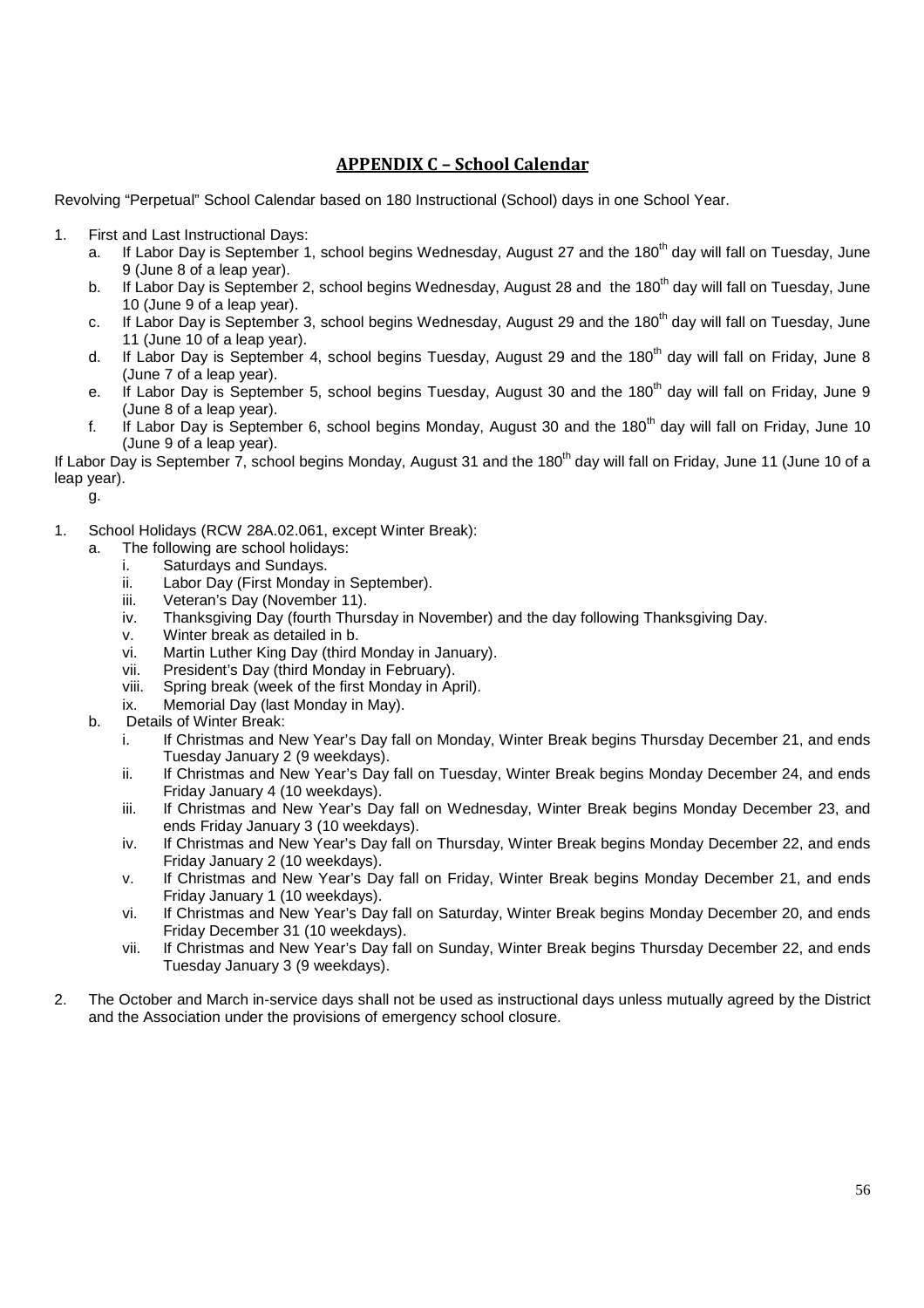### **APPENDIX C – School Calendar**

Revolving "Perpetual" School Calendar based on 180 Instructional (School) days in one School Year.

- 1. First and Last Instructional Days:
	- a. If Labor Day is September 1, school begins Wednesday, August 27 and the 180<sup>th</sup> day will fall on Tuesday, June 9 (June 8 of a leap year).
	- b. If Labor Day is September 2, school begins Wednesday, August 28 and the 180<sup>th</sup> day will fall on Tuesday, June 10 (June 9 of a leap year).
	- c. If Labor Day is September 3, school begins Wednesday, August 29 and the 180<sup>th</sup> day will fall on Tuesday, June 11 (June 10 of a leap year).
	- d. If Labor Day is September 4, school begins Tuesday, August 29 and the 180<sup>th</sup> day will fall on Friday, June 8 (June 7 of a leap year).
	- e. If Labor Day is September 5, school begins Tuesday, August 30 and the 180<sup>th</sup> day will fall on Friday, June 9 (June 8 of a leap year).
	- f. If Labor Day is September 6, school begins Monday, August 30 and the 180<sup>th</sup> day will fall on Friday, June 10 (June 9 of a leap year).

If Labor Day is September 7, school begins Monday, August 31 and the 180<sup>th</sup> day will fall on Friday, June 11 (June 10 of a leap year).

g.

- 1. School Holidays (RCW 28A.02.061, except Winter Break):
	- a. The following are school holidays:
		- i. Saturdays and Sundays.
		- ii. Labor Day (First Monday in September).
		- iii. Veteran's Day (November 11).
		- iv. Thanksgiving Day (fourth Thursday in November) and the day following Thanksgiving Day.
		- v. Winter break as detailed in b.
		- vi. Martin Luther King Day (third Monday in January).
		- vii. President's Day (third Monday in February).
		- viii. Spring break (week of the first Monday in April).
		- ix. Memorial Day (last Monday in May).
	- b. Details of Winter Break:
		- i. If Christmas and New Year's Day fall on Monday, Winter Break begins Thursday December 21, and ends Tuesday January 2 (9 weekdays).
		- ii. If Christmas and New Year's Day fall on Tuesday, Winter Break begins Monday December 24, and ends Friday January 4 (10 weekdays).
		- iii. If Christmas and New Year's Day fall on Wednesday, Winter Break begins Monday December 23, and ends Friday January 3 (10 weekdays).
		- iv. If Christmas and New Year's Day fall on Thursday, Winter Break begins Monday December 22, and ends Friday January 2 (10 weekdays).
		- v. If Christmas and New Year's Day fall on Friday, Winter Break begins Monday December 21, and ends Friday January 1 (10 weekdays).
		- vi. If Christmas and New Year's Day fall on Saturday, Winter Break begins Monday December 20, and ends Friday December 31 (10 weekdays).
		- vii. If Christmas and New Year's Day fall on Sunday, Winter Break begins Thursday December 22, and ends Tuesday January 3 (9 weekdays).
- 2. The October and March in-service days shall not be used as instructional days unless mutually agreed by the District and the Association under the provisions of emergency school closure.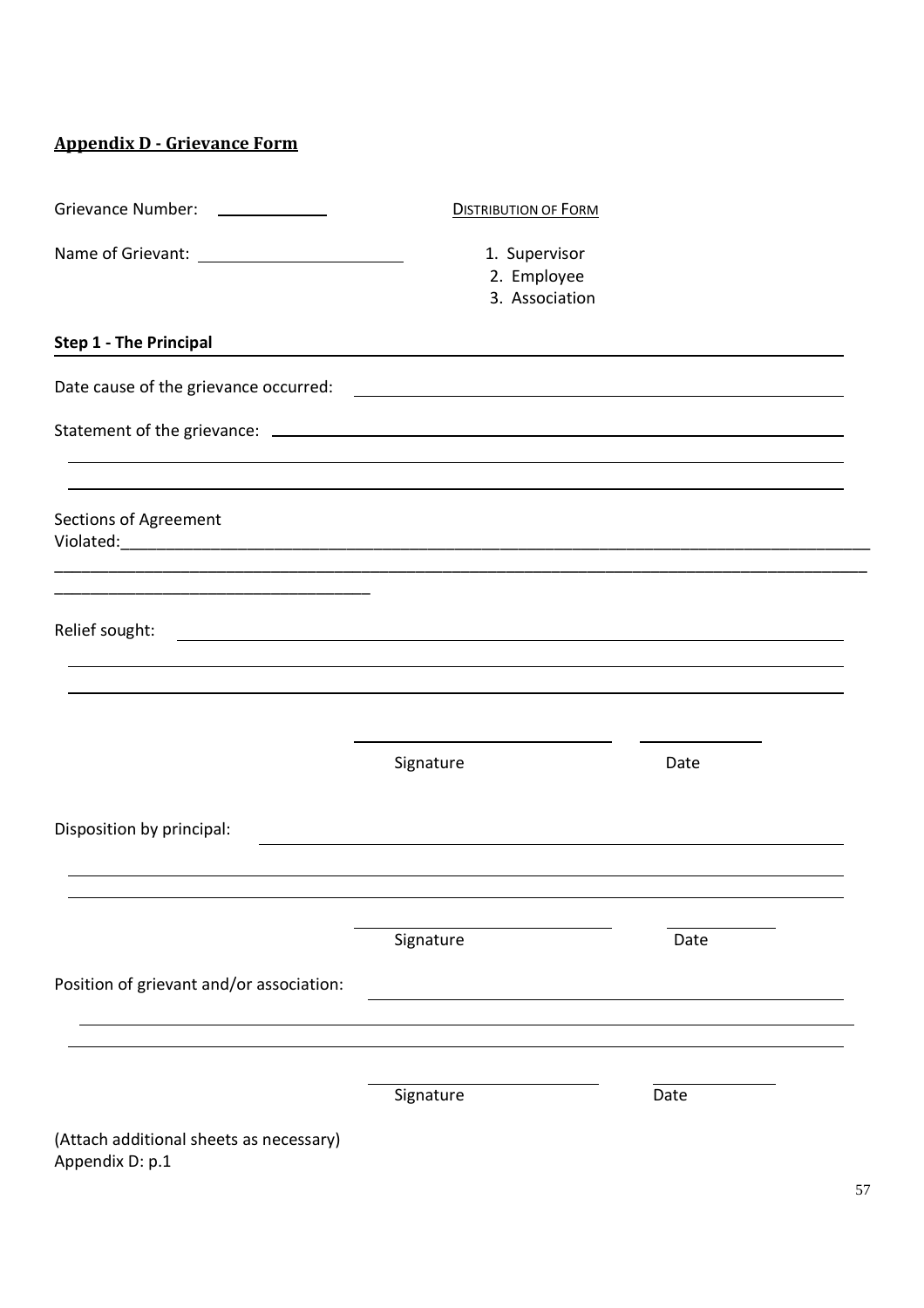## **Appendix D - Grievance Form**

| <b>Grievance Number:</b>                                                                                                                                                                                                       | <b>DISTRIBUTION OF FORM</b>                    |                                                                                                                  |  |
|--------------------------------------------------------------------------------------------------------------------------------------------------------------------------------------------------------------------------------|------------------------------------------------|------------------------------------------------------------------------------------------------------------------|--|
|                                                                                                                                                                                                                                | 1. Supervisor<br>2. Employee<br>3. Association |                                                                                                                  |  |
| <b>Step 1 - The Principal</b>                                                                                                                                                                                                  |                                                | and the control of the control of the control of the control of the control of the control of the control of the |  |
|                                                                                                                                                                                                                                |                                                |                                                                                                                  |  |
|                                                                                                                                                                                                                                |                                                |                                                                                                                  |  |
| Sections of Agreement                                                                                                                                                                                                          |                                                |                                                                                                                  |  |
| Relief sought: Note that the set of the set of the set of the set of the set of the set of the set of the set of the set of the set of the set of the set of the set of the set of the set of the set of the set of the set of |                                                |                                                                                                                  |  |
|                                                                                                                                                                                                                                |                                                |                                                                                                                  |  |
|                                                                                                                                                                                                                                | Signature                                      | Date                                                                                                             |  |
| Disposition by principal:                                                                                                                                                                                                      |                                                |                                                                                                                  |  |
|                                                                                                                                                                                                                                | Signature                                      | Date                                                                                                             |  |
| Position of grievant and/or association:                                                                                                                                                                                       |                                                |                                                                                                                  |  |
|                                                                                                                                                                                                                                | Signature                                      | Date                                                                                                             |  |
| (Attach additional sheets as necessary)<br>Appendix D: p.1                                                                                                                                                                     |                                                |                                                                                                                  |  |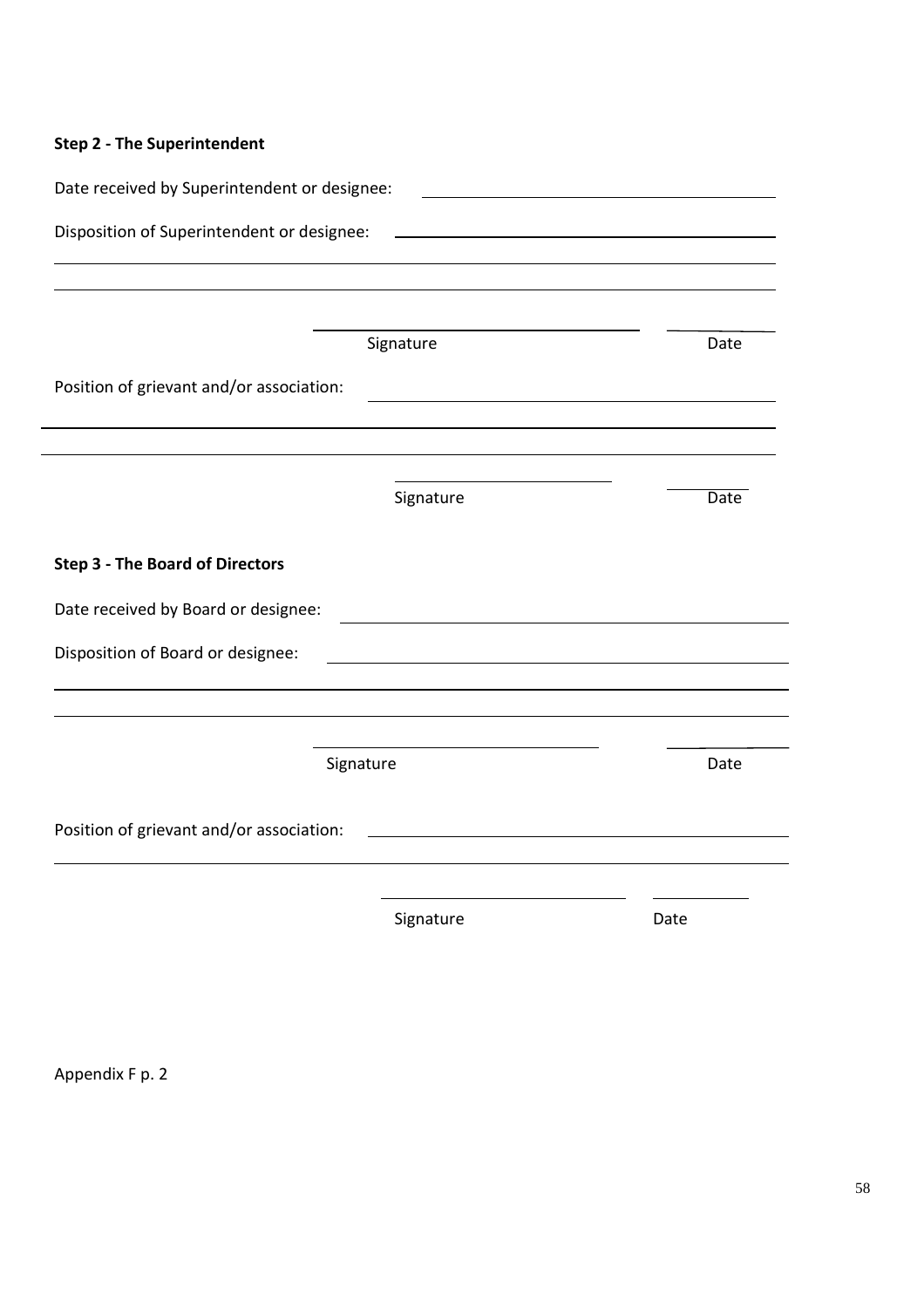## **Step 2 - The Superintendent**

|                                                                                                                    | Signature | Date |
|--------------------------------------------------------------------------------------------------------------------|-----------|------|
| Position of grievant and/or association:                                                                           |           |      |
|                                                                                                                    |           |      |
|                                                                                                                    | Signature | Date |
| <b>Step 3 - The Board of Directors</b><br>Date received by Board or designee:<br>Disposition of Board or designee: |           |      |
|                                                                                                                    |           |      |
|                                                                                                                    | Signature | Date |
| Position of grievant and/or association:                                                                           |           |      |

Appendix F p. 2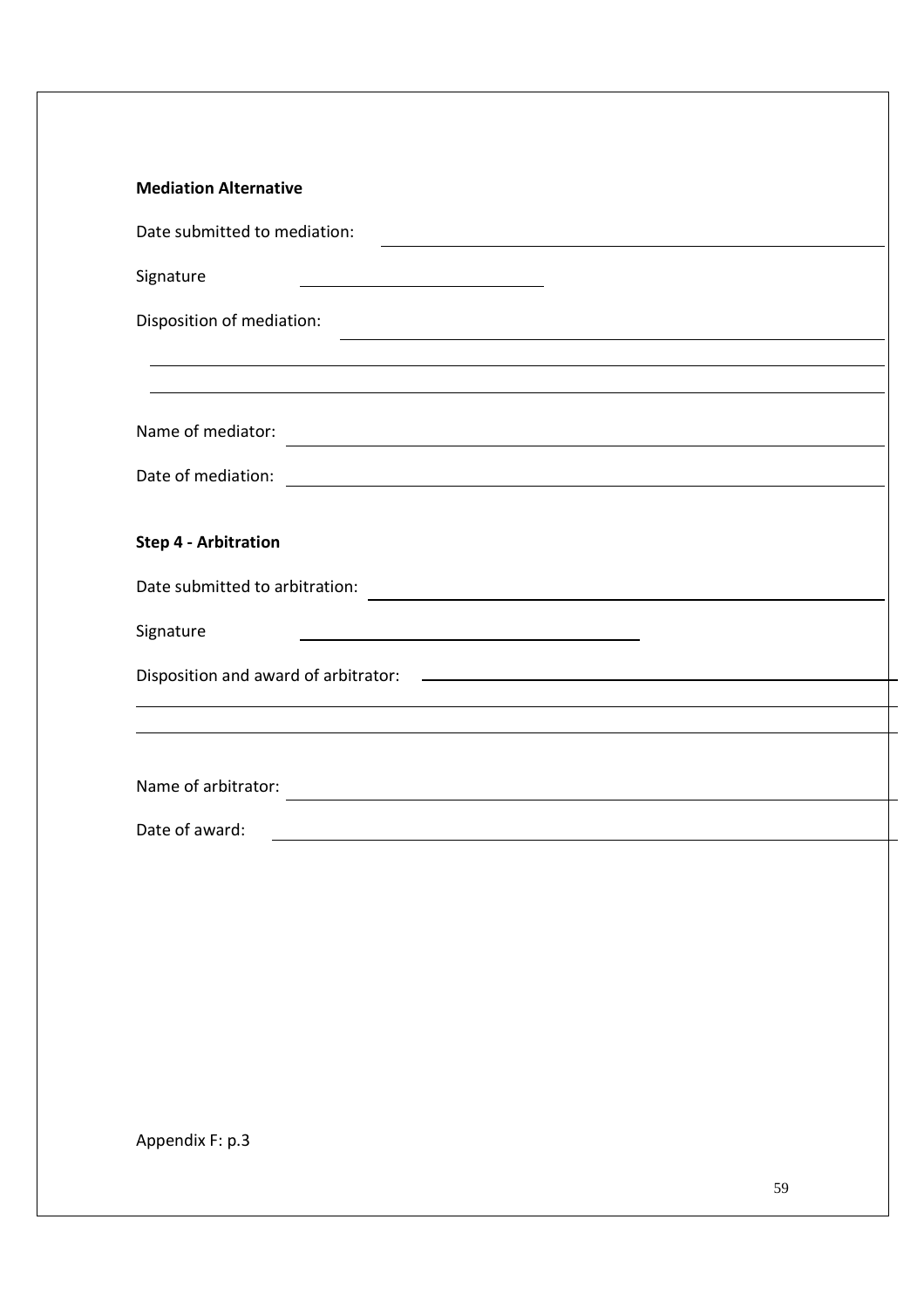| <b>Mediation Alternative</b>   |                                                                                                                      |
|--------------------------------|----------------------------------------------------------------------------------------------------------------------|
| Date submitted to mediation:   |                                                                                                                      |
| Signature                      |                                                                                                                      |
| Disposition of mediation:      |                                                                                                                      |
|                                |                                                                                                                      |
|                                |                                                                                                                      |
| Name of mediator:              | <u> Alexandria de la contrada de la contrada de la contrada de la contrada de la contrada de la contrada de la c</u> |
| Date of mediation:             | <u> 1989 - Johann Barn, fransk politik (d. 1989)</u>                                                                 |
| <b>Step 4 - Arbitration</b>    |                                                                                                                      |
| Date submitted to arbitration: | <u> 1980 - Jan Samuel Barbara, martin da shekara 1980 - An tsara 1980 - An tsara 1980 - An tsara 1980 - An tsara</u> |
| Signature                      |                                                                                                                      |
|                                |                                                                                                                      |
|                                |                                                                                                                      |
|                                |                                                                                                                      |
| Name of arbitrator:            |                                                                                                                      |
| Date of award:                 |                                                                                                                      |
|                                |                                                                                                                      |
|                                |                                                                                                                      |
|                                |                                                                                                                      |

Appendix F: p.3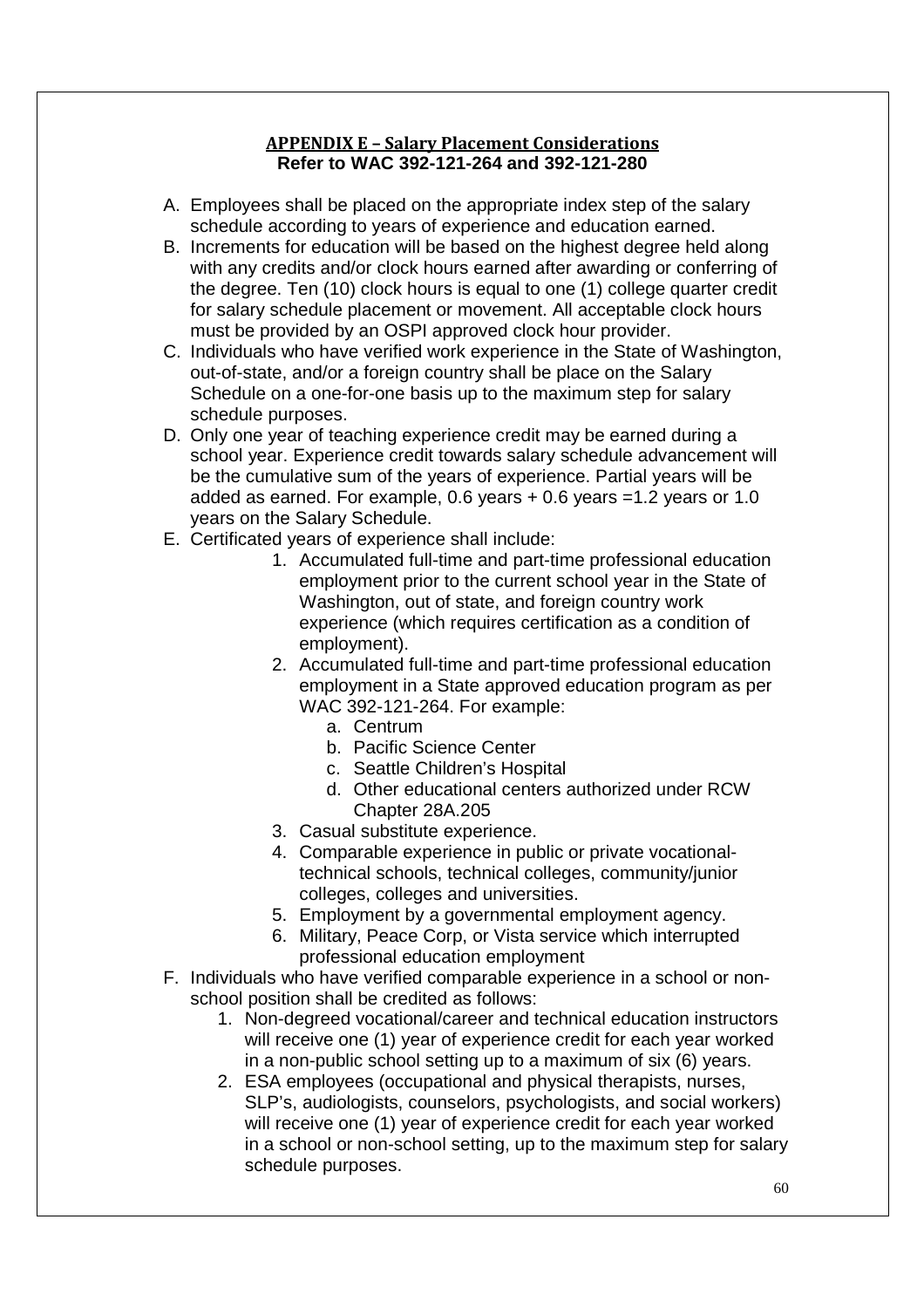### **APPENDIX E – Salary Placement Considerations Refer to WAC 392-121-264 and 392-121-280**

- A. Employees shall be placed on the appropriate index step of the salary schedule according to years of experience and education earned.
- B. Increments for education will be based on the highest degree held along with any credits and/or clock hours earned after awarding or conferring of the degree. Ten (10) clock hours is equal to one (1) college quarter credit for salary schedule placement or movement. All acceptable clock hours must be provided by an OSPI approved clock hour provider.
- C. Individuals who have verified work experience in the State of Washington, out-of-state, and/or a foreign country shall be place on the Salary Schedule on a one-for-one basis up to the maximum step for salary schedule purposes.
- D. Only one year of teaching experience credit may be earned during a school year. Experience credit towards salary schedule advancement will be the cumulative sum of the years of experience. Partial years will be added as earned. For example, 0.6 years + 0.6 years =1.2 years or 1.0 years on the Salary Schedule.
- E. Certificated years of experience shall include:
	- 1. Accumulated full-time and part-time professional education employment prior to the current school year in the State of Washington, out of state, and foreign country work experience (which requires certification as a condition of employment).
	- 2. Accumulated full-time and part-time professional education employment in a State approved education program as per WAC 392-121-264. For example:
		- a. Centrum
		- b. Pacific Science Center
		- c. Seattle Children's Hospital
		- d. Other educational centers authorized under RCW Chapter 28A.205
	- 3. Casual substitute experience.
	- 4. Comparable experience in public or private vocationaltechnical schools, technical colleges, community/junior colleges, colleges and universities.
	- 5. Employment by a governmental employment agency.
	- 6. Military, Peace Corp, or Vista service which interrupted professional education employment
- F. Individuals who have verified comparable experience in a school or nonschool position shall be credited as follows:
	- 1. Non-degreed vocational/career and technical education instructors will receive one (1) year of experience credit for each year worked in a non-public school setting up to a maximum of six (6) years.
	- 2. ESA employees (occupational and physical therapists, nurses, SLP's, audiologists, counselors, psychologists, and social workers) will receive one (1) year of experience credit for each year worked in a school or non-school setting, up to the maximum step for salary schedule purposes.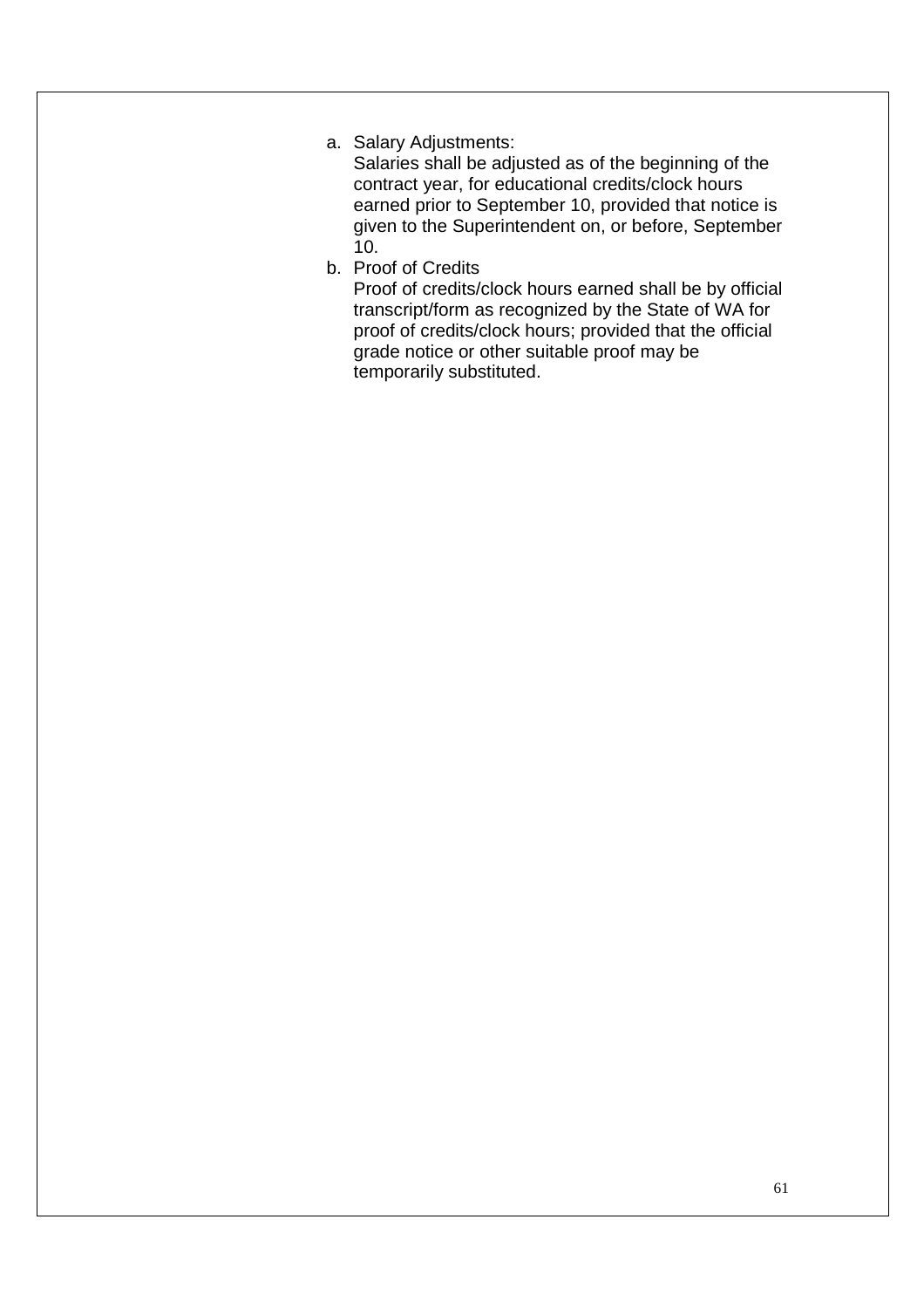a. Salary Adjustments:

Salaries shall be adjusted as of the beginning of the contract year, for educational credits/clock hours earned prior to September 10, provided that notice is given to the Superintendent on, or before, September 10.

b. Proof of Credits

Proof of credits/clock hours earned shall be by official transcript/form as recognized by the State of WA for proof of credits/clock hours; provided that the official grade notice or other suitable proof may be temporarily substituted.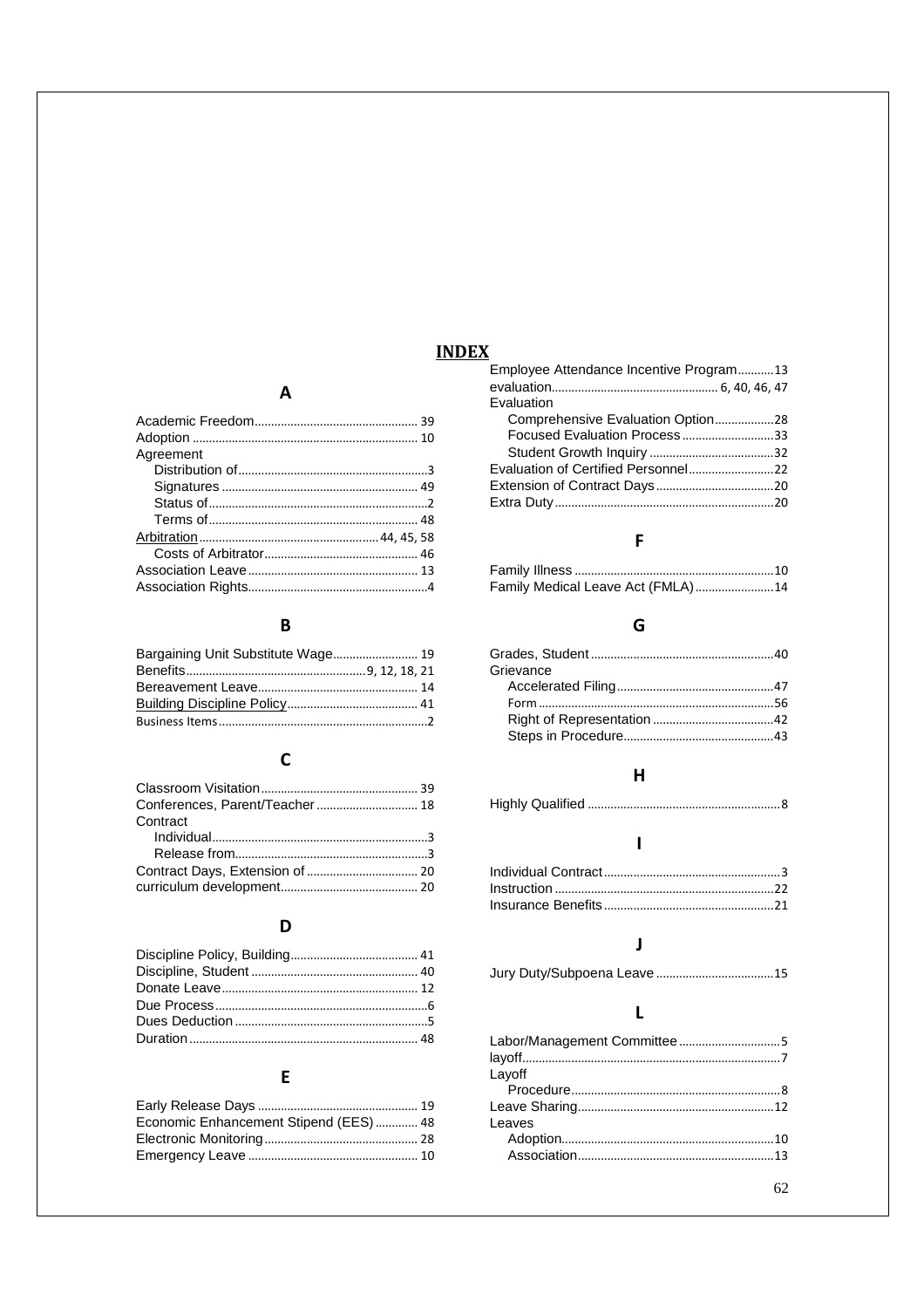## **INDEX**

## $\mathsf{A}$

| Agreement |  |
|-----------|--|
|           |  |
|           |  |
|           |  |
|           |  |
|           |  |
|           |  |
|           |  |
|           |  |
|           |  |

## $\overline{B}$

| Bargaining Unit Substitute Wage 19 |  |
|------------------------------------|--|
|                                    |  |
|                                    |  |
|                                    |  |
|                                    |  |

## $\mathbf c$

| Conferences, Parent/Teacher 18 |  |
|--------------------------------|--|
| Contract                       |  |
|                                |  |
|                                |  |
|                                |  |
|                                |  |

## $\mathsf D$

## $\mathsf{E}$

| Economic Enhancement Stipend (EES) 48 |  |
|---------------------------------------|--|
|                                       |  |
|                                       |  |

| Employee Attendance Incentive Program13 |  |
|-----------------------------------------|--|
|                                         |  |
| Evaluation                              |  |
|                                         |  |
| Focused Evaluation Process33            |  |
|                                         |  |
|                                         |  |
|                                         |  |
|                                         |  |
|                                         |  |

## $\mathsf{F}$

| Family Medical Leave Act (FMLA)14 |  |
|-----------------------------------|--|

## G

| Grievance |  |
|-----------|--|
|           |  |
|           |  |
|           |  |
|           |  |

## $H$

|--|--|--|

#### $\mathbf{I}$

## $\mathbf{J}$

## $\mathbf{L}$

| Layoff |  |
|--------|--|
|        |  |
|        |  |
| Leaves |  |
|        |  |
|        |  |
|        |  |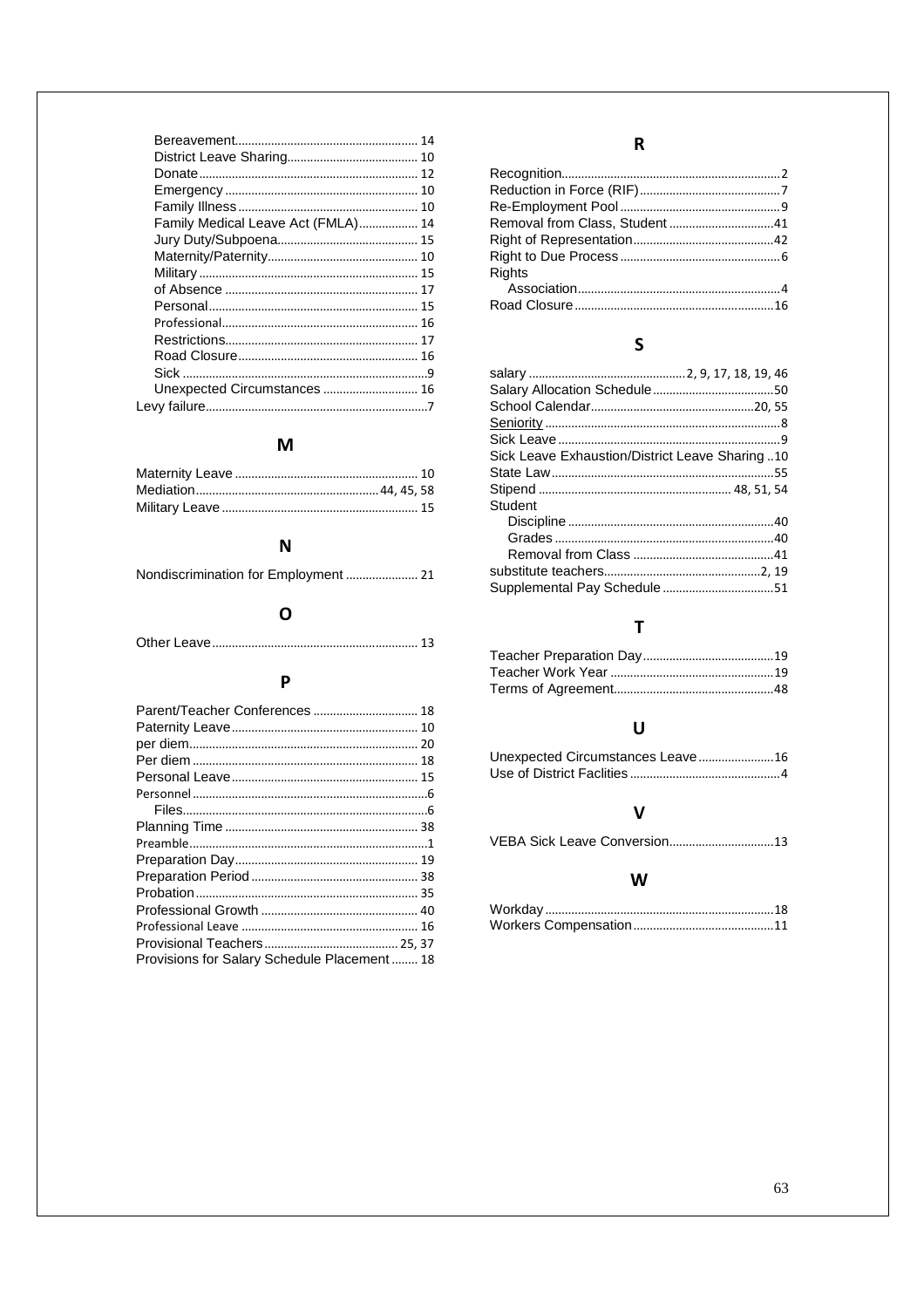| Family Medical Leave Act (FMLA) 14 |  |
|------------------------------------|--|
|                                    |  |
|                                    |  |
|                                    |  |
|                                    |  |
|                                    |  |
|                                    |  |
|                                    |  |
|                                    |  |
|                                    |  |
| Unexpected Circumstances  16       |  |
|                                    |  |
|                                    |  |

## $\mathsf{M}$

## $\overline{\mathsf{N}}$

| Nondiscrimination for Employment  21 |  |  |  |
|--------------------------------------|--|--|--|
|--------------------------------------|--|--|--|

### $\mathbf{o}$

|--|--|

#### $\boldsymbol{\mathsf{P}}$

| Provisions for Salary Schedule Placement 18 |  |
|---------------------------------------------|--|

## $\overline{\mathsf{R}}$

| Rights |  |
|--------|--|
|        |  |
|        |  |
|        |  |

## $\mathsf{s}$

| Sick Leave Exhaustion/District Leave Sharing 10 |  |
|-------------------------------------------------|--|
|                                                 |  |
|                                                 |  |
| Student                                         |  |
|                                                 |  |
|                                                 |  |
|                                                 |  |
|                                                 |  |
|                                                 |  |

## $\mathbf{T}$

## $\overline{U}$

| Unexpected Circumstances Leave16 |  |
|----------------------------------|--|
|                                  |  |

## $\mathsf{V}$

#### $\mathsf{W}$